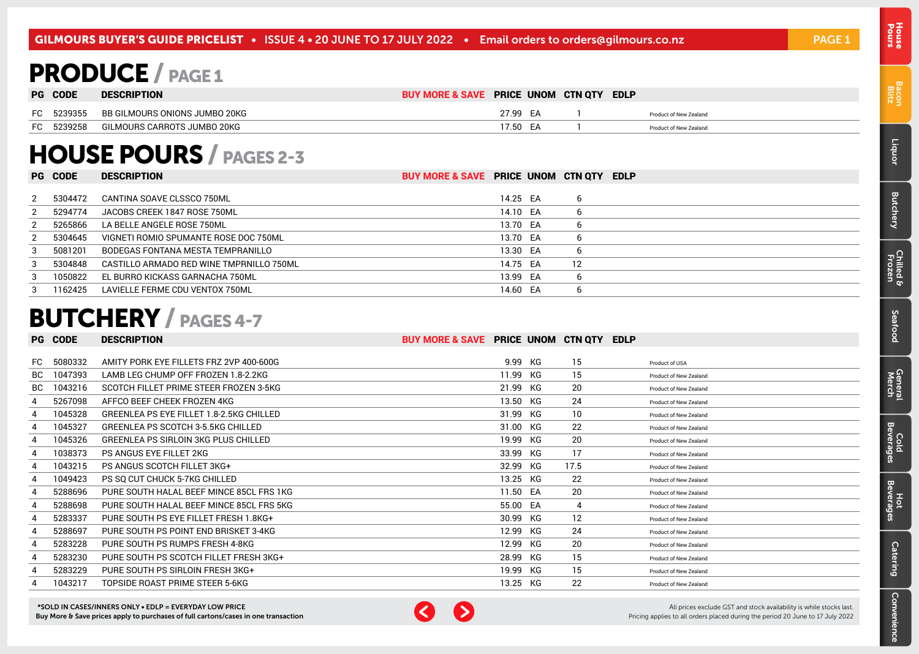# <span id="page-0-0"></span>PRODUCE / PAGE 1

|     | <b>PG CODE</b> | <b>DESCRIPTION</b>            | BUY MORE & SAVE PRICE UNOM CTN QTY |          | <b>EDLP</b> |                        |
|-----|----------------|-------------------------------|------------------------------------|----------|-------------|------------------------|
| FC. | 5239355        | BB GILMOURS ONIONS JUMBO 20KG |                                    | 27.99 EA |             | Product of New Zealand |
|     | FC 5239258     | GILMOURS CARROTS JUMBO 20KG   |                                    | 17.50 FA |             | Product of New Zealand |

# HOUSE POURS / PAGES 2-3

|   | <b>PG CODE</b> | <b>DESCRIPTION</b>                       | BUY MORE & SAVE PRICE UNOM CTN QTY EDLP |          |    |  |
|---|----------------|------------------------------------------|-----------------------------------------|----------|----|--|
|   |                |                                          |                                         |          |    |  |
| 2 | 5304472        | CANTINA SOAVE CLSSCO 750ML               |                                         | 14.25 EA | 6  |  |
| 2 | 5294774        | JACOBS CREEK 1847 ROSE 750ML             |                                         | 14.10 EA | b  |  |
|   | 5265866        | LA BELLE ANGELE ROSE 750ML               |                                         | 13.70 EA | -6 |  |
| 2 | 5304645        | VIGNETI ROMIO SPUMANTE ROSE DOC 750ML    |                                         | 13.70 EA | b  |  |
| 3 | 5081201        | BODEGAS FONTANA MESTA TEMPRANILLO        |                                         | 13.30 EA | b  |  |
| 3 | 5304848        | CASTILLO ARMADO RED WINE TMPRNILLO 750ML |                                         | 14.75 EA | 12 |  |
| 3 | 1050822        | EL BURRO KICKASS GARNACHA 750ML          |                                         | 13.99 EA | b  |  |
| з | 1162425        | LAVIELLE FERME CDU VENTOX 750ML          |                                         | 14.60 EA | h  |  |

## BUTCHERY / PAGES 4-7

| PG  | <b>CODE</b> | <b>DESCRIPTION</b>                              | BUY MORE & SAVE PRICE UNOM CTN QTY EDLP |          |      |                        |
|-----|-------------|-------------------------------------------------|-----------------------------------------|----------|------|------------------------|
|     |             |                                                 |                                         |          |      |                        |
| FC. | 5080332     | AMITY PORK EYE FILLETS FRZ 2VP 400-600G         |                                         | 9.99 KG  | 15   | Product of USA         |
| BC. | 1047393     | LAMB LEG CHUMP OFF FROZEN 1.8-2.2KG             |                                         | 11.99 KG | 15   | Product of New Zealand |
| BC  | 1043216     | SCOTCH FILLET PRIME STEER FROZEN 3-5KG          |                                         | 21.99 KG | 20   | Product of New Zealand |
| 4   | 5267098     | AFFCO BEEF CHEEK FROZEN 4KG                     |                                         | 13.50 KG | 24   | Product of New Zealand |
|     | 1045328     | <b>GREENLEA PS EYE FILLET 1.8-2.5KG CHILLED</b> |                                         | 31.99 KG | 10   | Product of New Zealand |
|     | 1045327     | GREENLEA PS SCOTCH 3-5.5KG CHILLED              |                                         | 31.00 KG | 22   | Product of New Zealand |
|     | 1045326     | GREENLEA PS SIRLOIN 3KG PLUS CHILLED            |                                         | 19.99 KG | 20   | Product of New Zealand |
|     | 1038373     | PS ANGUS EYE FILLET 2KG                         |                                         | 33.99 KG | 17   | Product of New Zealand |
|     | 1043215     | <b>PS ANGUS SCOTCH FILLET 3KG+</b>              |                                         | 32.99 KG | 17.5 | Product of New Zealand |
|     | 1049423     | PS SQ CUT CHUCK 5-7KG CHILLED                   |                                         | 13.25 KG | 22   | Product of New Zealand |
|     | 5288696     | PURE SOUTH HALAL BEEF MINCE 85CL FRS 1KG        |                                         | 11.50 EA | 20   | Product of New Zealand |
|     | 5288698     | PURE SOUTH HALAL BEEF MINCE 85CL FRS 5KG        |                                         | 55.00 EA | 4    | Product of New Zealand |
|     | 5283337     | PURE SOUTH PS EYE FILLET FRESH 1.8KG+           |                                         | 30.99 KG | 12   | Product of New Zealand |
|     | 5288697     | PURE SOUTH PS POINT END BRISKET 3-4KG           |                                         | 12.99 KG | 24   | Product of New Zealand |
|     | 5283228     | PURE SOUTH PS RUMPS FRESH 4-8KG                 |                                         | 12.99 KG | 20   | Product of New Zealand |
|     | 5283230     | PURE SOUTH PS SCOTCH FILLET FRESH 3KG+          |                                         | 28.99 KG | 15   | Product of New Zealand |
|     | 5283229     | PURE SOUTH PS SIRLOIN FRESH 3KG+                |                                         | 19.99 KG | 15   | Product of New Zealand |
|     | 1043217     | TOPSIDE ROAST PRIME STEER 5-6KG                 |                                         | 13.25 KG | 22   | Product of New Zealand |

\*SOLD IN CASES/INNERS ONLY • EDLP = EVERYDAY LOW PRICE Buy More & Save prices apply to purchases of full cartons/cases in one transaction



All prices exclude GST and stock availability is while stocks last. Pricing applies to all orders placed during the period 20 June to 17 July 2022

Pours House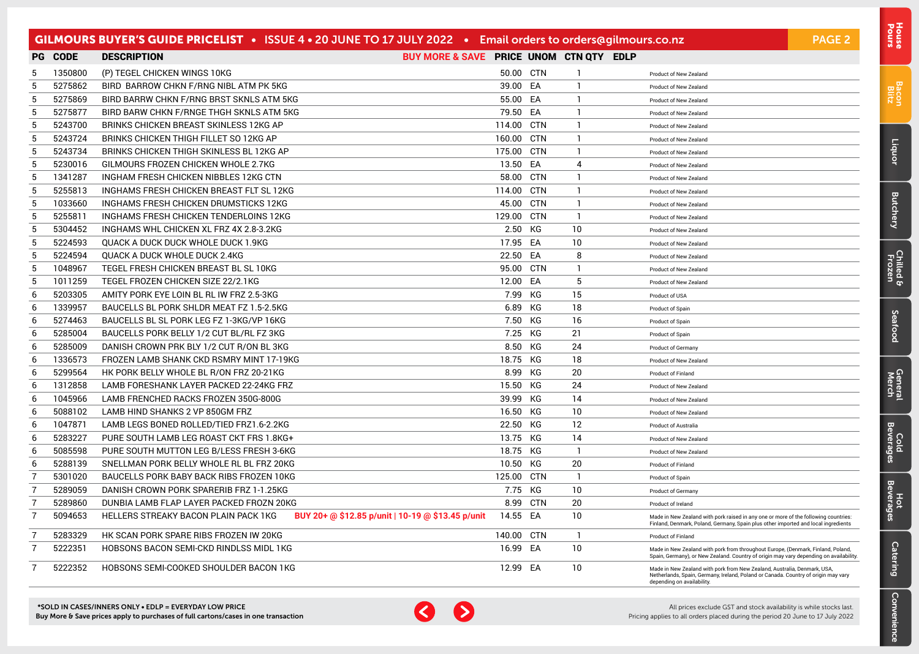|                |                | GILMOURS BUYER'S GUIDE PRICELIST . ISSUE 4 . 20 JUNE TO 17 JULY 2022 . Email orders to orders@gilmours.co.nz |                                         |            |            |                   |                                                                                                                                                                                             | <b>PAGE 2</b> |
|----------------|----------------|--------------------------------------------------------------------------------------------------------------|-----------------------------------------|------------|------------|-------------------|---------------------------------------------------------------------------------------------------------------------------------------------------------------------------------------------|---------------|
|                | <b>PG CODE</b> | <b>DESCRIPTION</b>                                                                                           | BUY MORE & SAVE PRICE UNOM CTN QTY EDLP |            |            |                   |                                                                                                                                                                                             |               |
| 5              | 1350800        | (P) TEGEL CHICKEN WINGS 10KG                                                                                 |                                         | 50.00 CTN  |            | $\mathbf{1}$      | Product of New Zealand                                                                                                                                                                      |               |
| 5              | 5275862        | BIRD BARROW CHKN F/RNG NIBL ATM PK 5KG                                                                       |                                         | 39.00 EA   |            | $\mathbf{1}$      | Product of New Zealand                                                                                                                                                                      |               |
| 5              | 5275869        | BIRD BARRW CHKN F/RNG BRST SKNLS ATM 5KG                                                                     |                                         | 55.00 EA   |            | $\mathbf{1}$      | Product of New Zealand                                                                                                                                                                      |               |
| 5              | 5275877        | BIRD BARW CHKN F/RNGE THGH SKNLS ATM 5KG                                                                     |                                         | 79.50 EA   |            | $\mathbf{1}$      | Product of New Zealand                                                                                                                                                                      |               |
| 5              | 5243700        | BRINKS CHICKEN BREAST SKINLESS 12KG AP                                                                       |                                         | 114.00     | <b>CTN</b> | $\mathbf{1}$      | Product of New Zealand                                                                                                                                                                      |               |
| 5              | 5243724        | BRINKS CHICKEN THIGH FILLET SO 12KG AP                                                                       |                                         | 160.00     | CTN        | $\mathbf{1}$      | Product of New Zealand                                                                                                                                                                      |               |
| 5              | 5243734        | BRINKS CHICKEN THIGH SKINLESS BL 12KG AP                                                                     |                                         | 175.00     | CTN        | 1                 | Product of New Zealand                                                                                                                                                                      |               |
| 5              | 5230016        | GILMOURS FROZEN CHICKEN WHOLE 2.7KG                                                                          |                                         | 13.50 EA   |            | 4                 | Product of New Zealand                                                                                                                                                                      |               |
| 5              | 1341287        | INGHAM FRESH CHICKEN NIBBLES 12KG CTN                                                                        |                                         | 58.00      | CTN        | $\mathbf{1}$      | Product of New Zealand                                                                                                                                                                      |               |
| 5              | 5255813        | INGHAMS FRESH CHICKEN BREAST FLT SL 12KG                                                                     |                                         | 114.00 CTN |            | $\mathbf{1}$      | Product of New Zealand                                                                                                                                                                      |               |
| 5              | 1033660        | INGHAMS FRESH CHICKEN DRUMSTICKS 12KG                                                                        |                                         | 45.00      | CTN        | $\mathbf{1}$      | Product of New Zealand                                                                                                                                                                      |               |
| 5              | 5255811        | INGHAMS FRESH CHICKEN TENDERLOINS 12KG                                                                       |                                         | 129.00 CTN |            | $\mathbf{1}$      | Product of New Zealand                                                                                                                                                                      |               |
| 5              | 5304452        | INGHAMS WHL CHICKEN XL FRZ 4X 2.8-3.2KG                                                                      |                                         | 2.50       | КG         | 10                | <b>Product of New Zealand</b>                                                                                                                                                               |               |
| 5              | 5224593        | QUACK A DUCK DUCK WHOLE DUCK 1.9KG                                                                           |                                         | 17.95      | EA         | 10                | Product of New Zealand                                                                                                                                                                      |               |
| 5              | 5224594        | QUACK A DUCK WHOLE DUCK 2.4KG                                                                                |                                         | 22.50      | EA         | 8                 | Product of New Zealand                                                                                                                                                                      |               |
| 5              | 1048967        | TEGEL FRESH CHICKEN BREAST BL SL 10KG                                                                        |                                         | 95.00      | CTN        | $\mathbf{1}$      | Product of New Zealand                                                                                                                                                                      |               |
| 5              | 1011259        | TEGEL FROZEN CHICKEN SIZE 22/2.1KG                                                                           |                                         | 12.00      | EA         | 5                 | Product of New Zealand                                                                                                                                                                      |               |
| 6              | 5203305        | AMITY PORK EYE LOIN BL RL IW FRZ 2.5-3KG                                                                     |                                         | 7.99       | КG         | 15                | Product of USA                                                                                                                                                                              |               |
| 6              | 1339957        | BAUCELLS BL PORK SHLDR MEAT FZ 1.5-2.5KG                                                                     |                                         | 6.89       | КG         | 18                | Product of Spain                                                                                                                                                                            |               |
| 6              | 5274463        | BAUCELLS BL SL PORK LEG FZ 1-3KG/VP 16KG                                                                     |                                         | 7.50       | КG         | 16                | Product of Spain                                                                                                                                                                            |               |
| 6              | 5285004        | BAUCELLS PORK BELLY 1/2 CUT BL/RL FZ 3KG                                                                     |                                         | 7.25       | КG         | 21                | Product of Spain                                                                                                                                                                            |               |
| 6              | 5285009        | DANISH CROWN PRK BLY 1/2 CUT R/ON BL 3KG                                                                     |                                         | 8.50       | КG         | 24                | Product of Germany                                                                                                                                                                          |               |
| 6              | 1336573        | FROZEN LAMB SHANK CKD RSMRY MINT 17-19KG                                                                     |                                         | 18.75      | KG         | 18                | Product of New Zealand                                                                                                                                                                      |               |
| 6              | 5299564        | HK PORK BELLY WHOLE BL R/ON FRZ 20-21KG                                                                      |                                         | 8.99       | КG         | 20                | Product of Finland                                                                                                                                                                          |               |
| 6              | 1312858        | LAMB FORESHANK LAYER PACKED 22-24KG FRZ                                                                      |                                         | 15.50 KG   |            | 24                | Product of New Zealand                                                                                                                                                                      |               |
| 6              | 1045966        | LAMB FRENCHED RACKS FROZEN 350G-800G                                                                         |                                         | 39.99      | КG         | 14                | Product of New Zealand                                                                                                                                                                      |               |
| 6              | 5088102        | LAMB HIND SHANKS 2 VP 850GM FRZ                                                                              |                                         | 16.50      | КG         | 10                | Product of New Zealand                                                                                                                                                                      |               |
| 6              | 1047871        | LAMB LEGS BONED ROLLED/TIED FRZ1.6-2.2KG                                                                     |                                         | 22.50 KG   |            | $12 \overline{ }$ | <b>Product of Australia</b>                                                                                                                                                                 |               |
| 6              | 5283227        | PURE SOUTH LAMB LEG ROAST CKT FRS 1.8KG+                                                                     |                                         | 13.75 KG   |            | 14                | Product of New Zealand                                                                                                                                                                      |               |
| 6              | 5085598        | PURE SOUTH MUTTON LEG B/LESS FRESH 3-6KG                                                                     |                                         | 18.75 KG   |            | $\overline{1}$    | Product of New Zealand                                                                                                                                                                      |               |
| 6              | 5288139        | SNELLMAN PORK BELLY WHOLE RL BL FRZ 20KG                                                                     |                                         | 10.50      | КG         | 20                | Product of Finland                                                                                                                                                                          |               |
| $\overline{7}$ | 5301020        | BAUCELLS PORK BABY BACK RIBS FROZEN 10KG                                                                     |                                         | 125.00     | <b>CTN</b> | -1                | Product of Spain                                                                                                                                                                            |               |
| $\overline{7}$ | 5289059        | DANISH CROWN PORK SPARERIB FRZ 1-1.25KG                                                                      |                                         | 7.75 KG    |            | 10                | Product of Germany                                                                                                                                                                          |               |
| $\overline{7}$ | 5289860        | DUNBIA LAMB FLAP LAYER PACKED FROZN 20KG                                                                     |                                         | 8.99       | <b>CTN</b> | 20                | Product of Ireland                                                                                                                                                                          |               |
| $\overline{7}$ | 5094653        | BUY 20+ @ \$12.85 p/unit   10-19 @ \$13.45 p/unit<br>HELLERS STREAKY BACON PLAIN PACK 1KG                    |                                         | 14.55      | EA         | 10                | Made in New Zealand with pork raised in any one or more of the following countries:<br>Finland, Denmark, Poland, Germany, Spain plus other imported and local ingredients                   |               |
| -7             | 5283329        | HK SCAN PORK SPARE RIBS FROZEN IW 20KG                                                                       |                                         | 140.00     | CTN        | -1                | <b>Product of Finland</b>                                                                                                                                                                   |               |
| 7              | 5222351        | HOBSONS BACON SEMI-CKD RINDLSS MIDL 1KG                                                                      |                                         | 16.99 EA   |            | 10                | Made in New Zealand with pork from throughout Europe, (Denmark, Finland, Poland,<br>Spain, Germany), or New Zealand. Country of origin may vary depending on availability.                  |               |
| 7              | 5222352        | HOBSONS SEMI-COOKED SHOULDER BACON 1KG                                                                       |                                         | 12.99 EA   |            | 10                | Made in New Zealand with pork from New Zealand, Australia, Denmark, USA,<br>Netherlands, Spain, Germany, Ireland, Poland or Canada. Country of origin may vary<br>denending on availability |               |



[Bacon](#page-2-0) Blitz

[Liquor](#page-23-0)

**[Butchery](#page-0-0)** 

[Chilled & Frozen](#page-3-0)

[Seafood](#page-6-0)

**Seafood** 

[General](#page-7-0) Cold<br>Merch Beverages

Cold<br>Beverages

General<br>Merch

Hot<br>Beverages

**[Catering](#page-16-0)** 

[Convenience](#page-11-0)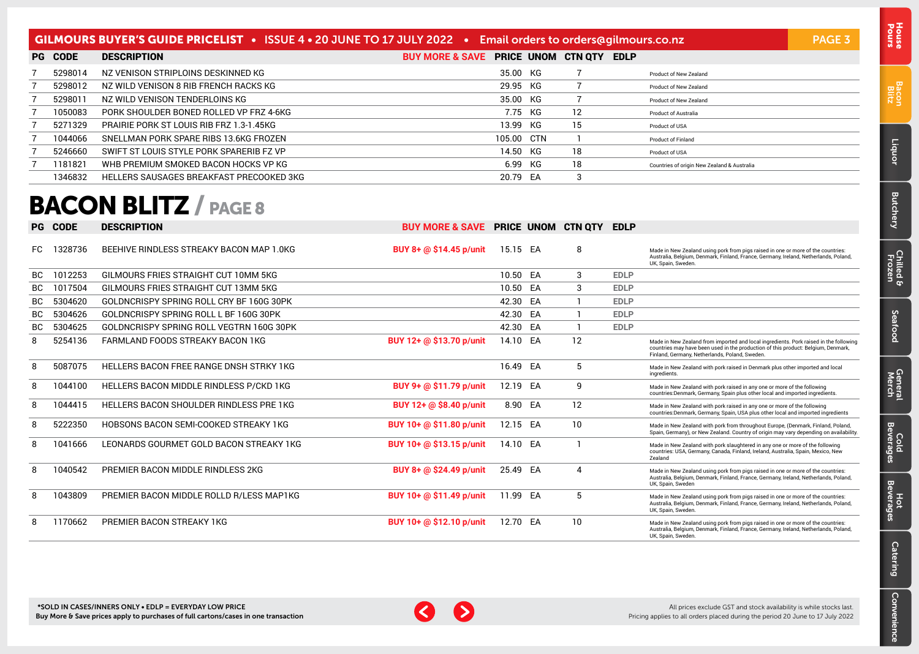### <span id="page-2-0"></span>GILMOURS BUYER'S GUIDE PRICELIST • ISSUE 4 • 20 JUNE TO 17 JULY 2022 • Email orders to [orders@gilmours.co.nz](mailto:orders%40gilmours.co.nz?subject=) PAGE 3

| PG | <b>CODE</b> | <b>DESCRIPTION</b>                       | BUY MORE & SAVE PRICE UNOM CTN QTY EDLP |            |     |                                             |
|----|-------------|------------------------------------------|-----------------------------------------|------------|-----|---------------------------------------------|
|    | 5298014     | NZ VENISON STRIPLOINS DESKINNED KG       |                                         | 35.00 KG   |     | Product of New Zealand                      |
|    | 5298012     | NZ WILD VENISON 8 RIB FRENCH RACKS KG    |                                         | 29.95 KG   |     | Product of New Zealand                      |
|    | 5298011     | NZ WILD VENISON TENDERLOINS KG           |                                         | 35.00 KG   |     | Product of New Zealand                      |
|    | 1050083     | PORK SHOULDER BONED ROLLED VP FRZ 4-6KG  |                                         | 7.75 KG    | 12. | <b>Product of Australia</b>                 |
|    | 5271329     | PRAIRIE PORK ST LOUIS RIB FRZ 1.3-1.45KG |                                         | 13.99 KG   | 15  | Product of USA                              |
|    | 1044066     | SNELLMAN PORK SPARE RIBS 13.6KG FROZEN   |                                         | 105.00 CTN |     | <b>Product of Finland</b>                   |
|    | 5246660     | SWIFT ST LOUIS STYLE PORK SPARERIB FZ VP |                                         | 14.50 KG   | 18  | Product of USA                              |
|    | 1181821     | WHB PREMIUM SMOKED BACON HOCKS VP KG     |                                         | 6.99 KG    | 18  | Countries of origin New Zealand & Australia |
|    | 1346832     | HELLERS SAUSAGES BREAKFAST PRECOOKED 3KG |                                         | 20.79 EA   | 3   |                                             |

### BACON BLITZ / PAGE 8

| PG.       | <b>CODE</b> | <b>DESCRIPTION</b>                             | <b>BUY MORE &amp; SAVE PRICE UNOM CTN OTY EDLP</b> |          |    |    |             |                                                                                                                                                                                                                              |
|-----------|-------------|------------------------------------------------|----------------------------------------------------|----------|----|----|-------------|------------------------------------------------------------------------------------------------------------------------------------------------------------------------------------------------------------------------------|
| FC.       | 328736      | BEEHIVE RINDLESS STREAKY BACON MAP 1.0KG       | BUY 8+ @ \$14.45 p/unit                            | 15.15 EA |    | 8  |             | Made in New Zealand using pork from pigs raised in one or more of the countries:<br>Australia, Belgium, Denmark, Finland, France, Germany, Ireland, Netherlands, Poland,<br>UK, Spain, Sweden.                               |
| <b>BC</b> | 1012253     | GILMOURS FRIES STRAIGHT CUT 10MM 5KG           |                                                    | 10.50    | EA | 3  | <b>EDLP</b> |                                                                                                                                                                                                                              |
| ВC        | 1017504     | GILMOURS FRIES STRAIGHT CUT 13MM 5KG           |                                                    | 10.50    | EA | 3  | <b>EDLP</b> |                                                                                                                                                                                                                              |
| ВC        | 5304620     | GOLDNCRISPY SPRING ROLL CRY BF 160G 30PK       |                                                    | 42.30 EA |    |    | <b>EDLP</b> |                                                                                                                                                                                                                              |
| BC.       | 5304626     | GOLDNCRISPY SPRING ROLL L BF 160G 30PK         |                                                    | 42.30    | EA |    | <b>EDLP</b> |                                                                                                                                                                                                                              |
| <b>BC</b> | 5304625     | GOLDNCRISPY SPRING ROLL VEGTRN 160G 30PK       |                                                    | 42.30 EA |    |    | <b>EDLP</b> |                                                                                                                                                                                                                              |
| 8         | 5254136     | FARMLAND FOODS STREAKY BACON 1KG               | BUY 12+ @ \$13.70 p/unit                           | 14.10    | EA | 12 |             | Made in New Zealand from imported and local ingredients. Pork raised in the following<br>countries may have been used in the production of this product: Belgium, Denmark,<br>Finland, Germany, Netherlands, Poland, Sweden. |
| 8         | 5087075     | HELLERS BACON FREE RANGE DNSH STRKY 1KG        |                                                    | 16.49    | EA | 5  |             | Made in New Zealand with pork raised in Denmark plus other imported and local<br>ingredients.                                                                                                                                |
| 8         | 1044100     | <b>HELLERS BACON MIDDLE RINDLESS P/CKD 1KG</b> | BUY 9+ @ \$11.79 p/unit                            | 12.19    | EA | 9  |             | Made in New Zealand with pork raised in any one or more of the following<br>countries:Denmark, Germany, Spain plus other local and imported ingredients.                                                                     |
| 8         | 1044415     | HELLERS BACON SHOULDER RINDLESS PRE 1KG        | BUY 12+ @ \$8.40 p/unit                            | 8.90     | EA | 12 |             | Made in New Zealand with pork raised in any one or more of the following<br>countries:Denmark, Germany, Spain, USA plus other local and imported ingredients                                                                 |
| 8         | 5222350     | HOBSONS BACON SEMI-COOKED STREAKY 1KG          | BUY 10+ @ \$11.80 p/unit                           | 12.15 EA |    | 10 |             | Made in New Zealand with pork from throughout Europe, (Denmark, Finland, Poland,<br>Spain, Germany), or New Zealand. Country of origin may vary depending on availability.                                                   |
| 8         | 1041666     | LEONARDS GOURMET GOLD BACON STREAKY 1KG        | BUY 10+ @ \$13.15 p/unit                           | 14.10    | EA |    |             | Made in New Zealand with pork slaughtered in any one or more of the following<br>countries: USA, Germany, Canada, Finland, Ireland, Australia, Spain, Mexico, New<br><b>Zealand</b>                                          |
| 8         | 1040542     | PREMIER BACON MIDDLE RINDLESS 2KG              | BUY 8+ @ \$24.49 p/unit                            | 25.49    | EA | 4  |             | Made in New Zealand using pork from pigs raised in one or more of the countries:<br>Australia, Belgium, Denmark, Finland, France, Germany, Ireland, Netherlands, Poland,<br>UK. Spain, Sweden                                |
| 8         | 1043809     | PREMIER BACON MIDDLE ROLLD R/LESS MAP1KG       | BUY 10+ @ \$11.49 p/unit                           | 11.99    | EA | -5 |             | Made in New Zealand using pork from pigs raised in one or more of the countries:<br>Australia, Belgium, Denmark, Finland, France, Germany, Ireland, Netherlands, Poland,<br>UK, Spain, Sweden.                               |
| 8         | 1170662     | PREMIER BACON STREAKY 1KG                      | BUY 10+ @ \$12.10 p/unit                           | 12.70    | EA | 10 |             | Made in New Zealand using pork from pigs raised in one or more of the countries:<br>Australia, Belgium, Denmark, Finland, France, Germany, Ireland, Netherlands, Poland,<br>UK, Spain, Sweden.                               |



Bacon Blitz

[Liquor](#page-23-0)

**[Butchery](#page-0-0)** 

[Chilled & Frozen](#page-3-0)

[Seafood](#page-6-0)

Seafood

[General](#page-7-0) Cold<br>Merch Beverages

Cold<br>Beverages

General<br>Merch

Hot<br>Beverages

[Catering](#page-16-0)

[Convenience](#page-11-0)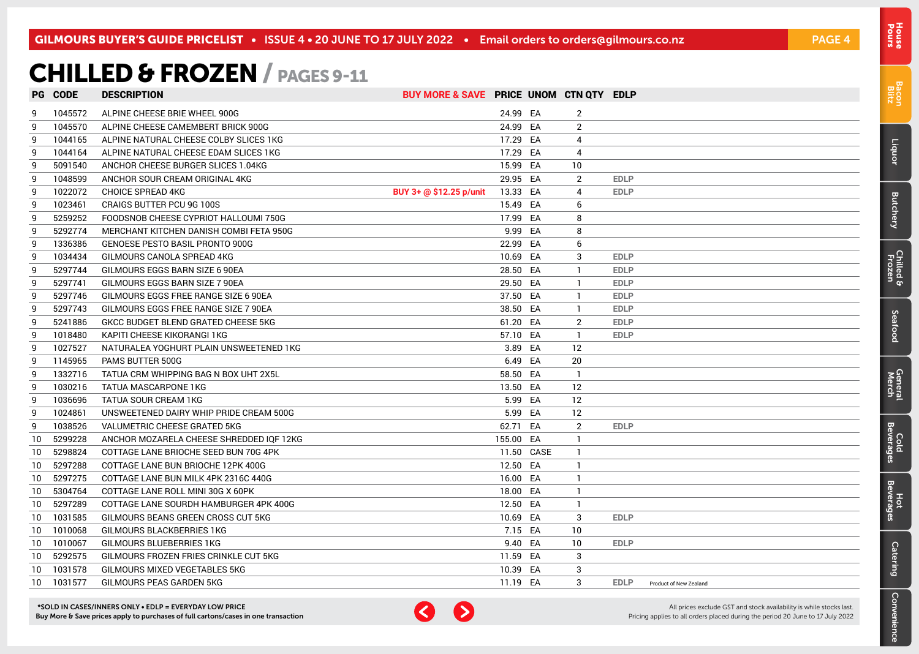## <span id="page-3-0"></span>CHILLED & FROZEN / PAGES 9-11

|                 | <b>PG CODE</b> | <b>DESCRIPTION</b>                       | BUY MORE & SAVE PRICE UNOM CTN QTY EDLP |           |            |                |             |                        |
|-----------------|----------------|------------------------------------------|-----------------------------------------|-----------|------------|----------------|-------------|------------------------|
| -9              | 1045572        | ALPINE CHEESE BRIE WHEEL 900G            |                                         | 24.99 EA  |            | 2              |             |                        |
| -9              | 1045570        | ALPINE CHEESE CAMEMBERT BRICK 900G       |                                         | 24.99 EA  |            | $\overline{2}$ |             |                        |
| 9               | 1044165        | ALPINE NATURAL CHEESE COLBY SLICES 1KG   |                                         | 17.29 EA  |            | 4              |             |                        |
| 9               | 1044164        | ALPINE NATURAL CHEESE EDAM SLICES 1KG    |                                         | 17.29 EA  |            | $\overline{4}$ |             |                        |
| 9               | 5091540        | ANCHOR CHEESE BURGER SLICES 1.04KG       |                                         | 15.99 EA  |            | 10             |             |                        |
| -9              | 1048599        | ANCHOR SOUR CREAM ORIGINAL 4KG           |                                         | 29.95 EA  |            | $\overline{2}$ | <b>EDLP</b> |                        |
| 9               | 1022072        | <b>CHOICE SPREAD 4KG</b>                 | BUY 3+ @ \$12.25 p/unit                 | 13.33 EA  |            | 4              | <b>EDLP</b> |                        |
| 9               | 1023461        | CRAIGS BUTTER PCU 9G 100S                |                                         | 15.49 EA  |            | 6              |             |                        |
| 9               | 5259252        | FOODSNOB CHEESE CYPRIOT HALLOUMI 750G    |                                         | 17.99 EA  |            | 8              |             |                        |
| 9               | 5292774        | MERCHANT KITCHEN DANISH COMBI FETA 950G  |                                         | 9.99 EA   |            | 8              |             |                        |
| 9               | 1336386        | <b>GENOESE PESTO BASIL PRONTO 900G</b>   |                                         | 22.99 EA  |            | 6              |             |                        |
| 9               | 1034434        | GILMOURS CANOLA SPREAD 4KG               |                                         | 10.69 EA  |            | 3              | <b>EDLP</b> |                        |
| 9               | 5297744        | GILMOURS EGGS BARN SIZE 6 90EA           |                                         | 28.50 EA  |            |                | <b>EDLP</b> |                        |
| 9               | 5297741        | GILMOURS EGGS BARN SIZE 7 90EA           |                                         | 29.50 EA  |            | -1             | <b>EDLP</b> |                        |
| 9               | 5297746        | GILMOURS EGGS FREE RANGE SIZE 6 90EA     |                                         | 37.50 EA  |            | -1             | <b>EDLP</b> |                        |
| 9               | 5297743        | GILMOURS EGGS FREE RANGE SIZE 7 90EA     |                                         | 38.50 EA  |            | $\mathbf{1}$   | <b>EDLP</b> |                        |
| 9               | 5241886        | GKCC BUDGET BLEND GRATED CHEESE 5KG      |                                         | 61.20 EA  |            | 2              | <b>EDLP</b> |                        |
| 9               | 1018480        | KAPITI CHEESE KIKORANGI 1KG              |                                         | 57.10 EA  |            | $\mathbf{1}$   | <b>EDLP</b> |                        |
| 9               | 1027527        | NATURALEA YOGHURT PLAIN UNSWEETENED 1KG  |                                         | 3.89 EA   |            | 12             |             |                        |
| -9              | 1145965        | PAMS BUTTER 500G                         |                                         | 6.49 EA   |            | 20             |             |                        |
| 9               | 1332716        | TATUA CRM WHIPPING BAG N BOX UHT 2X5L    |                                         | 58.50 EA  |            | -1             |             |                        |
| 9               | 1030216        | TATUA MASCARPONE 1KG                     |                                         | 13.50 EA  |            | 12             |             |                        |
| 9               | 1036696        | TATUA SOUR CREAM 1KG                     |                                         | 5.99 EA   |            | 12             |             |                        |
| 9               | 1024861        | UNSWEETENED DAIRY WHIP PRIDE CREAM 500G  |                                         | 5.99 EA   |            | 12             |             |                        |
| 9               | 1038526        | VALUMETRIC CHEESE GRATED 5KG             |                                         | 62.71 EA  |            | 2              | <b>EDLP</b> |                        |
| 10              | 5299228        | ANCHOR MOZARELA CHEESE SHREDDED IQF 12KG |                                         | 155.00 EA |            | -1             |             |                        |
| 10              | 5298824        | COTTAGE LANE BRIOCHE SEED BUN 70G 4PK    |                                         |           | 11.50 CASE | $\mathbf{1}$   |             |                        |
| 10              | 5297288        | COTTAGE LANE BUN BRIOCHE 12PK 400G       |                                         | 12.50 EA  |            | $\mathbf{1}$   |             |                        |
| 10              | 5297275        | COTTAGE LANE BUN MILK 4PK 2316C 440G     |                                         | 16.00 EA  |            | $\mathbf{1}$   |             |                        |
| 10              | 5304764        | COTTAGE LANE ROLL MINI 30G X 60PK        |                                         | 18.00 EA  |            | -1             |             |                        |
| 10              | 5297289        | COTTAGE LANE SOURDH HAMBURGER 4PK 400G   |                                         | 12.50 EA  |            | -1             |             |                        |
| 10              | 1031585        | GILMOURS BEANS GREEN CROSS CUT 5KG       |                                         | 10.69 EA  |            | 3              | <b>EDLP</b> |                        |
| 10 <sup>°</sup> | 1010068        | GILMOURS BLACKBERRIES 1KG                |                                         | 7.15 EA   |            | 10             |             |                        |
| 10 <sup>°</sup> | 1010067        | GILMOURS BLUEBERRIES 1KG                 |                                         | 9.40 EA   |            | 10             | <b>EDLP</b> |                        |
| 10              | 5292575        | GILMOURS FROZEN FRIES CRINKLE CUT 5KG    |                                         | 11.59 EA  |            | 3              |             |                        |
| 10              | 1031578        | GILMOURS MIXED VEGETABLES 5KG            |                                         | 10.39 EA  |            | 3              |             |                        |
| 10              | 1031577        | GILMOURS PEAS GARDEN 5KG                 |                                         | 11.19 EA  |            | 3              | <b>EDLP</b> | Product of New Zealand |



All prices exclude GST and stock availability is while stocks last. Pricing applies to all orders placed during the period 20 June to 17 July 2022

[Bacon](#page-2-0) Blitz

Pours [House](#page-0-0)

[Liquor](#page-23-0)

**[Butchery](#page-0-0)** 

Chilled & Frozen

[Seafood](#page-6-0)

Seafood

[General](#page-7-0) Cold<br>Merch Beverages

Cold<br>Beverages

General<br>Merch

Hot<br>Beverages

**[Catering](#page-16-0)** 

[Convenience](#page-11-0)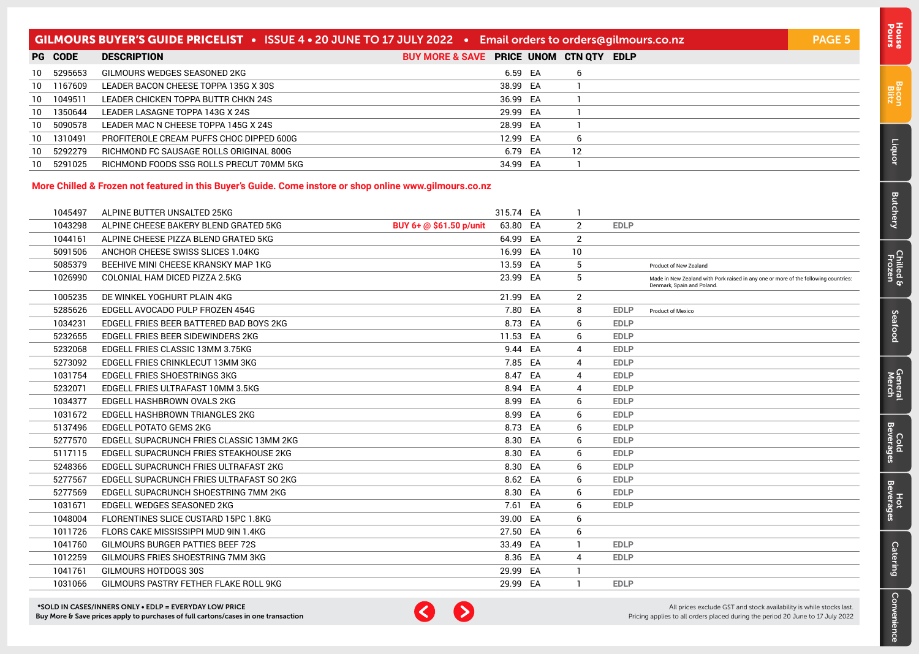### GILMOURS BUYER'S GUIDE PRICELIST • ISSUE 4 • 20 JUNE TO 17 JULY 2022 • Email orders to [orders@gilmours.co.nz](mailto:orders%40gilmours.co.nz?subject=) PAGE 5

|      | <b>PG CODE</b> | <b>DESCRIPTION</b>                       | BUY MORE & SAVE PRICE UNOM CTN QTY EDLP |          |    |  |
|------|----------------|------------------------------------------|-----------------------------------------|----------|----|--|
|      | 10 5295653     | GILMOURS WEDGES SEASONED 2KG             |                                         | 6.59 EA  |    |  |
| 10   | 1167609        | LEADER BACON CHEESE TOPPA 135G X 30S     |                                         | 38.99 EA |    |  |
| 10   | 1049511        | LEADER CHICKEN TOPPA BUTTR CHKN 24S      |                                         | 36.99 EA |    |  |
| 10 I | 1350644        | LEADER LASAGNE TOPPA 143G X 24S          |                                         | 29.99 EA |    |  |
| 10   | 5090578        | LEADER MAC N CHEESE TOPPA 145G X 24S     |                                         | 28.99 EA |    |  |
|      | 10 1310491     | PROFITEROLE CREAM PUFFS CHOC DIPPED 600G |                                         | 12.99 EA |    |  |
| 10 I | 5292279        | RICHMOND FC SAUSAGE ROLLS ORIGINAL 800G  |                                         | 6.79 EA  | 12 |  |
| 10   | 5291025        | RICHMOND FOODS SSG ROLLS PRECUT 70MM 5KG |                                         | 34.99 EA |    |  |

#### **More Chilled & Frozen not featured in this Buyer's Guide. Come instore or shop online www.gilmours.co.nz**

| 1045497 | ALPINE BUTTER UNSALTED 25KG              |                         | 315.74 EA |                |             |                                                                                                                   |
|---------|------------------------------------------|-------------------------|-----------|----------------|-------------|-------------------------------------------------------------------------------------------------------------------|
| 1043298 | ALPINE CHEESE BAKERY BLEND GRATED 5KG    | BUY 6+ @ \$61.50 p/unit | 63.80 EA  | $\overline{2}$ | <b>EDLP</b> |                                                                                                                   |
| 1044161 | ALPINE CHEESE PIZZA BLEND GRATED 5KG     |                         | 64.99 EA  | $\overline{2}$ |             |                                                                                                                   |
| 5091506 | ANCHOR CHEESE SWISS SLICES 1.04KG        |                         | 16.99 EA  | 10             |             |                                                                                                                   |
| 5085379 | BEEHIVE MINI CHEESE KRANSKY MAP 1KG      |                         | 13.59 EA  | 5              |             | Product of New Zealand                                                                                            |
| 1026990 | COLONIAL HAM DICED PIZZA 2.5KG           |                         | 23.99 EA  | 5              |             | Made in New Zealand with Pork raised in any one or more of the following countries:<br>Denmark, Spain and Poland. |
| 1005235 | DE WINKEL YOGHURT PLAIN 4KG              |                         | 21.99 EA  | 2              |             |                                                                                                                   |
| 5285626 | EDGELL AVOCADO PULP FROZEN 454G          |                         | 7.80 EA   | 8              | <b>EDLP</b> | Product of Mexico                                                                                                 |
| 1034231 | EDGELL FRIES BEER BATTERED BAD BOYS 2KG  |                         | 8.73 EA   | 6              | <b>EDLP</b> |                                                                                                                   |
| 5232655 | EDGELL FRIES BEER SIDEWINDERS 2KG        |                         | 11.53 EA  | 6              | <b>EDLP</b> |                                                                                                                   |
| 5232068 | EDGELL FRIES CLASSIC 13MM 3.75KG         |                         | 9.44 EA   | 4              | <b>EDLP</b> |                                                                                                                   |
| 5273092 | EDGELL FRIES CRINKLECUT 13MM 3KG         |                         | 7.85 EA   | 4              | <b>EDLP</b> |                                                                                                                   |
| 1031754 | <b>EDGELL FRIES SHOESTRINGS 3KG</b>      |                         | 8.47 EA   | 4              | <b>EDLP</b> |                                                                                                                   |
| 5232071 | EDGELL FRIES ULTRAFAST 10MM 3.5KG        |                         | 8.94 EA   | 4              | <b>EDLP</b> |                                                                                                                   |
| 1034377 | EDGELL HASHBROWN OVALS 2KG               |                         | 8.99 EA   | 6              | <b>EDLP</b> |                                                                                                                   |
| 1031672 | EDGELL HASHBROWN TRIANGLES 2KG           |                         | 8.99 EA   | 6              | <b>EDLP</b> |                                                                                                                   |
| 5137496 | <b>EDGELL POTATO GEMS 2KG</b>            |                         | 8.73 EA   | 6              | <b>EDLP</b> |                                                                                                                   |
| 5277570 | EDGELL SUPACRUNCH FRIES CLASSIC 13MM 2KG |                         | 8.30 EA   | 6              | <b>EDLP</b> |                                                                                                                   |
| 5117115 | EDGELL SUPACRUNCH FRIES STEAKHOUSE 2KG   |                         | 8.30 EA   | 6              | <b>EDLP</b> |                                                                                                                   |
| 5248366 | EDGELL SUPACRUNCH FRIES ULTRAFAST 2KG    |                         | 8.30 EA   | 6              | <b>EDLP</b> |                                                                                                                   |
| 5277567 | EDGELL SUPACRUNCH FRIES ULTRAFAST SO 2KG |                         | 8.62 EA   | 6              | <b>EDLP</b> |                                                                                                                   |
| 5277569 | EDGELL SUPACRUNCH SHOESTRING 7MM 2KG     |                         | 8.30 EA   | 6              | <b>EDLP</b> |                                                                                                                   |
| 1031671 | EDGELL WEDGES SEASONED 2KG               |                         | 7.61 EA   | 6              | <b>EDLP</b> |                                                                                                                   |
| 1048004 | FLORENTINES SLICE CUSTARD 15PC 1.8KG     |                         | 39.00 EA  | 6              |             |                                                                                                                   |
| 1011726 | FLORS CAKE MISSISSIPPI MUD 9IN 1.4KG     |                         | 27.50 EA  | 6              |             |                                                                                                                   |
| 1041760 | GILMOURS BURGER PATTIES BEEF 72S         |                         | 33.49 EA  | $\mathbf{1}$   | <b>EDLP</b> |                                                                                                                   |
| 1012259 | GILMOURS FRIES SHOESTRING 7MM 3KG        |                         | 8.36 EA   | 4              | <b>EDLP</b> |                                                                                                                   |
| 1041761 | GILMOURS HOTDOGS 30S                     |                         | 29.99 EA  |                |             |                                                                                                                   |
| 1031066 | GILMOURS PASTRY FETHER FLAKE ROLL 9KG    |                         | 29.99 EA  |                | <b>EDLP</b> |                                                                                                                   |

\*SOLD IN CASES/INNERS ONLY • EDLP = EVERYDAY LOW PRICE Buy More & Save prices apply to purchases of full cartons/cases in one transaction



All prices exclude GST and stock availability is while stocks last. Pricing applies to all orders placed during the period 20 June to 17 July 2022

Pours [House](#page-0-0)

[Bacon](#page-2-0) Blitz

[Liquor](#page-23-0)

[Butchery](#page-0-0)

[Chilled & Frozen](#page-3-0)

Seafood [Seafood](#page-6-0)

General<br>Merch

[General](#page-7-0) Cold<br>Merch Beverages Cold<br>Beverag

[Convenience](#page-11-0)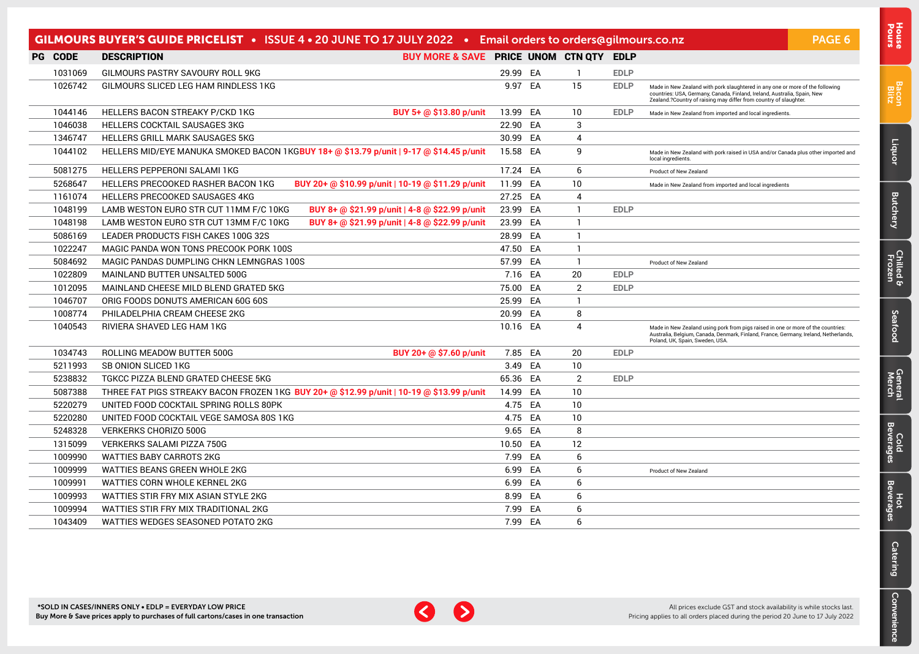|         | GILMOURS BUYER'S GUIDE PRICELIST • ISSUE 4 • 20 JUNE TO 17 JULY 2022 • Email orders to orders@gilmours.co.nz |          |    |                |             |                                                                                                                                                                                                                                | PAGE 6 |
|---------|--------------------------------------------------------------------------------------------------------------|----------|----|----------------|-------------|--------------------------------------------------------------------------------------------------------------------------------------------------------------------------------------------------------------------------------|--------|
| PG CODE | BUY MORE & SAVE PRICE UNOM CTN QTY EDLP<br><b>DESCRIPTION</b>                                                |          |    |                |             |                                                                                                                                                                                                                                |        |
| 1031069 | GILMOURS PASTRY SAVOURY ROLL 9KG                                                                             | 29.99 EA |    | -1             | <b>EDLP</b> |                                                                                                                                                                                                                                |        |
| 1026742 | GILMOURS SLICED LEG HAM RINDLESS 1KG                                                                         | 9.97 EA  |    | 15             | <b>EDLP</b> | Made in New Zealand with pork slaughtered in any one or more of the following<br>countries: USA, Germany, Canada, Finland, Ireland, Australia, Spain, New<br>Zealand.?Country of raising may differ from country of slaughter. |        |
| 1044146 | HELLERS BACON STREAKY P/CKD 1KG<br>BUY 5+ @ \$13.80 p/unit                                                   | 13.99 EA |    | 10             | <b>EDLP</b> | Made in New Zealand from imported and local ingredients                                                                                                                                                                        |        |
| 1046038 | <b>HELLERS COCKTAIL SAUSAGES 3KG</b>                                                                         | 22.90 EA |    | 3              |             |                                                                                                                                                                                                                                |        |
| 1346747 | <b>HELLERS GRILL MARK SAUSAGES 5KG</b>                                                                       | 30.99    | EA | 4              |             |                                                                                                                                                                                                                                |        |
| 1044102 | HELLERS MID/EYE MANUKA SMOKED BACON 1KGBUY 18+ @ \$13.79 p/unit   9-17 @ \$14.45 p/unit                      | 15.58 EA |    | 9              |             | Made in New Zealand with pork raised in USA and/or Canada plus other imported and<br>local ingredients.                                                                                                                        |        |
| 5081275 | HELLERS PEPPERONI SALAMI 1KG                                                                                 | 17.24 EA |    | 6              |             | Product of New Zealand                                                                                                                                                                                                         |        |
| 5268647 | <b>HELLERS PRECOOKED RASHER BACON 1KG</b><br>BUY 20+ @ \$10.99 p/unit   10-19 @ \$11.29 p/unit               | 11.99    | EA | 10             |             | Made in New Zealand from imported and local ingredients                                                                                                                                                                        |        |
| 1161074 | <b>HELLERS PRECOOKED SAUSAGES 4KG</b>                                                                        | 27.25 EA |    | $\overline{4}$ |             |                                                                                                                                                                                                                                |        |
| 1048199 | LAMB WESTON EURO STR CUT 11MM F/C 10KG<br>BUY 8+ @ \$21.99 p/unit   4-8 @ \$22.99 p/unit                     | 23.99 EA |    | -1             | <b>EDLP</b> |                                                                                                                                                                                                                                |        |
| 1048198 | LAMB WESTON EURO STR CUT 13MM F/C 10KG<br>BUY 8+ @ \$21.99 p/unit   4-8 @ \$22.99 p/unit                     | 23.99    | EA | 1              |             |                                                                                                                                                                                                                                |        |
| 5086169 | LEADER PRODUCTS FISH CAKES 100G 32S                                                                          | 28.99    | EA | $\mathbf{1}$   |             |                                                                                                                                                                                                                                |        |
| 1022247 | MAGIC PANDA WON TONS PRECOOK PORK 100S                                                                       | 47.50 EA |    | $\mathbf{1}$   |             |                                                                                                                                                                                                                                |        |
| 5084692 | MAGIC PANDAS DUMPLING CHKN LEMNGRAS 100S                                                                     | 57.99 EA |    | $\mathbf{1}$   |             | Product of New Zealand                                                                                                                                                                                                         |        |
| 1022809 | MAINLAND BUTTER UNSALTED 500G                                                                                | 7.16 EA  |    | 20             | <b>EDLP</b> |                                                                                                                                                                                                                                |        |
| 1012095 | MAINLAND CHEESE MILD BLEND GRATED 5KG                                                                        | 75.00    | EA | $\overline{2}$ | <b>EDLP</b> |                                                                                                                                                                                                                                |        |
| 1046707 | ORIG FOODS DONUTS AMERICAN 60G 60S                                                                           | 25.99    | EA | -1             |             |                                                                                                                                                                                                                                |        |
| 1008774 | PHILADELPHIA CREAM CHEESE 2KG                                                                                | 20.99 EA |    | 8              |             |                                                                                                                                                                                                                                |        |
| 1040543 | RIVIERA SHAVED LEG HAM 1KG                                                                                   | 10.16 EA |    | 4              |             | Made in New Zealand using pork from pigs raised in one or more of the countries:<br>Australia, Belgium, Canada, Denmark, Finland, France, Germany, Ireland, Netherlands,<br>Poland, UK, Spain, Sweden, USA,                    |        |
| 1034743 | ROLLING MEADOW BUTTER 500G<br>BUY 20+ @ \$7.60 p/unit                                                        | 7.85 EA  |    | 20             | <b>EDLP</b> |                                                                                                                                                                                                                                |        |
| 5211993 | <b>SB ONION SLICED 1KG</b>                                                                                   | 3.49     | EA | 10             |             |                                                                                                                                                                                                                                |        |
| 5238832 | TGKCC PIZZA BLEND GRATED CHEESE 5KG                                                                          | 65.36 EA |    | $\overline{2}$ | <b>EDLP</b> |                                                                                                                                                                                                                                |        |
| 5087388 | THREE FAT PIGS STREAKY BACON FROZEN 1KG BUY 20+ @ \$12.99 p/unit   10-19 @ \$13.99 p/unit                    | 14.99    | EA | 10             |             |                                                                                                                                                                                                                                |        |
| 5220279 | UNITED FOOD COCKTAIL SPRING ROLLS 80PK                                                                       | 4.75     | EA | 10             |             |                                                                                                                                                                                                                                |        |
| 5220280 | UNITED FOOD COCKTAIL VEGE SAMOSA 80S 1KG                                                                     | 4.75     | EA | 10             |             |                                                                                                                                                                                                                                |        |
| 5248328 | <b>VERKERKS CHORIZO 500G</b>                                                                                 | 9.65     | EA | 8              |             |                                                                                                                                                                                                                                |        |
| 1315099 | <b>VERKERKS SALAMI PIZZA 750G</b>                                                                            | 10.50    | EA | 12             |             |                                                                                                                                                                                                                                |        |
| 1009990 | <b>WATTIES BABY CARROTS 2KG</b>                                                                              | 7.99     | EA | 6              |             |                                                                                                                                                                                                                                |        |
| 1009999 | WATTIES BEANS GREEN WHOLE 2KG                                                                                | 6.99     | EA | 6              |             | Product of New Zealand                                                                                                                                                                                                         |        |
| 1009991 | WATTIES CORN WHOLE KERNEL 2KG                                                                                | 6.99     | EA | 6              |             |                                                                                                                                                                                                                                |        |
| 1009993 | WATTIES STIR FRY MIX ASIAN STYLE 2KG                                                                         | 8.99     | EA | 6              |             |                                                                                                                                                                                                                                |        |
| 1009994 | WATTIES STIR FRY MIX TRADITIONAL 2KG                                                                         | 7.99     | EA | 6              |             |                                                                                                                                                                                                                                |        |
| 1043409 | WATTIES WEDGES SEASONED POTATO 2KG                                                                           | 7.99 EA  |    | 6              |             |                                                                                                                                                                                                                                |        |



[Bacon](#page-2-0) Blitz

[Liquor](#page-23-0)

**[Butchery](#page-0-0)** 

[Chilled & Frozen](#page-3-0)

[Seafood](#page-6-0)

**Seafood** 

[General](#page-7-0) Cold<br>Merch Beverages

Cold<br>Beverages

General<br>Merch

Hot<br>Beverages

**[Catering](#page-16-0)** 

[Convenience](#page-11-0)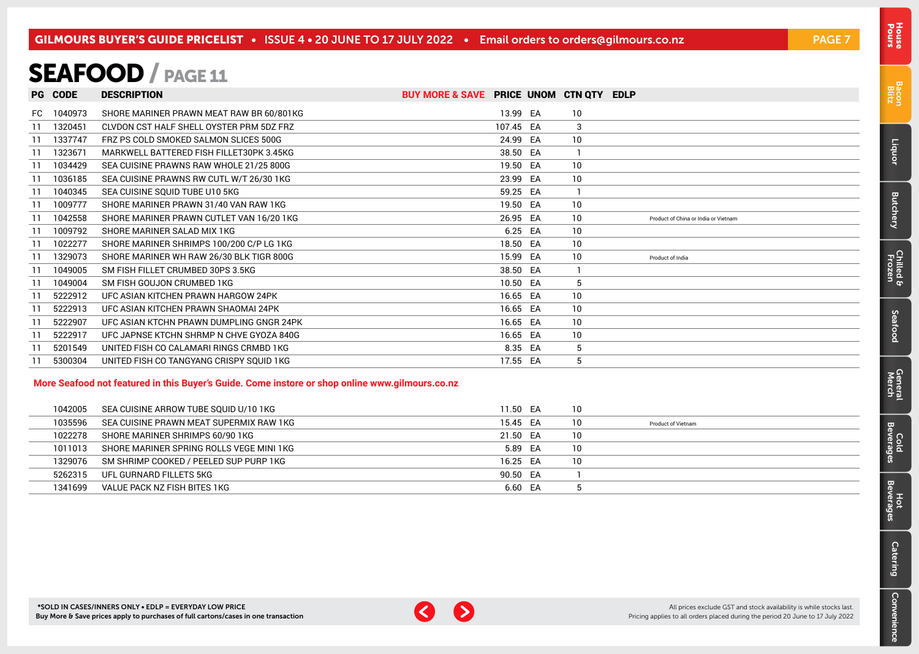### <span id="page-6-0"></span>SEAFOOD / PAGE 11

|     | <b>PG CODE</b> | <b>DESCRIPTION</b>                       | BUY MORE & SAVE PRICE UNOM CTN QTY EDLP |           |    |                                      |
|-----|----------------|------------------------------------------|-----------------------------------------|-----------|----|--------------------------------------|
| FC. | 1040973        | SHORE MARINER PRAWN MEAT RAW BR 60/801KG |                                         | 13.99 EA  | 10 |                                      |
| -11 | 1320451        | CLVDON CST HALF SHELL OYSTER PRM 5DZ FRZ |                                         | 107.45 EA | 3  |                                      |
|     | 1337747        | FRZ PS COLD SMOKED SALMON SLICES 500G    |                                         | 24.99 EA  | 10 |                                      |
|     | 1323671        | MARKWELL BATTERED FISH FILLET30PK 3.45KG |                                         | 38.50 EA  |    |                                      |
|     | 1034429        | SEA CUISINE PRAWNS RAW WHOLE 21/25 800G  |                                         | 19.50 EA  | 10 |                                      |
| -11 | 1036185        | SEA CUISINE PRAWNS RW CUTL W/T 26/30 1KG |                                         | 23.99 EA  | 10 |                                      |
| -11 | 1040345        | SEA CUISINE SQUID TUBE U10 5KG           |                                         | 59.25 EA  |    |                                      |
| -11 | 1009777        | SHORE MARINER PRAWN 31/40 VAN RAW 1KG    |                                         | 19.50 EA  | 10 |                                      |
|     | 1042558        | SHORE MARINER PRAWN CUTLET VAN 16/20 1KG |                                         | 26.95 EA  | 10 | Product of China or India or Vietnam |
| -11 | 1009792        | SHORE MARINER SALAD MIX 1KG              |                                         | 6.25 EA   | 10 |                                      |
|     | 1022277        | SHORE MARINER SHRIMPS 100/200 C/P LG 1KG |                                         | 18.50 EA  | 10 |                                      |
| -11 | 1329073        | SHORE MARINER WH RAW 26/30 BLK TIGR 800G |                                         | 15.99 EA  | 10 | Product of India                     |
|     | 1049005        | SM FISH FILLET CRUMBED 30PS 3.5KG        |                                         | 38.50 EA  |    |                                      |
|     | 1049004        | SM FISH GOUJON CRUMBED 1KG               |                                         | 10.50 EA  | 5  |                                      |
|     | 5222912        | UFC ASIAN KITCHEN PRAWN HARGOW 24PK      |                                         | 16.65 EA  | 10 |                                      |
| -11 | 5222913        | UFC ASIAN KITCHEN PRAWN SHAOMAI 24PK     |                                         | 16.65 EA  | 10 |                                      |
|     | 5222907        | UFC ASIAN KTCHN PRAWN DUMPLING GNGR 24PK |                                         | 16.65 EA  | 10 |                                      |
|     | 5222917        | UFC JAPNSE KTCHN SHRMP N CHVE GYOZA 840G |                                         | 16.65 EA  | 10 |                                      |
| -11 | 5201549        | UNITED FISH CO CALAMARI RINGS CRMBD 1KG  |                                         | 8.35 EA   | 5  |                                      |
|     | 5300304        | UNITED FISH CO TANGYANG CRISPY SOUID 1KG |                                         | 17.55 EA  | 5  |                                      |

#### **More Seafood not featured in this Buyer's Guide. Come instore or shop online www.gilmours.co.nz**

| 1042005 | SEA CUISINE ARROW TUBE SOUID U/10 1KG    | 11.50 EA | 10 |                           |
|---------|------------------------------------------|----------|----|---------------------------|
| 1035596 | SEA CUISINE PRAWN MEAT SUPERMIX RAW 1KG  | 15.45 EA | 10 | <b>Product of Vietnam</b> |
| 1022278 | SHORE MARINER SHRIMPS 60/90 1KG          | 21.50 EA | 10 |                           |
| 1011013 | SHORE MARINER SPRING ROLLS VEGE MINI 1KG | 5.89 EA  | 10 |                           |
| 1329076 | SM SHRIMP COOKED / PEELED SUP PURP 1KG   | 16.25 EA | 10 |                           |
| 5262315 | UFL GURNARD FILLETS 5KG                  | 90.50 EA |    |                           |
| 1341699 | VALUE PACK NZ FISH BITES 1KG             | 6.60 EA  |    |                           |

Pours [House](#page-0-0)

[Liquor](#page-23-0)



All prices exclude GST and stock availability is while stocks last. Pricing applies to all orders placed during the period 20 June to 17 July 2022 Convenience [Convenience](#page-11-0)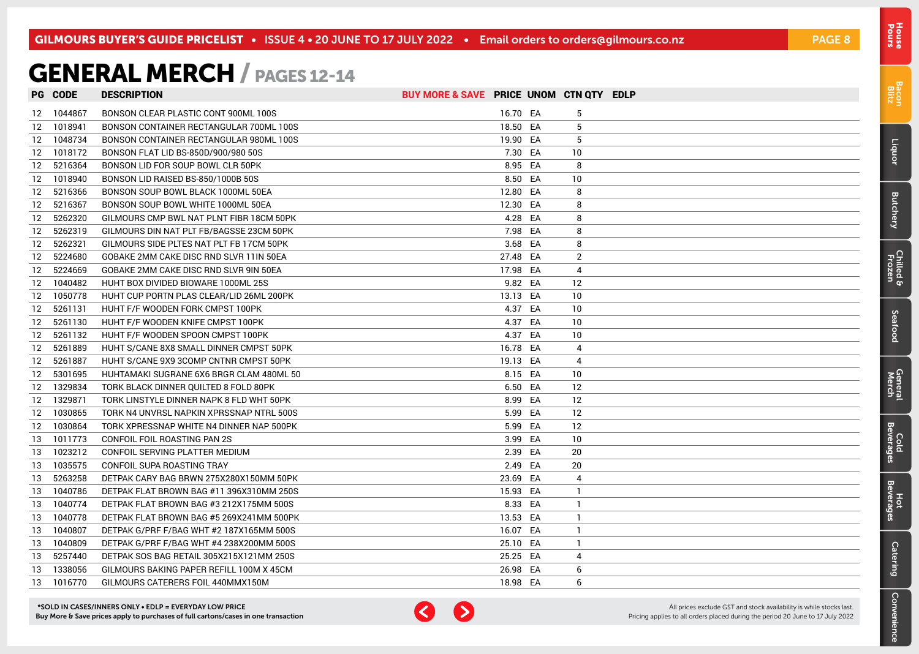### <span id="page-7-0"></span>GENERAL MERCH / PAGES 12-14

|    | <b>PG CODE</b> | <b>DESCRIPTION</b>                       | BUY MORE & SAVE PRICE UNOM CTN QTY EDLP |          |              |  |
|----|----------------|------------------------------------------|-----------------------------------------|----------|--------------|--|
|    | 12 1044867     | BONSON CLEAR PLASTIC CONT 900ML 100S     |                                         | 16.70 EA | 5            |  |
|    | 12 1018941     | BONSON CONTAINER RECTANGULAR 700ML 100S  |                                         | 18.50 EA | 5            |  |
|    | 12 1048734     | BONSON CONTAINER RECTANGULAR 980ML 100S  |                                         | 19.90 EA | 5            |  |
|    | 12 1018172     | BONSON FLAT LID BS-850D/900/980 50S      |                                         | 7.30 EA  | 10           |  |
|    | 12 5216364     | BONSON LID FOR SOUP BOWL CLR 50PK        |                                         | 8.95 EA  | 8            |  |
|    | 12 1018940     | BONSON LID RAISED BS-850/1000B 50S       |                                         | 8.50 EA  | 10           |  |
| 12 | 5216366        | BONSON SOUP BOWL BLACK 1000ML 50EA       |                                         | 12.80 EA | 8            |  |
| 12 | 5216367        | BONSON SOUP BOWL WHITE 1000ML 50EA       |                                         | 12.30 EA | 8            |  |
| 12 | 5262320        | GILMOURS CMP BWL NAT PLNT FIBR 18CM 50PK |                                         | 4.28 EA  | 8            |  |
| 12 | 5262319        | GILMOURS DIN NAT PLT FB/BAGSSE 23CM 50PK |                                         | 7.98 EA  | 8            |  |
| 12 | 5262321        | GILMOURS SIDE PLTES NAT PLT FB 17CM 50PK |                                         | 3.68 EA  | 8            |  |
| 12 | 5224680        | GOBAKE 2MM CAKE DISC RND SLVR 11IN 50EA  |                                         | 27.48 EA | 2            |  |
| 12 | 5224669        | GOBAKE 2MM CAKE DISC RND SLVR 9IN 50EA   |                                         | 17.98 EA | 4            |  |
| 12 | 1040482        | HUHT BOX DIVIDED BIOWARE 1000ML 25S      |                                         | 9.82 EA  | 12           |  |
| 12 | 1050778        | HUHT CUP PORTN PLAS CLEAR/LID 26ML 200PK |                                         | 13.13 EA | 10           |  |
| 12 | 5261131        | HUHT F/F WOODEN FORK CMPST 100PK         |                                         | 4.37 EA  | 10           |  |
| 12 | 5261130        | HUHT F/F WOODEN KNIFE CMPST 100PK        |                                         | 4.37 EA  | 10           |  |
| 12 | 5261132        | HUHT F/F WOODEN SPOON CMPST 100PK        |                                         | 4.37 EA  | 10           |  |
| 12 | 5261889        | HUHT S/CANE 8X8 SMALL DINNER CMPST 50PK  |                                         | 16.78 EA | 4            |  |
| 12 | 5261887        | HUHT S/CANE 9X9 3COMP CNTNR CMPST 50PK   |                                         | 19.13 EA | 4            |  |
| 12 | 5301695        | HUHTAMAKI SUGRANE 6X6 BRGR CLAM 480ML 50 |                                         | 8.15 EA  | 10           |  |
|    | 12 1329834     | TORK BLACK DINNER QUILTED 8 FOLD 80PK    |                                         | 6.50 EA  | 12           |  |
|    | 12 1329871     | TORK LINSTYLE DINNER NAPK 8 FLD WHT 50PK |                                         | 8.99 EA  | 12           |  |
|    | 12 1030865     | TORK N4 UNVRSL NAPKIN XPRSSNAP NTRL 500S |                                         | 5.99 EA  | 12           |  |
|    | 12 1030864     | TORK XPRESSNAP WHITE N4 DINNER NAP 500PK |                                         | 5.99 EA  | 12           |  |
| 13 | 1011773        | CONFOIL FOIL ROASTING PAN 2S             |                                         | 3.99 EA  | 10           |  |
| 13 | 1023212        | CONFOIL SERVING PLATTER MEDIUM           |                                         | 2.39 EA  | 20           |  |
| 13 | 1035575        | CONFOIL SUPA ROASTING TRAY               |                                         | 2.49 EA  | 20           |  |
| 13 | 5263258        | DETPAK CARY BAG BRWN 275X280X150MM 50PK  |                                         | 23.69 EA | 4            |  |
| 13 | 1040786        | DETPAK FLAT BROWN BAG #11 396X310MM 250S |                                         | 15.93 EA | $\mathbf{1}$ |  |
| 13 | 1040774        | DETPAK FLAT BROWN BAG #3 212X175MM 500S  |                                         | 8.33 EA  | -1           |  |
| 13 | 1040778        | DETPAK FLAT BROWN BAG #5 269X241MM 500PK |                                         | 13.53 EA | -1           |  |
| 13 | 1040807        | DETPAK G/PRF F/BAG WHT #2 187X165MM 500S |                                         | 16.07 EA | -1           |  |
| 13 | 1040809        | DETPAK G/PRF F/BAG WHT #4 238X200MM 500S |                                         | 25.10 EA | $\mathbf{1}$ |  |
| 13 | 5257440        | DETPAK SOS BAG RETAIL 305X215X121MM 250S |                                         | 25.25 EA | 4            |  |
| 13 | 1338056        | GILMOURS BAKING PAPER REFILL 100M X 45CM |                                         | 26.98 EA | 6            |  |
| 13 | 1016770        | GILMOURS CATERERS FOIL 440MMX150M        |                                         | 18.98 EA | 6            |  |

\*SOLD IN CASES/INNERS ONLY • EDLP = EVERYDAY LOW PRICE Buy More & Save prices apply to purchases of full cartons/cases in one transaction



All prices exclude GST and stock availability is while stocks last. Pricing applies to all orders placed during the period 20 June to 17 July 2022

[Bacon](#page-2-0) Blitz

Pours [House](#page-0-0)

[Liquor](#page-23-0)

**[Butchery](#page-0-0)** 

[Chilled & Frozen](#page-3-0)

[Seafood](#page-6-0)

Seafood

General Cold<br>Merch Beverages

Cold<br>Beverages

General<br>Merch

Hot<br>Beverages

**[Catering](#page-16-0)** 

[Convenience](#page-11-0)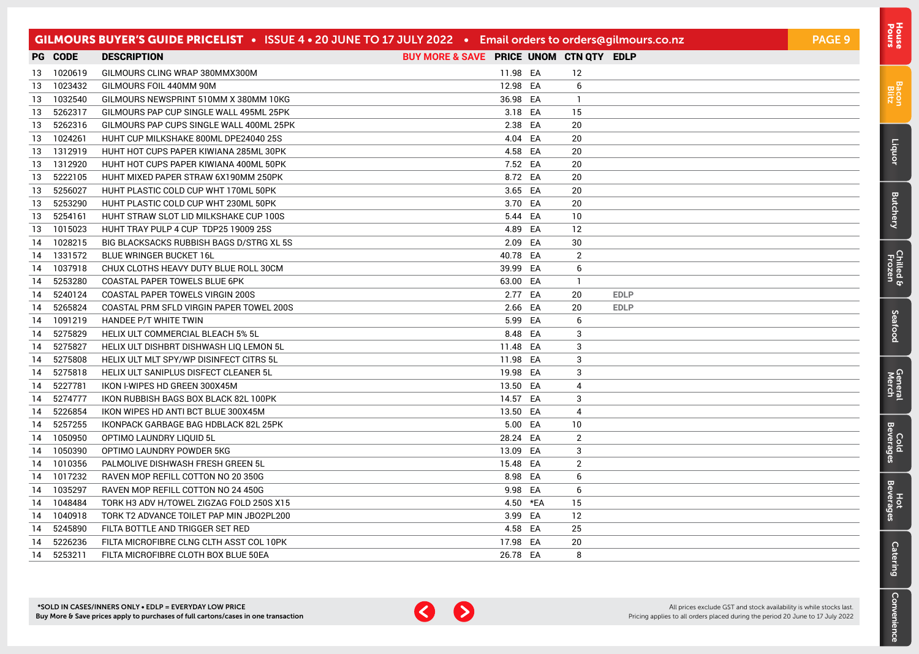|    |                | GILMOURS BUYER'S GUIDE PRICELIST • ISSUE 4 • 20 JUNE TO 17 JULY 2022 • Email orders to orders@gilmours.co.nz |                                         |          |                |             | <b>PAGE 9</b> |
|----|----------------|--------------------------------------------------------------------------------------------------------------|-----------------------------------------|----------|----------------|-------------|---------------|
|    | <b>PG CODE</b> | <b>DESCRIPTION</b>                                                                                           | BUY MORE & SAVE PRICE UNOM CTN QTY EDLP |          |                |             |               |
| 13 | 1020619        | GILMOURS CLING WRAP 380MMX300M                                                                               | 11.98 EA                                |          | 12             |             |               |
| 13 | 1023432        | GILMOURS FOIL 440MM 90M                                                                                      | 12.98 EA                                |          | 6              |             |               |
| 13 | 1032540        | GILMOURS NEWSPRINT 510MM X 380MM 10KG                                                                        | 36.98 EA                                |          | -1             |             |               |
| 13 | 5262317        | GILMOURS PAP CUP SINGLE WALL 495ML 25PK                                                                      | 3.18 EA                                 |          | 15             |             |               |
| 13 | 5262316        | GILMOURS PAP CUPS SINGLE WALL 400ML 25PK                                                                     | 2.38 EA                                 |          | 20             |             |               |
| 13 | 1024261        | HUHT CUP MILKSHAKE 800ML DPE24040 25S                                                                        | 4.04 EA                                 |          | 20             |             |               |
| 13 | 1312919        | HUHT HOT CUPS PAPER KIWIANA 285ML 30PK                                                                       | 4.58 EA                                 |          | 20             |             |               |
| 13 | 1312920        | HUHT HOT CUPS PAPER KIWIANA 400ML 50PK                                                                       | 7.52 EA                                 |          | 20             |             |               |
| 13 | 5222105        | HUHT MIXED PAPER STRAW 6X190MM 250PK                                                                         | 8.72 EA                                 |          | 20             |             |               |
| 13 | 5256027        | HUHT PLASTIC COLD CUP WHT 170ML 50PK                                                                         | 3.65 EA                                 |          | 20             |             |               |
| 13 | 5253290        | HUHT PLASTIC COLD CUP WHT 230ML 50PK                                                                         | 3.70 EA                                 |          | 20             |             |               |
| 13 | 5254161        | HUHT STRAW SLOT LID MILKSHAKE CUP 100S                                                                       | 5.44 EA                                 |          | 10             |             |               |
| 13 | 1015023        | HUHT TRAY PULP 4 CUP TDP25 19009 25S                                                                         | 4.89 EA                                 |          | 12             |             |               |
| 14 | 1028215        | BIG BLACKSACKS RUBBISH BAGS D/STRG XL 5S                                                                     | 2.09 EA                                 |          | 30             |             |               |
|    | 14 1331572     | <b>BLUE WRINGER BUCKET 16L</b>                                                                               | 40.78 EA                                |          | $\overline{2}$ |             |               |
| 14 | 1037918        | CHUX CLOTHS HEAVY DUTY BLUE ROLL 30CM                                                                        | 39.99 EA                                |          | 6              |             |               |
| 14 | 5253280        | COASTAL PAPER TOWELS BLUE 6PK                                                                                | 63.00 EA                                |          | -1.            |             |               |
| 14 | 5240124        | COASTAL PAPER TOWELS VIRGIN 200S                                                                             | 2.77 EA                                 |          | 20             | <b>EDLP</b> |               |
| 14 | 5265824        | COASTAL PRM SFLD VIRGIN PAPER TOWEL 200S                                                                     | 2.66 EA                                 |          | 20             | <b>EDLP</b> |               |
| 14 | 1091219        | HANDEE P/T WHITE TWIN                                                                                        | 5.99 EA                                 |          | 6              |             |               |
| 14 | 5275829        | HELIX ULT COMMERCIAL BLEACH 5% 5L                                                                            | 8.48 EA                                 |          | 3              |             |               |
| 14 | 5275827        | HELIX ULT DISHBRT DISHWASH LIQ LEMON 5L                                                                      | 11.48 EA                                |          | 3              |             |               |
| 14 | 5275808        | HELIX ULT MLT SPY/WP DISINFECT CITRS 5L                                                                      | 11.98 EA                                |          | 3              |             |               |
| 14 | 5275818        | HELIX ULT SANIPLUS DISFECT CLEANER 5L                                                                        | 19.98 EA                                |          | 3              |             |               |
| 14 | 5227781        | IKON I-WIPES HD GREEN 300X45M                                                                                | 13.50 EA                                |          | 4              |             |               |
| 14 | 5274777        | IKON RUBBISH BAGS BOX BLACK 82L 100PK                                                                        | 14.57 EA                                |          | 3              |             |               |
| 14 | 5226854        | IKON WIPES HD ANTI BCT BLUE 300X45M                                                                          | 13.50 EA                                |          | 4              |             |               |
| 14 | 5257255        | IKONPACK GARBAGE BAG HDBLACK 82L 25PK                                                                        | 5.00 EA                                 |          | 10             |             |               |
| 14 | 1050950        | OPTIMO LAUNDRY LIQUID 5L                                                                                     | 28.24 EA                                |          | 2              |             |               |
| 14 | 1050390        | OPTIMO LAUNDRY POWDER 5KG                                                                                    | 13.09 EA                                |          | 3              |             |               |
| 14 | 1010356        | PALMOLIVE DISHWASH FRESH GREEN 5L                                                                            | 15.48 EA                                |          | $\overline{2}$ |             |               |
|    | 14 1017232     | RAVEN MOP REFILL COTTON NO 20 350G                                                                           | 8.98 EA                                 |          | 6              |             |               |
| 14 | 1035297        | RAVEN MOP REFILL COTTON NO 24 450G                                                                           | 9.98 EA                                 |          | 6              |             |               |
| 14 | 1048484        | TORK H3 ADV H/TOWEL ZIGZAG FOLD 250S X15                                                                     |                                         | 4.50 *EA | 15             |             |               |
| 14 | 1040918        | TORK T2 ADVANCE TOILET PAP MIN JBO2PL200                                                                     | 3.99 EA                                 |          | 12             |             |               |
| 14 | 5245890        | FILTA BOTTLE AND TRIGGER SET RED                                                                             | 4.58 EA                                 |          | 25             |             |               |
| 14 | 5226236        | FILTA MICROFIBRE CLNG CLTH ASST COL 10PK                                                                     | 17.98 EA                                |          | 20             |             |               |
|    | 14 5253211     | FILTA MICROFIBRE CLOTH BOX BLUE 50EA                                                                         | 26.78 EA                                |          | 8              |             |               |



[Bacon](#page-2-0) Blitz

[Liquor](#page-23-0)

**[Butchery](#page-0-0)** 

[Chilled & Frozen](#page-3-0)

[Seafood](#page-6-0)

Seafood

[General](#page-7-0) Cold<br>Merch Beverages

Cold<br>Beverages

General<br>Merch

Hot<br>Beverages

**[Catering](#page-16-0)** 

[Convenience](#page-11-0)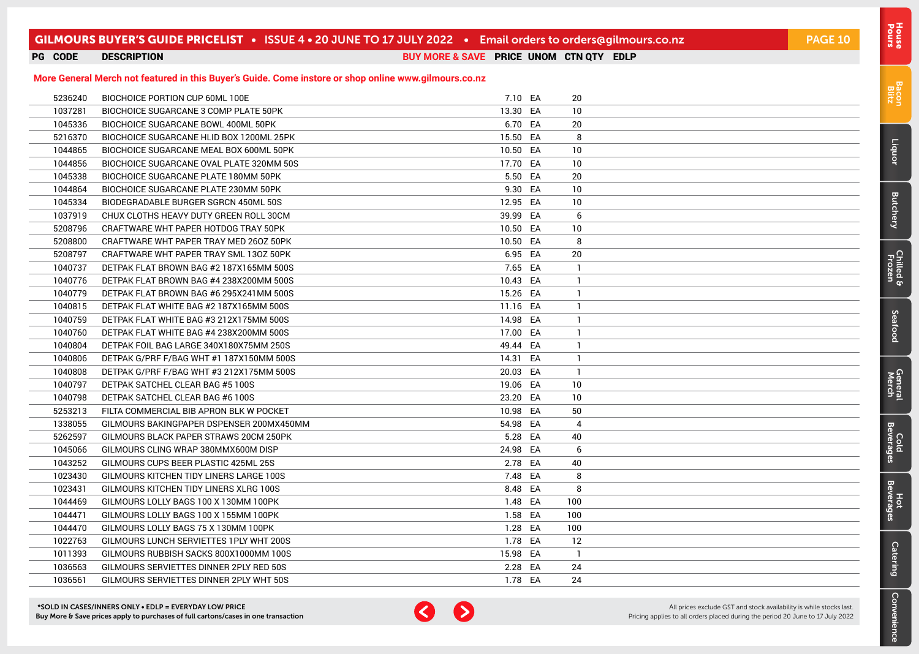### GILMOURS BUYER'S GUIDE PRICELIST • ISSUE 4 • 20 JUNE TO 17 JULY 2022 • Email orders to [orders@gilmours.co.nz](mailto:orders%40gilmours.co.nz?subject=) PAGE 10

 BIOCHOICE PORTION CUP 60ML 100E 7.10 CM 7.10 EA 20 BIOCHOICE SUGARCANE 3 COMP PLATE 50PK 13.30 CA 10 BIOCHOICE SUGARCANE BOWL 400ML 50PK 6.70 CA 6.70 EA 20 BIOCHOICE SUGARCANE HLID BOX 1200ML 25PK 15.50 CA 3 8 15.50 EA 8 BIOCHOICE SUGARCANE MEAL BOX 600ML 50PK 10.50 FA 10.50 EA 10.50 FA BIOCHOICE SUGARCANE OVAL PLATE 320MM 50S 17.70 17.70 EA 10 BIOCHOICE SUGARCANE PLATE 180MM 50PK 5.50 CA 5.50 EA 20 BIOCHOICE SUGARCANE PLATE 230MM 50PK 9.30 EA 10 BIODEGRADABLE BURGER SGRCN 450ML 50S 12.95 EA 10 CHUX CLOTHS HEAVY DUTY GREEN ROLL 30CM 39.99 SA 39.99 EA 6 CRAFTWARE WHT PAPER HOTDOG TRAY 50PK 10.50 CRA 10.50 EA 10.50 LA CRAFTWARE WHT PAPER TRAY MED 260Z 50PK 10.50 CM 10.50 EA 8 CRAFTWARE WHT PAPER TRAY SML 130Z 50PK 6.95 CONSUMING A 20 CONSUMING A 20 DETPAK FLAT BROWN BAG #2 187X165MM 500S 7 7.65 EA 1

**More General Merch not featured in this Buyer's Guide. Come instore or shop online www.gilmours.co.nz**

 GILMOURS RUBBISH SACKS 800X1000MM 100S 15.98 EA 1 GILMOURS SERVIETTES DINNER 2PLY RED 50S 2.28 EA 24 GILMOURS SERVIETTES DINNER 2PLY WHT 50S 1.78 EA 24

PG CODE DESCRIPTION **BUY MORE & SAVE** PRICE UNOM CTN QTY EDLP

[Bacon](#page-2-0) Blitz

Pours [House](#page-0-0)

| *SOLD IN CASES/INNERS ONLY • EDLP = EVERYDAY LOW PRICE                             |
|------------------------------------------------------------------------------------|
| Buy More & Save prices apply to purchases of full cartons/cases in one transaction |



All prices exclude GST and stock availability is while stocks last. Pricing applies to all orders placed during the period 20 June to 17 July 2022

#### DETPAK FLAT BROWN BAG #4 238X200MM 500S 10.43 CA 10.43 EA 1 DETPAK FLAT BROWN BAG #6 295X241MM 500S 15.26 EA 1 DETPAK FLAT WHITE BAG #2 187X165MM 500S 11.16 CA 1 DETPAK FLAT WHITE BAG #3 212X175MM 500S 14.98 EA 1 DETPAK FLAT WHITE BAG #4 238X200MM 500S 17.00 CA 1 17.00 EA 1 DETPAK FOIL BAG LARGE 340X180X75MM 250S 49.44 EA 1 DETPAK G/PRF F/BAG WHT #1 187X150MM 500S 14.31 EA 1 DETPAK G/PRF F/BAG WHT #3 212X175MM 500S 20.03 EA 1 DETPAK SATCHEL CLEAR BAG #5 100S 19.06 EA 10 DETPAK SATCHEL CLEAR BAG #6 100S 23.20 EA 10 FILTA COMMERCIAL BIB APRON BLK W POCKET 10.98 CA 50 GILMOURS BAKINGPAPER DSPENSER 200MX450MM 54.98 FA 54.98 EA 4 GILMOURS BLACK PAPER STRAWS 20CM 250PK 5.28 CA 5.28 EA 40 GILMOURS CLING WRAP 380MMX600M DISP 24.98 EA 6 GILMOURS CUPS BEER PLASTIC 425ML 25S 2.78 EA 40 GILMOURS KITCHEN TIDY LINERS LARGE 100S 7.48 EA 8 GILMOURS KITCHEN TIDY LINERS XLRG 100S 8.48 BA 8.48 BA 8.48 BA 8.48 BA GILMOURS LOLLY BAGS 100 X 130MM 100PK 1.48 EA 100 GILMOURS LOLLY BAGS 100 X 155MM 100PK 1.58 EA 100 GILMOURS LOLLY BAGS 75 X 130MM 100PK 1.28 EA 100 GILMOURS LUNCH SERVIETTES 1PLY WHT 200S 1.78 EA 12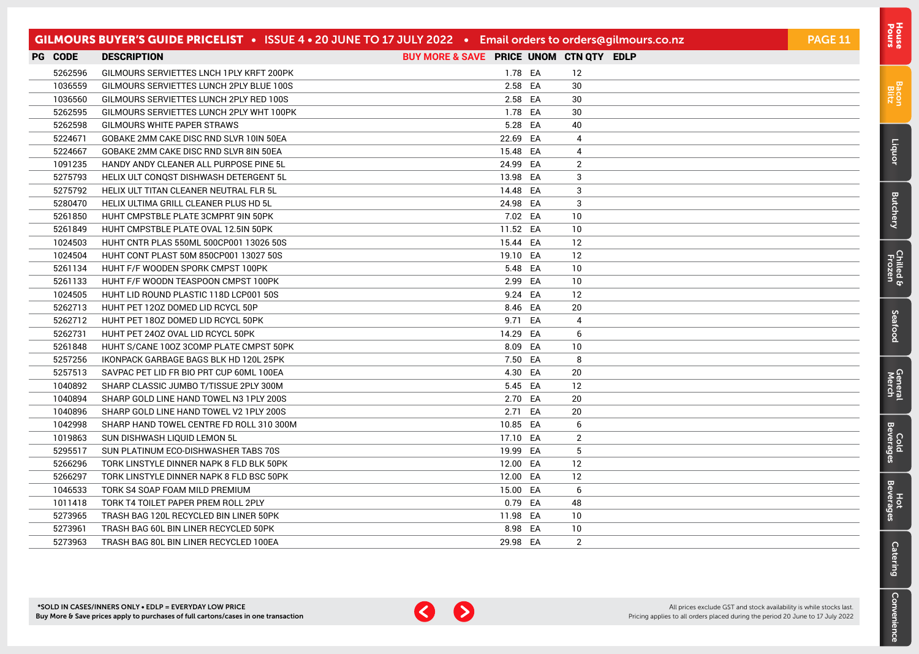|                | GILMOURS BUYER'S GUIDE PRICELIST . ISSUE 4 . 20 JUNE TO 17 JULY 2022 . Email orders to orders@gilmours.co.nz |                                         |                | <b>PAGE 11</b> |
|----------------|--------------------------------------------------------------------------------------------------------------|-----------------------------------------|----------------|----------------|
| <b>PG CODE</b> | <b>DESCRIPTION</b>                                                                                           | BUY MORE & SAVE PRICE UNOM CTN QTY EDLP |                |                |
| 5262596        | GILMOURS SERVIETTES LNCH 1PLY KRFT 200PK                                                                     | 1.78 EA                                 | 12             |                |
| 1036559        | GILMOURS SERVIETTES LUNCH 2PLY BLUE 100S                                                                     | 2.58 EA                                 | 30             |                |
| 1036560        | GILMOURS SERVIETTES LUNCH 2PLY RED 100S                                                                      | 2.58 EA                                 | 30             |                |
| 5262595        | GILMOURS SERVIETTES LUNCH 2PLY WHT 100PK                                                                     | 1.78 EA                                 | 30             |                |
| 5262598        | GILMOURS WHITE PAPER STRAWS                                                                                  | 5.28 EA                                 | 40             |                |
| 5224671        | GOBAKE 2MM CAKE DISC RND SLVR 10IN 50EA                                                                      | 22.69 EA                                | 4              |                |
| 5224667        | GOBAKE 2MM CAKE DISC RND SLVR 8IN 50EA                                                                       | 15.48 EA                                | 4              |                |
| 1091235        | HANDY ANDY CLEANER ALL PURPOSE PINE 5L                                                                       | 24.99 EA                                | $\overline{2}$ |                |
| 5275793        | HELIX ULT CONQST DISHWASH DETERGENT 5L                                                                       | 13.98 EA                                | 3              |                |
| 5275792        | HELIX ULT TITAN CLEANER NEUTRAL FLR 5L                                                                       | 14.48 EA                                | 3              |                |
| 5280470        | HELIX ULTIMA GRILL CLEANER PLUS HD 5L                                                                        | 24.98 EA                                | 3              |                |
| 5261850        | HUHT CMPSTBLE PLATE 3CMPRT 9IN 50PK                                                                          | 7.02 EA                                 | 10             |                |
| 5261849        | HUHT CMPSTBLE PLATE OVAL 12.5IN 50PK                                                                         | 11.52 EA                                | 10             |                |
| 1024503        | HUHT CNTR PLAS 550ML 500CP001 13026 50S                                                                      | 15.44 EA                                | 12             |                |
| 1024504        | HUHT CONT PLAST 50M 850CP001 13027 50S                                                                       | 19.10 EA                                | 12             |                |
| 5261134        | HUHT F/F WOODEN SPORK CMPST 100PK                                                                            | 5.48 EA                                 | 10             |                |
| 5261133        | HUHT F/F WOODN TEASPOON CMPST 100PK                                                                          | 2.99 EA                                 | 10             |                |
| 1024505        | HUHT LID ROUND PLASTIC 118D LCP001 50S                                                                       | 9.24 EA                                 | 12             |                |
| 5262713        | HUHT PET 120Z DOMED LID RCYCL 50P                                                                            | 8.46 EA                                 | 20             |                |
| 5262712        | HUHT PET 180Z DOMED LID RCYCL 50PK                                                                           | 9.71 EA                                 | 4              |                |
| 5262731        | HUHT PET 240Z OVAL LID RCYCL 50PK                                                                            | 14.29 EA                                | 6              |                |
| 5261848        | HUHT S/CANE 100Z 3COMP PLATE CMPST 50PK                                                                      | 8.09 EA                                 | 10             |                |
| 5257256        | IKONPACK GARBAGE BAGS BLK HD 120L 25PK                                                                       | 7.50 EA                                 | 8              |                |
| 5257513        | SAVPAC PET LID FR BIO PRT CUP 60ML 100EA                                                                     | 4.30 EA                                 | 20             |                |
| 1040892        | SHARP CLASSIC JUMBO T/TISSUE 2PLY 300M                                                                       | 5.45 EA                                 | 12             |                |
| 1040894        | SHARP GOLD LINE HAND TOWEL N3 1PLY 200S                                                                      | 2.70 EA                                 | 20             |                |
| 1040896        | SHARP GOLD LINE HAND TOWEL V2 1PLY 200S                                                                      | 2.71 EA                                 | 20             |                |
| 1042998        | SHARP HAND TOWEL CENTRE FD ROLL 310 300M                                                                     | 10.85 EA                                | 6              |                |
| 1019863        | SUN DISHWASH LIQUID LEMON 5L                                                                                 | 17.10 EA                                | 2              |                |
| 5295517        | SUN PLATINUM ECO-DISHWASHER TABS 70S                                                                         | 19.99 EA                                | 5              |                |
| 5266296        | TORK LINSTYLE DINNER NAPK 8 FLD BLK 50PK                                                                     | 12.00 EA                                | 12             |                |
| 5266297        | TORK LINSTYLE DINNER NAPK 8 FLD BSC 50PK                                                                     | 12.00 EA                                | 12             |                |
| 1046533        | TORK S4 SOAP FOAM MILD PREMIUM                                                                               | 15.00 EA                                | 6              |                |
| 1011418        | TORK T4 TOILET PAPER PREM ROLL 2PLY                                                                          | 0.79 EA                                 | 48             |                |
| 5273965        | TRASH BAG 120L RECYCLED BIN LINER 50PK                                                                       | 11.98 EA                                | 10             |                |
| 5273961        | TRASH BAG 60L BIN LINER RECYCLED 50PK                                                                        | 8.98 EA                                 | 10             |                |
| 5273963        | TRASH BAG 80L BIN LINER RECYCLED 100EA                                                                       | 29.98 EA                                | $\overline{2}$ |                |



[Bacon](#page-2-0) Blitz

[Liquor](#page-23-0)

**[Butchery](#page-0-0)** 

[Chilled & Frozen](#page-3-0)

[Seafood](#page-6-0)

Seafood

[General](#page-7-0) Cold<br>Merch Beverages

Cold<br>Beverages

General<br>Merch

Hot<br>Beverages

**[Catering](#page-16-0)** 

[Convenience](#page-11-0)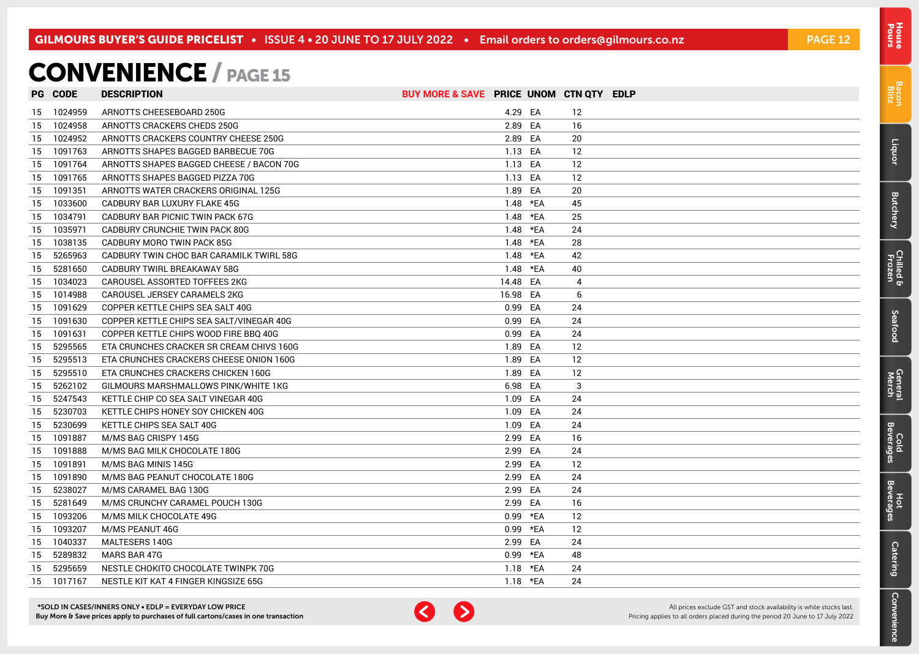### <span id="page-11-0"></span>CONVENIENCE / PAGE 15

|    | <b>PG CODE</b> | <b>DESCRIPTION</b>                       | BUY MORE & SAVE PRICE UNOM CTN QTY EDLP |            |    |  |
|----|----------------|------------------------------------------|-----------------------------------------|------------|----|--|
|    | 15 1024959     | ARNOTTS CHEESEBOARD 250G                 |                                         | 4.29 EA    | 12 |  |
| 15 | 1024958        | ARNOTTS CRACKERS CHEDS 250G              |                                         | 2.89 EA    | 16 |  |
| 15 | 1024952        | ARNOTTS CRACKERS COUNTRY CHEESE 250G     |                                         | 2.89 EA    | 20 |  |
| 15 | 1091763        | ARNOTTS SHAPES BAGGED BARBECUE 70G       |                                         | 1.13 EA    | 12 |  |
| 15 | 1091764        | ARNOTTS SHAPES BAGGED CHEESE / BACON 70G |                                         | 1.13 EA    | 12 |  |
| 15 | 1091765        | ARNOTTS SHAPES BAGGED PIZZA 70G          |                                         | 1.13 EA    | 12 |  |
| 15 | 1091351        | ARNOTTS WATER CRACKERS ORIGINAL 125G     |                                         | 1.89 EA    | 20 |  |
| 15 | 1033600        | CADBURY BAR LUXURY FLAKE 45G             |                                         | 1.48 *EA   | 45 |  |
| 15 | 1034791        | CADBURY BAR PICNIC TWIN PACK 67G         |                                         | 1.48 *EA   | 25 |  |
| 15 | 1035971        | CADBURY CRUNCHIE TWIN PACK 80G           |                                         | 1.48 *EA   | 24 |  |
| 15 | 1038135        | CADBURY MORO TWIN PACK 85G               |                                         | 1.48 *EA   | 28 |  |
| 15 | 5265963        | CADBURY TWIN CHOC BAR CARAMILK TWIRL 58G |                                         | 1.48 *EA   | 42 |  |
| 15 | 5281650        | CADBURY TWIRL BREAKAWAY 58G              |                                         | 1.48 *EA   | 40 |  |
| 15 | 1034023        | CAROUSEL ASSORTED TOFFEES 2KG            |                                         | 14.48 EA   | 4  |  |
| 15 | 1014988        | CAROUSEL JERSEY CARAMELS 2KG             |                                         | 16.98 EA   | 6  |  |
| 15 | 1091629        | COPPER KETTLE CHIPS SEA SALT 40G         |                                         | 0.99 EA    | 24 |  |
| 15 | 1091630        | COPPER KETTLE CHIPS SEA SALT/VINEGAR 40G |                                         | 0.99 EA    | 24 |  |
| 15 | 1091631        | COPPER KETTLE CHIPS WOOD FIRE BBQ 40G    |                                         | 0.99 EA    | 24 |  |
| 15 | 5295565        | ETA CRUNCHES CRACKER SR CREAM CHIVS 160G |                                         | 1.89 EA    | 12 |  |
| 15 | 5295513        | ETA CRUNCHES CRACKERS CHEESE ONION 160G  |                                         | 1.89 EA    | 12 |  |
| 15 | 5295510        | ETA CRUNCHES CRACKERS CHICKEN 160G       |                                         | 1.89 EA    | 12 |  |
| 15 | 5262102        | GILMOURS MARSHMALLOWS PINK/WHITE 1KG     |                                         | 6.98 EA    | 3  |  |
| 15 | 5247543        | KETTLE CHIP CO SEA SALT VINEGAR 40G      |                                         | 1.09 EA    | 24 |  |
| 15 | 5230703        | KETTLE CHIPS HONEY SOY CHICKEN 40G       |                                         | 1.09 EA    | 24 |  |
| 15 | 5230699        | KETTLE CHIPS SEA SALT 40G                |                                         | 1.09 EA    | 24 |  |
| 15 | 1091887        | M/MS BAG CRISPY 145G                     |                                         | 2.99 EA    | 16 |  |
| 15 | 1091888        | M/MS BAG MILK CHOCOLATE 180G             |                                         | 2.99 EA    | 24 |  |
|    | 15 1091891     | M/MS BAG MINIS 145G                      |                                         | 2.99 EA    | 12 |  |
| 15 | 1091890        | M/MS BAG PEANUT CHOCOLATE 180G           |                                         | 2.99 EA    | 24 |  |
| 15 | 5238027        | M/MS CARAMEL BAG 130G                    |                                         | 2.99 EA    | 24 |  |
| 15 | 5281649        | M/MS CRUNCHY CARAMEL POUCH 130G          |                                         | 2.99 EA    | 16 |  |
| 15 | 1093206        | M/MS MILK CHOCOLATE 49G                  |                                         | 0.99 *EA   | 12 |  |
| 15 | 1093207        | M/MS PEANUT 46G                          |                                         | 0.99 *EA   | 12 |  |
| 15 | 1040337        | MALTESERS 140G                           |                                         | 2.99 EA    | 24 |  |
| 15 | 5289832        | MARS BAR 47G                             |                                         | 0.99 *EA   | 48 |  |
| 15 | 5295659        | NESTLE CHOKITO CHOCOLATE TWINPK 70G      |                                         | 1.18 $*FA$ | 24 |  |
|    | 15 1017167     | NESTLE KIT KAT 4 FINGER KINGSIZE 65G     |                                         | 1.18 $*FA$ | 24 |  |

\*SOLD IN CASES/INNERS ONLY • EDLP = EVERYDAY LOW PRICE Buy More & Save prices apply to purchases of full cartons/cases in one transaction



All prices exclude GST and stock availability is while stocks last. Pricing applies to all orders placed during the period 20 June to 17 July 2022

[Bacon](#page-2-0) Blitz

Pours [House](#page-0-0)

[Liquor](#page-23-0)

[Butchery](#page-0-0)

[Chilled & Frozen](#page-3-0)

Seafood [Seafood](#page-6-0)

**General**<br>Merch

[General](#page-7-0) Cold<br>Merch Beverages Cold<br>Beverages

**[Catering](#page-16-0)** 

Convenience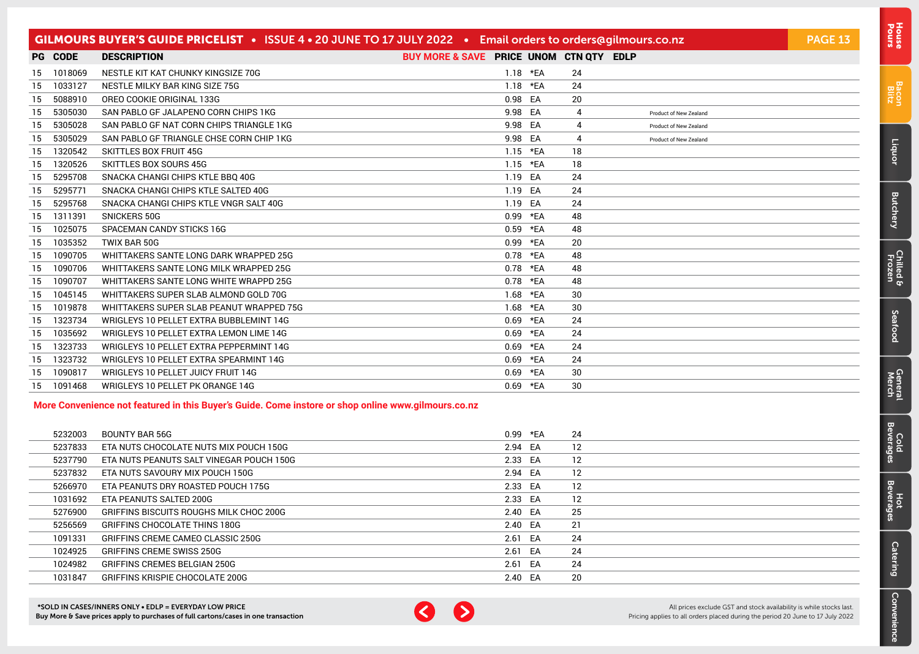|     |         | GILMOURS BUYER'S GUIDE PRICELIST . ISSUE 4 . 20 JUNE TO 17 JULY 2022 . Email orders to orders@gilmours.co.nz |                                         |            |     |    |                        | <b>PAGE 13</b> |
|-----|---------|--------------------------------------------------------------------------------------------------------------|-----------------------------------------|------------|-----|----|------------------------|----------------|
|     | PG CODE | <b>DESCRIPTION</b>                                                                                           | BUY MORE & SAVE PRICE UNOM CTN QTY EDLP |            |     |    |                        |                |
| 15  | 1018069 | NESTLE KIT KAT CHUNKY KINGSIZE 70G                                                                           |                                         | $1.18$ *EA |     | 24 |                        |                |
| 15  | 1033127 | NESTLE MILKY BAR KING SIZE 75G                                                                               |                                         | 1.18       | *EA | 24 |                        |                |
| -15 | 5088910 | OREO COOKIE ORIGINAL 133G                                                                                    |                                         | 0.98 EA    |     | 20 |                        |                |
| -15 | 5305030 | SAN PABLO GF JALAPENO CORN CHIPS 1KG                                                                         |                                         | 9.98       | EA  | 4  | Product of New Zealand |                |
| 15  | 5305028 | SAN PABLO GF NAT CORN CHIPS TRIANGLE 1KG                                                                     |                                         | 9.98       | EA  | 4  | Product of New Zealand |                |
| -15 | 5305029 | SAN PABLO GF TRIANGLE CHSE CORN CHIP 1KG                                                                     |                                         | 9.98       | EA  | 4  | Product of New Zealand |                |
| -15 | 1320542 | <b>SKITTLES BOX FRUIT 45G</b>                                                                                |                                         | $1.15$ *EA |     | 18 |                        |                |
| 15  | 1320526 | <b>SKITTLES BOX SOURS 45G</b>                                                                                |                                         | 1.15       | *EA | 18 |                        |                |
| 15  | 5295708 | SNACKA CHANGI CHIPS KTLE BBQ 40G                                                                             |                                         | 1.19 EA    |     | 24 |                        |                |
| -15 | 5295771 | SNACKA CHANGI CHIPS KTLE SALTED 40G                                                                          |                                         | 1.19       | EA  | 24 |                        |                |
| 15  | 5295768 | SNACKA CHANGI CHIPS KTLE VNGR SALT 40G                                                                       |                                         | 1.19       | EA  | 24 |                        |                |
| 15  | 1311391 | <b>SNICKERS 50G</b>                                                                                          |                                         | 0.99       | *EA | 48 |                        |                |
| 15  | 1025075 | SPACEMAN CANDY STICKS 16G                                                                                    |                                         | 0.59       | *EA | 48 |                        |                |
| 15  | 1035352 | TWIX BAR 50G                                                                                                 |                                         | 0.99       | *EA | 20 |                        |                |
| 15  | 1090705 | WHITTAKERS SANTE LONG DARK WRAPPED 25G                                                                       |                                         | 0.78       | *EA | 48 |                        |                |
| -15 | 1090706 | WHITTAKERS SANTE LONG MILK WRAPPED 25G                                                                       |                                         | 0.78       | *EA | 48 |                        |                |
| 15  | 1090707 | WHITTAKERS SANTE LONG WHITE WRAPPD 25G                                                                       |                                         | 0.78       | *EA | 48 |                        |                |
| 15  | 1045145 | WHITTAKERS SUPER SLAB ALMOND GOLD 70G                                                                        |                                         | 1.68       | *EA | 30 |                        |                |
| 15  | 1019878 | WHITTAKERS SUPER SLAB PEANUT WRAPPED 75G                                                                     |                                         | 1.68       | *EA | 30 |                        |                |
| 15  | 1323734 | WRIGLEYS 10 PELLET EXTRA BUBBLEMINT 14G                                                                      |                                         | 0.69       | *EA | 24 |                        |                |
| 15  | 1035692 | WRIGLEYS 10 PELLET EXTRA LEMON LIME 14G                                                                      |                                         | 0.69       | *EA | 24 |                        |                |
| 15  | 1323733 | WRIGLEYS 10 PELLET EXTRA PEPPERMINT 14G                                                                      |                                         | 0.69       | *EA | 24 |                        |                |
| 15  | 1323732 | WRIGLEYS 10 PELLET EXTRA SPEARMINT 14G                                                                       |                                         | 0.69       | *EA | 24 |                        |                |
| 15  | 1090817 | WRIGLEYS 10 PELLET JUICY FRUIT 14G                                                                           |                                         | 0.69       | *EA | 30 |                        |                |
| 15  | 1091468 | WRIGLEYS 10 PELLET PK ORANGE 14G                                                                             |                                         | 0.69       | *EA | 30 |                        |                |

#### **More Convenience not featured in this Buyer's Guide. Come instore or shop online www.gilmours.co.nz**

| 5232003 | BOUNTY BAR 56G                                 | 0.99 *EA | 24  |
|---------|------------------------------------------------|----------|-----|
| 5237833 | ETA NUTS CHOCOLATE NUTS MIX POUCH 150G         | 2.94 EA  | 12  |
| 5237790 | ETA NUTS PEANUTS SALT VINEGAR POUCH 150G       | 2.33 EA  | 12  |
| 5237832 | ETA NUTS SAVOURY MIX POUCH 150G                | 2.94 EA  | 12  |
| 5266970 | ETA PEANUTS DRY ROASTED POUCH 175G             | 2.33 EA  | 12  |
| 1031692 | ETA PEANUTS SALTED 200G                        | 2.33 EA  | 12  |
| 5276900 | <b>GRIFFINS BISCUITS ROUGHS MILK CHOC 200G</b> | 2.40 EA  | 25  |
| 5256569 | GRIFFINS CHOCOLATE THINS 180G                  | 2.40 EA  | 21  |
| 1091331 | GRIFFINS CREME CAMEO CLASSIC 250G              | 2.61 EA  | 24  |
| 1024925 | <b>GRIFFINS CREME SWISS 250G</b>               | 2.61 EA  | 24  |
| 1024982 | GRIFFINS CREMES BELGIAN 250G                   | 2.61 EA  | 24  |
| 1031847 | GRIFFINS KRISPIE CHOCOLATE 200G                | 2.40 EA  | -20 |



All prices exclude GST and stock availability is while stocks last. Pricing applies to all orders placed during the period 20 June to 17 July 2022 [Bacon](#page-2-0) Blitz

[Liquor](#page-23-0)

[Butchery](#page-0-0)

[Chilled & Frozen](#page-3-0)

[Seafood](#page-6-0)

Seafood

[General](#page-7-0) Cold<br>Merch Beverages

Cold<br>Beverages

General<br>Merch

Hot<br>Beverages

[Catering](#page-16-0)

[Convenience](#page-11-0)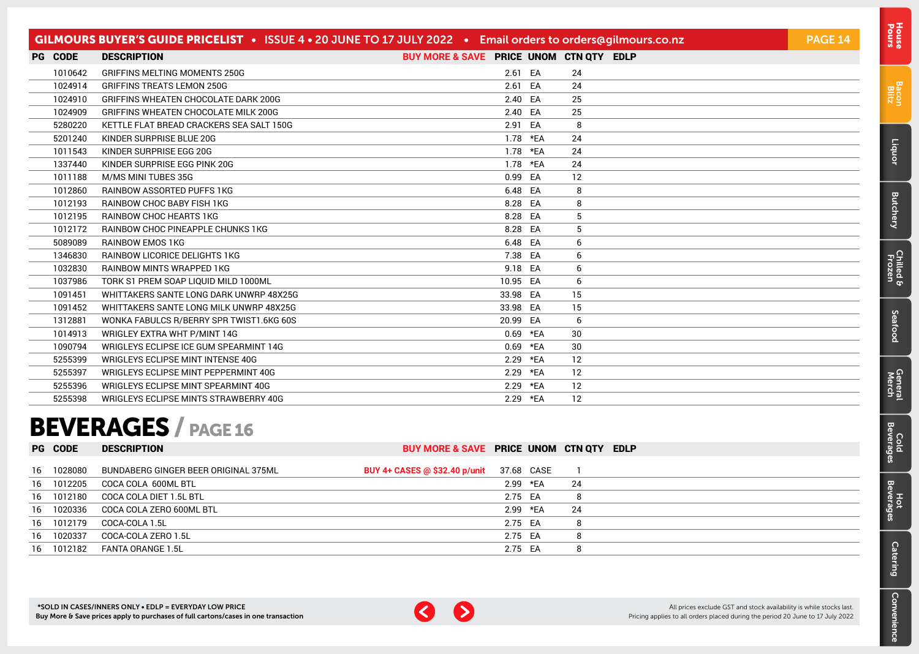<span id="page-13-0"></span>

| <b>PG CODE</b><br>BUY MORE & SAVE PRICE UNOM CTN QTY EDLP<br><b>DESCRIPTION</b><br>2.61 EA<br>1010642<br><b>GRIFFINS MELTING MOMENTS 250G</b><br>24<br>1024914<br>24<br>2.61 EA<br><b>GRIFFINS TREATS LEMON 250G</b><br>EA<br>25<br>1024910<br>GRIFFINS WHEATEN CHOCOLATE DARK 200G<br>2.40<br>1024909<br>GRIFFINS WHEATEN CHOCOLATE MILK 200G<br>2.40 EA<br>25<br>8<br>5280220<br>2.91 EA<br>KETTLE FLAT BREAD CRACKERS SEA SALT 150G<br>24<br>5201240<br>KINDER SURPRISE BLUE 20G<br>1.78<br>*EA<br>24<br>1011543<br>KINDER SURPRISE EGG 20G<br>1.78<br>*EA<br>1337440<br>*EA<br>24<br>KINDER SURPRISE EGG PINK 20G<br>1.78<br>12<br>1011188<br>M/MS MINI TUBES 35G<br>0.99 EA<br>8<br>6.48<br>EA<br>1012860<br><b>RAINBOW ASSORTED PUFFS 1KG</b><br>1012193<br><b>RAINBOW CHOC BABY FISH 1KG</b><br>8.28 EA<br>8<br>5<br>1012195<br><b>RAINBOW CHOC HEARTS 1KG</b><br>8.28 EA<br>1012172<br>8.28 EA<br>5<br>RAINBOW CHOC PINEAPPLE CHUNKS 1KG<br>6.48 EA<br>5089089<br><b>RAINBOW EMOS 1KG</b><br>6<br>7.38 EA<br>1346830<br>RAINBOW LICORICE DELIGHTS 1KG<br>6<br>1032830<br>9.18 EA<br><b>RAINBOW MINTS WRAPPED 1KG</b><br>6<br>1037986<br>10.95 EA<br>6<br>TORK S1 PREM SOAP LIQUID MILD 1000ML<br>15<br>1091451<br>WHITTAKERS SANTE LONG DARK UNWRP 48X25G<br>33.98 EA<br>15<br>1091452<br>33.98 EA<br>WHITTAKERS SANTE LONG MILK UNWRP 48X25G<br>1312881<br>6<br>WONKA FABULCS R/BERRY SPR TWIST1.6KG 60S<br>20.99 EA<br>30<br>1014913<br>WRIGLEY EXTRA WHT P/MINT 14G<br>*EA<br>0.69<br>1090794<br>*EA<br>30<br>WRIGLEYS ECLIPSE ICE GUM SPEARMINT 14G<br>0.69<br>5255399<br>WRIGLEYS ECLIPSE MINT INTENSE 40G<br>2.29<br>*EA<br>12<br>*EA<br>12<br>5255397<br>WRIGLEYS ECLIPSE MINT PEPPERMINT 40G<br>2.29<br>5255396<br>WRIGLEYS ECLIPSE MINT SPEARMINT 40G<br>12<br>2.29<br>*EA<br>12<br>5255398<br>2.29 *EA<br>WRIGLEYS ECLIPSE MINTS STRAWBERRY 40G |  | GILMOURS BUYER'S GUIDE PRICELIST • ISSUE 4 • 20 JUNE TO 17 JULY 2022 • Email orders to orders@gilmours.co.nz |  |  | <b>PAGE 14</b> |
|-------------------------------------------------------------------------------------------------------------------------------------------------------------------------------------------------------------------------------------------------------------------------------------------------------------------------------------------------------------------------------------------------------------------------------------------------------------------------------------------------------------------------------------------------------------------------------------------------------------------------------------------------------------------------------------------------------------------------------------------------------------------------------------------------------------------------------------------------------------------------------------------------------------------------------------------------------------------------------------------------------------------------------------------------------------------------------------------------------------------------------------------------------------------------------------------------------------------------------------------------------------------------------------------------------------------------------------------------------------------------------------------------------------------------------------------------------------------------------------------------------------------------------------------------------------------------------------------------------------------------------------------------------------------------------------------------------------------------------------------------------------------------------------------------------------------------------------------------------------------|--|--------------------------------------------------------------------------------------------------------------|--|--|----------------|
|                                                                                                                                                                                                                                                                                                                                                                                                                                                                                                                                                                                                                                                                                                                                                                                                                                                                                                                                                                                                                                                                                                                                                                                                                                                                                                                                                                                                                                                                                                                                                                                                                                                                                                                                                                                                                                                                   |  |                                                                                                              |  |  |                |
|                                                                                                                                                                                                                                                                                                                                                                                                                                                                                                                                                                                                                                                                                                                                                                                                                                                                                                                                                                                                                                                                                                                                                                                                                                                                                                                                                                                                                                                                                                                                                                                                                                                                                                                                                                                                                                                                   |  |                                                                                                              |  |  |                |
|                                                                                                                                                                                                                                                                                                                                                                                                                                                                                                                                                                                                                                                                                                                                                                                                                                                                                                                                                                                                                                                                                                                                                                                                                                                                                                                                                                                                                                                                                                                                                                                                                                                                                                                                                                                                                                                                   |  |                                                                                                              |  |  |                |
|                                                                                                                                                                                                                                                                                                                                                                                                                                                                                                                                                                                                                                                                                                                                                                                                                                                                                                                                                                                                                                                                                                                                                                                                                                                                                                                                                                                                                                                                                                                                                                                                                                                                                                                                                                                                                                                                   |  |                                                                                                              |  |  |                |
|                                                                                                                                                                                                                                                                                                                                                                                                                                                                                                                                                                                                                                                                                                                                                                                                                                                                                                                                                                                                                                                                                                                                                                                                                                                                                                                                                                                                                                                                                                                                                                                                                                                                                                                                                                                                                                                                   |  |                                                                                                              |  |  |                |
|                                                                                                                                                                                                                                                                                                                                                                                                                                                                                                                                                                                                                                                                                                                                                                                                                                                                                                                                                                                                                                                                                                                                                                                                                                                                                                                                                                                                                                                                                                                                                                                                                                                                                                                                                                                                                                                                   |  |                                                                                                              |  |  |                |
|                                                                                                                                                                                                                                                                                                                                                                                                                                                                                                                                                                                                                                                                                                                                                                                                                                                                                                                                                                                                                                                                                                                                                                                                                                                                                                                                                                                                                                                                                                                                                                                                                                                                                                                                                                                                                                                                   |  |                                                                                                              |  |  |                |
|                                                                                                                                                                                                                                                                                                                                                                                                                                                                                                                                                                                                                                                                                                                                                                                                                                                                                                                                                                                                                                                                                                                                                                                                                                                                                                                                                                                                                                                                                                                                                                                                                                                                                                                                                                                                                                                                   |  |                                                                                                              |  |  |                |
|                                                                                                                                                                                                                                                                                                                                                                                                                                                                                                                                                                                                                                                                                                                                                                                                                                                                                                                                                                                                                                                                                                                                                                                                                                                                                                                                                                                                                                                                                                                                                                                                                                                                                                                                                                                                                                                                   |  |                                                                                                              |  |  |                |
|                                                                                                                                                                                                                                                                                                                                                                                                                                                                                                                                                                                                                                                                                                                                                                                                                                                                                                                                                                                                                                                                                                                                                                                                                                                                                                                                                                                                                                                                                                                                                                                                                                                                                                                                                                                                                                                                   |  |                                                                                                              |  |  |                |
|                                                                                                                                                                                                                                                                                                                                                                                                                                                                                                                                                                                                                                                                                                                                                                                                                                                                                                                                                                                                                                                                                                                                                                                                                                                                                                                                                                                                                                                                                                                                                                                                                                                                                                                                                                                                                                                                   |  |                                                                                                              |  |  |                |
|                                                                                                                                                                                                                                                                                                                                                                                                                                                                                                                                                                                                                                                                                                                                                                                                                                                                                                                                                                                                                                                                                                                                                                                                                                                                                                                                                                                                                                                                                                                                                                                                                                                                                                                                                                                                                                                                   |  |                                                                                                              |  |  |                |
|                                                                                                                                                                                                                                                                                                                                                                                                                                                                                                                                                                                                                                                                                                                                                                                                                                                                                                                                                                                                                                                                                                                                                                                                                                                                                                                                                                                                                                                                                                                                                                                                                                                                                                                                                                                                                                                                   |  |                                                                                                              |  |  |                |
|                                                                                                                                                                                                                                                                                                                                                                                                                                                                                                                                                                                                                                                                                                                                                                                                                                                                                                                                                                                                                                                                                                                                                                                                                                                                                                                                                                                                                                                                                                                                                                                                                                                                                                                                                                                                                                                                   |  |                                                                                                              |  |  |                |
|                                                                                                                                                                                                                                                                                                                                                                                                                                                                                                                                                                                                                                                                                                                                                                                                                                                                                                                                                                                                                                                                                                                                                                                                                                                                                                                                                                                                                                                                                                                                                                                                                                                                                                                                                                                                                                                                   |  |                                                                                                              |  |  |                |
|                                                                                                                                                                                                                                                                                                                                                                                                                                                                                                                                                                                                                                                                                                                                                                                                                                                                                                                                                                                                                                                                                                                                                                                                                                                                                                                                                                                                                                                                                                                                                                                                                                                                                                                                                                                                                                                                   |  |                                                                                                              |  |  |                |
|                                                                                                                                                                                                                                                                                                                                                                                                                                                                                                                                                                                                                                                                                                                                                                                                                                                                                                                                                                                                                                                                                                                                                                                                                                                                                                                                                                                                                                                                                                                                                                                                                                                                                                                                                                                                                                                                   |  |                                                                                                              |  |  |                |
|                                                                                                                                                                                                                                                                                                                                                                                                                                                                                                                                                                                                                                                                                                                                                                                                                                                                                                                                                                                                                                                                                                                                                                                                                                                                                                                                                                                                                                                                                                                                                                                                                                                                                                                                                                                                                                                                   |  |                                                                                                              |  |  |                |
|                                                                                                                                                                                                                                                                                                                                                                                                                                                                                                                                                                                                                                                                                                                                                                                                                                                                                                                                                                                                                                                                                                                                                                                                                                                                                                                                                                                                                                                                                                                                                                                                                                                                                                                                                                                                                                                                   |  |                                                                                                              |  |  |                |
|                                                                                                                                                                                                                                                                                                                                                                                                                                                                                                                                                                                                                                                                                                                                                                                                                                                                                                                                                                                                                                                                                                                                                                                                                                                                                                                                                                                                                                                                                                                                                                                                                                                                                                                                                                                                                                                                   |  |                                                                                                              |  |  |                |
|                                                                                                                                                                                                                                                                                                                                                                                                                                                                                                                                                                                                                                                                                                                                                                                                                                                                                                                                                                                                                                                                                                                                                                                                                                                                                                                                                                                                                                                                                                                                                                                                                                                                                                                                                                                                                                                                   |  |                                                                                                              |  |  |                |
|                                                                                                                                                                                                                                                                                                                                                                                                                                                                                                                                                                                                                                                                                                                                                                                                                                                                                                                                                                                                                                                                                                                                                                                                                                                                                                                                                                                                                                                                                                                                                                                                                                                                                                                                                                                                                                                                   |  |                                                                                                              |  |  |                |
|                                                                                                                                                                                                                                                                                                                                                                                                                                                                                                                                                                                                                                                                                                                                                                                                                                                                                                                                                                                                                                                                                                                                                                                                                                                                                                                                                                                                                                                                                                                                                                                                                                                                                                                                                                                                                                                                   |  |                                                                                                              |  |  |                |
|                                                                                                                                                                                                                                                                                                                                                                                                                                                                                                                                                                                                                                                                                                                                                                                                                                                                                                                                                                                                                                                                                                                                                                                                                                                                                                                                                                                                                                                                                                                                                                                                                                                                                                                                                                                                                                                                   |  |                                                                                                              |  |  |                |
|                                                                                                                                                                                                                                                                                                                                                                                                                                                                                                                                                                                                                                                                                                                                                                                                                                                                                                                                                                                                                                                                                                                                                                                                                                                                                                                                                                                                                                                                                                                                                                                                                                                                                                                                                                                                                                                                   |  |                                                                                                              |  |  |                |
|                                                                                                                                                                                                                                                                                                                                                                                                                                                                                                                                                                                                                                                                                                                                                                                                                                                                                                                                                                                                                                                                                                                                                                                                                                                                                                                                                                                                                                                                                                                                                                                                                                                                                                                                                                                                                                                                   |  |                                                                                                              |  |  |                |
|                                                                                                                                                                                                                                                                                                                                                                                                                                                                                                                                                                                                                                                                                                                                                                                                                                                                                                                                                                                                                                                                                                                                                                                                                                                                                                                                                                                                                                                                                                                                                                                                                                                                                                                                                                                                                                                                   |  |                                                                                                              |  |  |                |

## BEVERAGES / PAGE 16

|    | <b>PG CODE</b> | <b>DESCRIPTION</b>                   | BUY MORE & SAVE PRICE UNOM CTN QTY EDLP |         |            |    |  |
|----|----------------|--------------------------------------|-----------------------------------------|---------|------------|----|--|
|    |                |                                      |                                         |         |            |    |  |
| 16 | 1028080        | BUNDABERG GINGER BEER ORIGINAL 375ML | BUY 4+ CASES @ \$32.40 p/unit           |         | 37.68 CASE |    |  |
| 16 | 1012205        | COCA COLA 600ML BTL                  |                                         |         | 2.99 *EA   | 24 |  |
| 16 | 1012180        | COCA COLA DIET 1.5L BTL              |                                         | 2.75 EA |            | 8  |  |
| 16 | 1020336        | COCA COLA ZERO 600ML BTL             |                                         |         | 2.99 *EA   | 24 |  |
| 16 | 1012179        | COCA-COLA 1.5L                       |                                         | 2.75 EA |            | 8  |  |
| 16 | 1020337        | COCA-COLA ZERO 1.5L                  |                                         | 2.75 EA |            | 8  |  |
| 16 | 1012182        | FANTA ORANGE 1.5L                    |                                         | 2.75 EA |            | 8  |  |



[Bacon](#page-2-0) Blitz

[Liquor](#page-23-0)

[Butchery](#page-0-0)

[Chilled & Frozen](#page-3-0)

[Seafood](#page-6-0)

Seafood

[General](#page-7-0) Cold<br>Merch Beverages

Cold<br>Beverages

**General**<br>Merch

Hot<br>Beverages

[Catering](#page-16-0)

[Convenience](#page-11-0)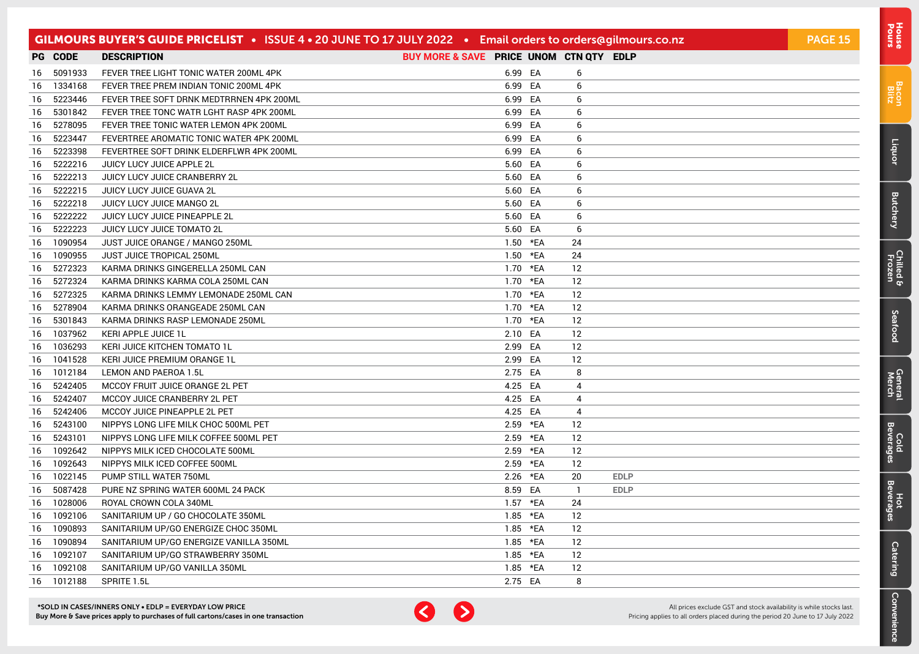|     |         | GILMOURS BUYER'S GUIDE PRICELIST • ISSUE 4 • 20 JUNE TO 17 JULY 2022 • Email orders to orders@gilmours.co.nz |                                         |          |              |             | <b>PAGE 15</b> |
|-----|---------|--------------------------------------------------------------------------------------------------------------|-----------------------------------------|----------|--------------|-------------|----------------|
|     | PG CODE | <b>DESCRIPTION</b>                                                                                           | BUY MORE & SAVE PRICE UNOM CTN QTY EDLP |          |              |             |                |
| 16. | 5091933 | FEVER TREE LIGHT TONIC WATER 200ML 4PK                                                                       | 6.99 EA                                 |          | 6            |             |                |
| 16  | 1334168 | FEVER TREE PREM INDIAN TONIC 200ML 4PK                                                                       | 6.99 EA                                 |          | 6            |             |                |
| 16  | 5223446 | FEVER TREE SOFT DRNK MEDTRRNEN 4PK 200ML                                                                     | 6.99 EA                                 |          | 6            |             |                |
| 16  | 5301842 | FEVER TREE TONC WATR LGHT RASP 4PK 200ML                                                                     | 6.99 EA                                 |          | 6            |             |                |
| 16  | 5278095 | FEVER TREE TONIC WATER LEMON 4PK 200ML                                                                       | 6.99 EA                                 |          | 6            |             |                |
| 16  | 5223447 | FEVERTREE AROMATIC TONIC WATER 4PK 200ML                                                                     | 6.99 EA                                 |          | 6            |             |                |
| 16  | 5223398 | FEVERTREE SOFT DRINK ELDERFLWR 4PK 200ML                                                                     | 6.99 EA                                 |          | 6            |             |                |
| 16  | 5222216 | JUICY LUCY JUICE APPLE 2L                                                                                    | 5.60 EA                                 |          | 6            |             |                |
| 16  | 5222213 | JUICY LUCY JUICE CRANBERRY 2L                                                                                | 5.60 EA                                 |          | 6            |             |                |
| 16  | 5222215 | JUICY LUCY JUICE GUAVA 2L                                                                                    | 5.60 EA                                 |          | 6            |             |                |
| 16  | 5222218 | JUICY LUCY JUICE MANGO 2L                                                                                    | 5.60 EA                                 |          | 6            |             |                |
| 16  | 5222222 | JUICY LUCY JUICE PINEAPPLE 2L                                                                                | 5.60 EA                                 |          | 6            |             |                |
| 16  | 5222223 | JUICY LUCY JUICE TOMATO 2L                                                                                   | 5.60 EA                                 |          | 6            |             |                |
| 16  | 1090954 | JUST JUICE ORANGE / MANGO 250ML                                                                              | 1.50 *EA                                |          | 24           |             |                |
| 16  | 1090955 | <b>JUST JUICE TROPICAL 250ML</b>                                                                             | 1.50 *EA                                |          | 24           |             |                |
| 16  | 5272323 | KARMA DRINKS GINGERELLA 250ML CAN                                                                            | 1.70 *EA                                |          | 12           |             |                |
| 16  | 5272324 | KARMA DRINKS KARMA COLA 250ML CAN                                                                            | 1.70 *EA                                |          | 12           |             |                |
| 16  | 5272325 | KARMA DRINKS LEMMY LEMONADE 250ML CAN                                                                        | 1.70 *EA                                |          | 12           |             |                |
| 16  | 5278904 | KARMA DRINKS ORANGEADE 250ML CAN                                                                             | 1.70 *EA                                |          | 12           |             |                |
| 16  | 5301843 | KARMA DRINKS RASP LEMONADE 250ML                                                                             | 1.70 *EA                                |          | 12           |             |                |
| 16  | 1037962 | KERI APPLE JUICE 1L                                                                                          | 2.10 EA                                 |          | 12           |             |                |
| 16  | 1036293 | KERI JUICE KITCHEN TOMATO 1L                                                                                 | 2.99 EA                                 |          | 12           |             |                |
| 16  | 1041528 | KERI JUICE PREMIUM ORANGE 1L                                                                                 | 2.99 EA                                 |          | 12           |             |                |
| 16  | 1012184 | LEMON AND PAEROA 1.5L                                                                                        | 2.75 EA                                 |          | 8            |             |                |
| 16  | 5242405 | MCCOY FRUIT JUICE ORANGE 2L PET                                                                              | 4.25 EA                                 |          | 4            |             |                |
| 16  | 5242407 | MCCOY JUICE CRANBERRY 2L PET                                                                                 | 4.25 EA                                 |          | 4            |             |                |
| 16  | 5242406 | MCCOY JUICE PINEAPPLE 2L PET                                                                                 | 4.25 EA                                 |          | 4            |             |                |
| 16  | 5243100 | NIPPYS LONG LIFE MILK CHOC 500ML PET                                                                         | 2.59 *EA                                |          | 12           |             |                |
| 16  | 5243101 | NIPPYS LONG LIFE MILK COFFEE 500ML PET                                                                       |                                         | 2.59 *EA | 12           |             |                |
| 16  | 1092642 | NIPPYS MILK ICED CHOCOLATE 500ML                                                                             | 2.59 *EA                                |          | 12           |             |                |
| 16  | 1092643 | NIPPYS MILK ICED COFFEE 500ML                                                                                |                                         | 2.59 *EA | 12           |             |                |
| 16  | 1022145 | PUMP STILL WATER 750ML                                                                                       | 2.26 *EA                                |          | 20           | <b>EDLP</b> |                |
| 16  | 5087428 | PURE NZ SPRING WATER 600ML 24 PACK                                                                           | 8.59 EA                                 |          | $\mathbf{1}$ | <b>EDLP</b> |                |
| 16  | 1028006 | ROYAL CROWN COLA 340ML                                                                                       | 1.57 *EA                                |          | 24           |             |                |
| 16  | 1092106 | SANITARIUM UP / GO CHOCOLATE 350ML                                                                           | 1.85 *EA                                |          | 12           |             |                |
| 16  | 1090893 | SANITARIUM UP/GO ENERGIZE CHOC 350ML                                                                         | 1.85 *EA                                |          | 12           |             |                |
| 16  | 1090894 | SANITARIUM UP/GO ENERGIZE VANILLA 350ML                                                                      | 1.85 *EA                                |          | 12           |             |                |
| 16  | 1092107 | SANITARIUM UP/GO STRAWBERRY 350ML                                                                            | 1.85                                    | *EA      | 12           |             |                |
| 16  | 1092108 | SANITARIUM UP/GO VANILLA 350ML                                                                               | 1.85                                    | *EA      | 12           |             |                |
| 16  | 1012188 | SPRITE 1.5L                                                                                                  | 2.75 EA                                 |          | 8            |             |                |



[Bacon](#page-2-0) Blitz

[Liquor](#page-23-0)

**[Butchery](#page-0-0)** 

[Chilled & Frozen](#page-3-0)

[Seafood](#page-6-0)

Seafood

[General](#page-7-0) Cold<br>Merch Beverages

Cold<br>Beverages

General<br>Merch

Hot<br>Beverages

**[Catering](#page-16-0)** 

[Convenience](#page-11-0)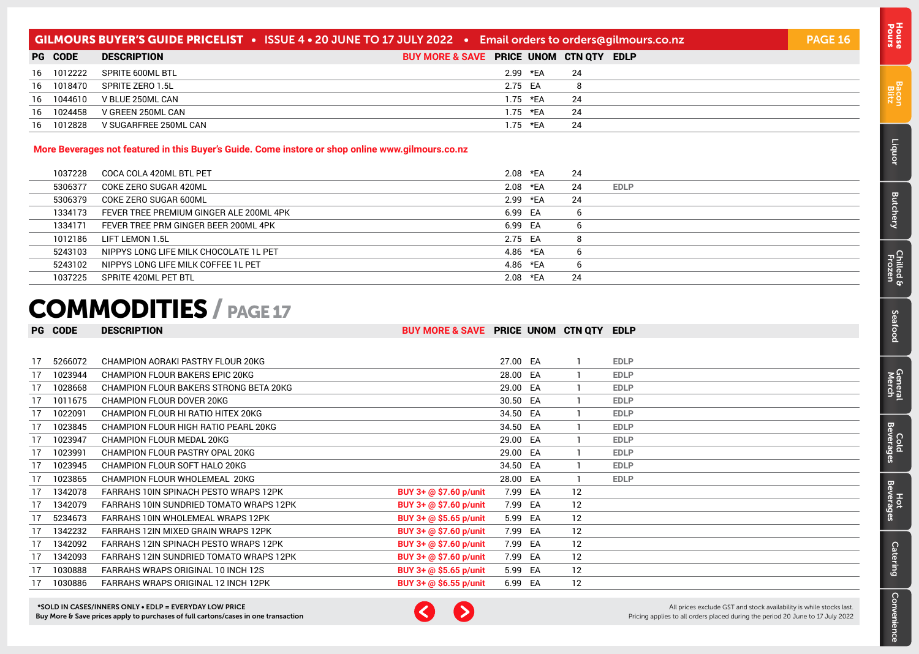| <b>GILMOURS BUYER'S GUIDE PRICELIST •</b> ISSUE 4 • 20 JUNE TO 17 JULY 2022 • Email orders to orders@gilmours.co.nz |                       |                                         |    |  |  |  |  |
|---------------------------------------------------------------------------------------------------------------------|-----------------------|-----------------------------------------|----|--|--|--|--|
| <b>PG CODE</b>                                                                                                      | <b>DESCRIPTION</b>    | BUY MORE & SAVE PRICE UNOM CTN QTY EDLP |    |  |  |  |  |
| 16 1012222                                                                                                          | SPRITE 600ML BTL      | 2.99 *EA                                | 24 |  |  |  |  |
| 16 1018470                                                                                                          | SPRITE ZERO 1.5L      | 2.75 EA                                 | 8  |  |  |  |  |
| 16 1044610                                                                                                          | V BLUE 250ML CAN      | $1.75$ *EA                              | 24 |  |  |  |  |
| 16 1024458                                                                                                          | V GREEN 250ML CAN     | 1.75 *EA                                | 24 |  |  |  |  |
| 16 1012828                                                                                                          | V SUGARFREE 250ML CAN | 1.75 *EA                                | 24 |  |  |  |  |

#### **More Beverages not featured in this Buyer's Guide. Come instore or shop online www.gilmours.co.nz**

| 1037228 | COCA COLA 420ML BTL PET                 | 2.08 *EA | 24 |             |
|---------|-----------------------------------------|----------|----|-------------|
| 5306377 | COKE ZERO SUGAR 420ML                   | 2.08 *EA | 24 | <b>EDLP</b> |
| 5306379 | COKE ZERO SUGAR 600ML                   | 2.99 *EA | 24 |             |
| 1334173 | FEVER TREE PREMIUM GINGER ALE 200ML 4PK | 6.99 EA  |    |             |
| 1334171 | FEVER TREE PRM GINGER BEER 200ML 4PK    | 6.99 EA  |    |             |
| 1012186 | LIFT LEMON 1.5L                         | 2.75 EA  | 8  |             |
| 5243103 | NIPPYS LONG LIFE MILK CHOCOLATE 1L PET  | 4.86 *EA | b  |             |
| 5243102 | NIPPYS LONG LIFE MILK COFFEE 1L PET     | 4.86 *EA | b  |             |
| 1037225 | SPRITE 420ML PET BTL                    | 2.08 *EA | 24 |             |

# COMMODITIES / PAGE 17

#### PG CODE DESCRIPTION **BUY MORE & SAVE** PRICE UNOM CTN QTY EDLP

| 17 | 5266072 | CHAMPION AORAKI PASTRY FLOUR 20KG       |                        | 27.00 EA |    | <b>EDLP</b> |
|----|---------|-----------------------------------------|------------------------|----------|----|-------------|
|    | 1023944 | <b>CHAMPION FLOUR BAKERS EPIC 20KG</b>  |                        | 28.00 EA |    | <b>EDLP</b> |
|    | 1028668 | CHAMPION FLOUR BAKERS STRONG BETA 20KG  |                        | 29.00 EA |    | <b>EDLP</b> |
|    | 1011675 | CHAMPION FLOUR DOVER 20KG               |                        | 30.50 EA |    | <b>EDLP</b> |
|    | 1022091 | CHAMPION FLOUR HI RATIO HITEX 20KG      |                        | 34.50 EA |    | <b>EDLP</b> |
|    | 1023845 | CHAMPION FLOUR HIGH RATIO PEARL 20KG    |                        | 34.50 EA |    | <b>EDLP</b> |
|    | 1023947 | CHAMPION FLOUR MEDAL 20KG               |                        | 29.00 EA |    | <b>EDLP</b> |
| 17 | 1023991 | CHAMPION FLOUR PASTRY OPAL 20KG         |                        | 29.00 EA |    | <b>EDLP</b> |
| 17 | 1023945 | CHAMPION FLOUR SOFT HALO 20KG           |                        | 34.50 EA |    | <b>EDLP</b> |
|    | 1023865 | CHAMPION FLOUR WHOLEMEAL 20KG           |                        | 28.00 EA |    | <b>EDLP</b> |
|    | 1342078 | FARRAHS 10IN SPINACH PESTO WRAPS 12PK   | BUY 3+ @ \$7.60 p/unit | 7.99 EA  | 12 |             |
|    | 1342079 | FARRAHS 10IN SUNDRIED TOMATO WRAPS 12PK | BUY 3+ @ \$7.60 p/unit | 7.99 EA  | 12 |             |
|    | 5234673 | FARRAHS 10IN WHOLEMEAL WRAPS 12PK       | BUY 3+ @ \$5.65 p/unit | 5.99 EA  | 12 |             |
|    | 1342232 | FARRAHS 12IN MIXED GRAIN WRAPS 12PK     | BUY 3+ @ \$7.60 p/unit | 7.99 EA  | 12 |             |
| 17 | 1342092 | FARRAHS 12IN SPINACH PESTO WRAPS 12PK   | BUY 3+ @ \$7.60 p/unit | 7.99 EA  | 12 |             |
| 17 | 1342093 | FARRAHS 12IN SUNDRIED TOMATO WRAPS 12PK | BUY 3+ @ \$7.60 p/unit | 7.99 EA  | 12 |             |
| 17 | 1030888 | FARRAHS WRAPS ORIGINAL 10 INCH 12S      | BUY 3+ @ \$5.65 p/unit | 5.99 EA  | 12 |             |
|    | 1030886 | FARRAHS WRAPS ORIGINAL 12 INCH 12PK     | BUY 3+ @ \$6.55 p/unit | 6.99 EA  | 12 |             |



All prices exclude GST and stock availability is while stocks last. Pricing applies to all orders placed during the period 20 June to 17 July 2022

Pours [House](#page-0-0)

[Bacon](#page-2-0) Blitz

[Liquor](#page-23-0)

**[Butchery](#page-0-0)** 

Cold<br>Beverag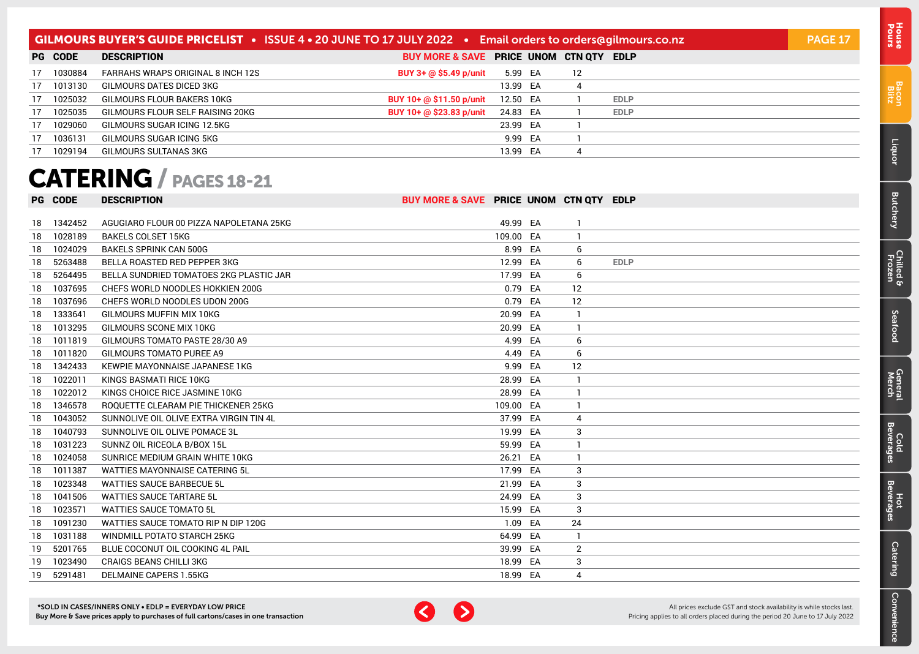<span id="page-16-0"></span>

| <b>GILMOURS BUYER'S GUIDE PRICELIST</b> • ISSUE 4 • 20 JUNE TO 17 JULY 2022 • Email orders to orders@gilmours.co.nz |                |                                   |                                         |          |  |    |             | <b>PAGE 17</b> |
|---------------------------------------------------------------------------------------------------------------------|----------------|-----------------------------------|-----------------------------------------|----------|--|----|-------------|----------------|
|                                                                                                                     | <b>PG CODE</b> | <b>DESCRIPTION</b>                | BUY MORE & SAVE PRICE UNOM CTN QTY EDLP |          |  |    |             |                |
| 17                                                                                                                  | 1030884        | FARRAHS WRAPS ORIGINAL 8 INCH 12S | BUY 3+ @ \$5.49 p/unit                  | 5.99 EA  |  | 12 |             |                |
|                                                                                                                     | 17 1013130     | GILMOURS DATES DICED 3KG          |                                         | 13.99 EA |  | 4  |             |                |
| 17                                                                                                                  | 1025032        | GILMOURS FLOUR BAKERS 10KG        | BUY 10+ @ \$11.50 p/unit                | 12.50 EA |  |    | <b>EDLP</b> |                |
| 17                                                                                                                  | 1025035        | GILMOURS FLOUR SELF RAISING 20KG  | BUY 10+ @ \$23.83 p/unit                | 24.83 EA |  |    | <b>EDLP</b> |                |
| 17                                                                                                                  | 1029060        | GILMOURS SUGAR ICING 12.5KG       |                                         | 23.99 EA |  |    |             |                |
| 17                                                                                                                  | 1036131        | GILMOURS SUGAR ICING 5KG          |                                         | 9.99 EA  |  |    |             |                |
|                                                                                                                     | 1029194        | GILMOURS SULTANAS 3KG             |                                         | 13.99 EA |  | 4  |             |                |

# CATERING / PAGES 18-21

|    | <b>PG CODE</b> | <b>DESCRIPTION</b>                      | BUY MORE & SAVE PRICE UNOM CTN QTY EDLP |          |    |             |
|----|----------------|-----------------------------------------|-----------------------------------------|----------|----|-------------|
|    |                |                                         |                                         |          |    |             |
| 18 | 1342452        | AGUGIARO FLOUR 00 PIZZA NAPOLETANA 25KG |                                         | 49.99 EA |    |             |
| 18 | 1028189        | <b>BAKELS COLSET 15KG</b>               | 109.00 EA                               |          |    |             |
| 18 | 1024029        | <b>BAKELS SPRINK CAN 500G</b>           |                                         | 8.99 EA  | 6  |             |
| 18 | 5263488        | <b>BELLA ROASTED RED PEPPER 3KG</b>     |                                         | 12.99 EA | 6  | <b>EDLP</b> |
| 18 | 5264495        | BELLA SUNDRIED TOMATOES 2KG PLASTIC JAR |                                         | 17.99 EA | 6  |             |
| 18 | 1037695        | CHEFS WORLD NOODLES HOKKIEN 200G        |                                         | 0.79 EA  | 12 |             |
| 18 | 1037696        | CHEFS WORLD NOODLES UDON 200G           |                                         | 0.79 EA  | 12 |             |
| 18 | 1333641        | GILMOURS MUFFIN MIX 10KG                |                                         | 20.99 EA |    |             |
| 18 | 1013295        | GILMOURS SCONE MIX 10KG                 |                                         | 20.99 EA |    |             |
| 18 | 1011819        | GILMOURS TOMATO PASTE 28/30 A9          |                                         | 4.99 EA  | 6  |             |
| 18 | 1011820        | GILMOURS TOMATO PUREE A9                |                                         | 4.49 EA  | 6  |             |
| 18 | 1342433        | KEWPIE MAYONNAISE JAPANESE 1KG          |                                         | 9.99 EA  | 12 |             |
| 18 | 1022011        | KINGS BASMATI RICE 10KG                 | 28.99 EA                                |          |    |             |
| 18 | 1022012        | KINGS CHOICE RICE JASMINE 10KG          | 28.99 EA                                |          |    |             |
| 18 | 1346578        | ROQUETTE CLEARAM PIE THICKENER 25KG     | 109.00 EA                               |          |    |             |
| 18 | 1043052        | SUNNOLIVE OIL OLIVE EXTRA VIRGIN TIN 4L | 37.99 EA                                |          | 4  |             |
| 18 | 1040793        | SUNNOLIVE OIL OLIVE POMACE 3L           | 19.99                                   | EA       | 3  |             |
| 18 | 1031223        | SUNNZ OIL RICEOLA B/BOX 15L             |                                         | 59.99 EA |    |             |
| 18 | 1024058        | SUNRICE MEDIUM GRAIN WHITE 10KG         | 26.21                                   | EA       |    |             |
| 18 | 1011387        | <b>WATTIES MAYONNAISE CATERING 5L</b>   | 17.99 EA                                |          | 3  |             |
| 18 | 1023348        | <b>WATTIES SAUCE BARBECUE 5L</b>        | 21.99 EA                                |          | 3  |             |
| 18 | 1041506        | <b>WATTIES SAUCE TARTARE 5L</b>         | 24.99 EA                                |          | 3  |             |
| 18 | 1023571        | <b>WATTIES SAUCE TOMATO 5L</b>          |                                         | 15.99 EA | 3  |             |
| 18 | 1091230        | WATTIES SAUCE TOMATO RIP N DIP 120G     |                                         | 1.09 EA  | 24 |             |
| 18 | 1031188        | WINDMILL POTATO STARCH 25KG             | 64.99 EA                                |          |    |             |
| 19 | 5201765        | BLUE COCONUT OIL COOKING 4L PAIL        | 39.99 EA                                |          | 2  |             |
| 19 | 1023490        | <b>CRAIGS BEANS CHILLI 3KG</b>          | 18.99 EA                                |          | 3  |             |
| 19 | 5291481        | <b>DELMAINE CAPERS 1.55KG</b>           | 18.99 EA                                |          | 4  |             |



Pours [House](#page-0-0)

[Bacon](#page-2-0) Blitz

[Liquor](#page-23-0)

[Butchery](#page-0-0)

[Chilled & Frozen](#page-3-0)

[Seafood](#page-6-0)

Seafood

[General](#page-7-0) Cold<br>Merch Beverages

Cold<br>Beverages

**General**<br>Merch

Hot<br>Beverages

**Catering** 

[Convenience](#page-11-0)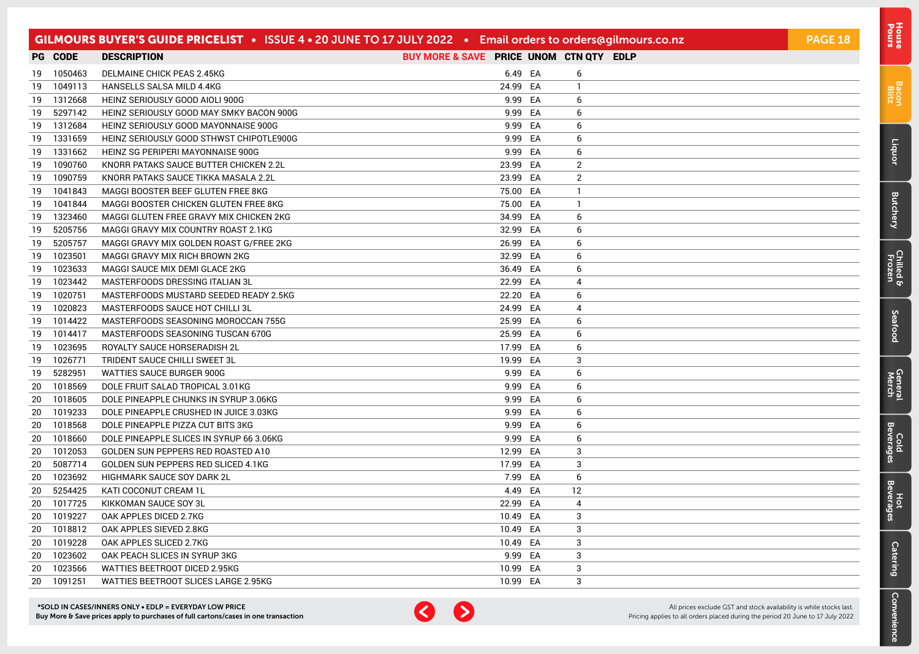|        |            | GILMOURS BUYER'S GUIDE PRICELIST • ISSUE 4 • 20 JUNE TO 17 JULY 2022 • Email orders to orders@gilmours.co.nz |                                         |         |                | <b>PAGE 18</b> |
|--------|------------|--------------------------------------------------------------------------------------------------------------|-----------------------------------------|---------|----------------|----------------|
|        | PG CODE    | <b>DESCRIPTION</b>                                                                                           | BUY MORE & SAVE PRICE UNOM CTN QTY EDLP |         |                |                |
|        | 19 1050463 | DELMAINE CHICK PEAS 2.45KG                                                                                   |                                         | 6.49 EA | 6              |                |
| 19     | 1049113    | HANSELLS SALSA MILD 4.4KG                                                                                    | 24.99 EA                                |         | $\mathbf{1}$   |                |
| 19     | 1312668    | HEINZ SERIOUSLY GOOD AIOLI 900G                                                                              |                                         | 9.99 EA | 6              |                |
| 19     | 5297142    | HEINZ SERIOUSLY GOOD MAY SMKY BACON 900G                                                                     |                                         | 9.99 EA | 6              |                |
| 19     | 1312684    | HEINZ SERIOUSLY GOOD MAYONNAISE 900G                                                                         |                                         | 9.99 EA | 6              |                |
| 19     | 1331659    | HEINZ SERIOUSLY GOOD STHWST CHIPOTLE900G                                                                     |                                         | 9.99 EA | 6              |                |
| 19     | 1331662    | HEINZ SG PERIPERI MAYONNAISE 900G                                                                            |                                         | 9.99 EA | 6              |                |
| 19     | 1090760    | KNORR PATAKS SAUCE BUTTER CHICKEN 2.2L                                                                       | 23.99 EA                                |         | 2              |                |
| 19     | 1090759    | KNORR PATAKS SAUCE TIKKA MASALA 2.2L                                                                         | 23.99 EA                                |         | $\overline{2}$ |                |
| 19     | 1041843    | MAGGI BOOSTER BEEF GLUTEN FREE 8KG                                                                           | 75.00 EA                                |         | $\mathbf{1}$   |                |
| 19     | 1041844    | MAGGI BOOSTER CHICKEN GLUTEN FREE 8KG                                                                        | 75.00 EA                                |         | $\mathbf{1}$   |                |
| 19     | 1323460    | MAGGI GLUTEN FREE GRAVY MIX CHICKEN 2KG                                                                      | 34.99 EA                                |         | 6              |                |
| 19     | 5205756    | MAGGI GRAVY MIX COUNTRY ROAST 2.1KG                                                                          | 32.99 EA                                |         | 6              |                |
| 19     | 5205757    | MAGGI GRAVY MIX GOLDEN ROAST G/FREE 2KG                                                                      | 26.99 EA                                |         | 6              |                |
| 19     | 1023501    | MAGGI GRAVY MIX RICH BROWN 2KG                                                                               | 32.99 EA                                |         | 6              |                |
| 19     | 1023633    | MAGGI SAUCE MIX DEMI GLACE 2KG                                                                               | 36.49 EA                                |         | 6              |                |
| 19     | 1023442    | MASTERFOODS DRESSING ITALIAN 3L                                                                              | 22.99 EA                                |         | 4              |                |
|        | 19 1020751 | MASTERFOODS MUSTARD SEEDED READY 2.5KG                                                                       | 22.20 EA                                |         | 6              |                |
| 19     | 1020823    | MASTERFOODS SAUCE HOT CHILLI 3L                                                                              | 24.99 EA                                |         | 4              |                |
| 19     | 1014422    | MASTERFOODS SEASONING MOROCCAN 755G                                                                          | 25.99 EA                                |         | 6              |                |
| 19     | 1014417    | MASTERFOODS SEASONING TUSCAN 670G                                                                            | 25.99 EA                                |         | 6              |                |
|        | 19 1023695 | ROYALTY SAUCE HORSERADISH 2L                                                                                 | 17.99 EA                                |         | 6              |                |
| 19     | 1026771    | TRIDENT SAUCE CHILLI SWEET 3L                                                                                | 19.99                                   | EA      | 3              |                |
| 19     | 5282951    | WATTIES SAUCE BURGER 900G                                                                                    | 9.99                                    | EA      | 6              |                |
| $20\,$ | 1018569    | DOLE FRUIT SALAD TROPICAL 3.01KG                                                                             |                                         | 9.99 EA | 6              |                |
| 20     | 1018605    | DOLE PINEAPPLE CHUNKS IN SYRUP 3.06KG                                                                        | 9.99                                    | EA      | 6              |                |
| 20     | 1019233    | DOLE PINEAPPLE CRUSHED IN JUICE 3.03KG                                                                       |                                         | 9.99 EA | 6              |                |
| 20     | 1018568    | DOLE PINEAPPLE PIZZA CUT BITS 3KG                                                                            |                                         | 9.99 EA | 6              |                |
| 20     | 1018660    | DOLE PINEAPPLE SLICES IN SYRUP 66 3.06KG                                                                     |                                         | 9.99 EA | 6              |                |
| 20     | 1012053    | GOLDEN SUN PEPPERS RED ROASTED A10                                                                           | 12.99 EA                                |         | 3              |                |
| 20     | 5087714    | GOLDEN SUN PEPPERS RED SLICED 4.1KG                                                                          | 17.99 EA                                |         | 3              |                |
| 20     | 1023692    | HIGHMARK SAUCE SOY DARK 2L                                                                                   |                                         | 7.99 EA | 6              |                |
| 20     | 5254425    | KATI COCONUT CREAM 1L                                                                                        | 4.49                                    | EA      | 12             |                |
| 20     | 1017725    | KIKKOMAN SAUCE SOY 3L                                                                                        | 22.99 EA                                |         | 4              |                |
| 20     | 1019227    | OAK APPLES DICED 2.7KG                                                                                       | 10.49 EA                                |         | 3              |                |
| 20     | 1018812    | OAK APPLES SIEVED 2.8KG                                                                                      | 10.49 EA                                |         | 3              |                |
| 20     | 1019228    | OAK APPLES SLICED 2.7KG                                                                                      | 10.49 EA                                |         | 3              |                |
| 20     | 1023602    | OAK PEACH SLICES IN SYRUP 3KG                                                                                | 9.99                                    | EA      | 3              |                |
| 20     | 1023566    | WATTIES BEETROOT DICED 2.95KG                                                                                | 10.99                                   | EA      | 3              |                |
| 20     | 1091251    | WATTIES BEETROOT SLICES LARGE 2.95KG                                                                         | 10.99 EA                                |         | 3              |                |



All prices exclude GST and stock availability is while stocks last. Pricing applies to all orders placed during the period 20 June to 17 July 2022

[Bacon](#page-2-0) Blitz

[Liquor](#page-23-0)

**[Butchery](#page-0-0)** 

[Chilled & Frozen](#page-3-0)

[Seafood](#page-6-0)

Seafood

[General](#page-7-0) Cold<br>Merch Beverages

Cold<br>Beverages

General<br>Merch

Hot<br>Beverages

**[Catering](#page-16-0)** 

[Convenience](#page-11-0)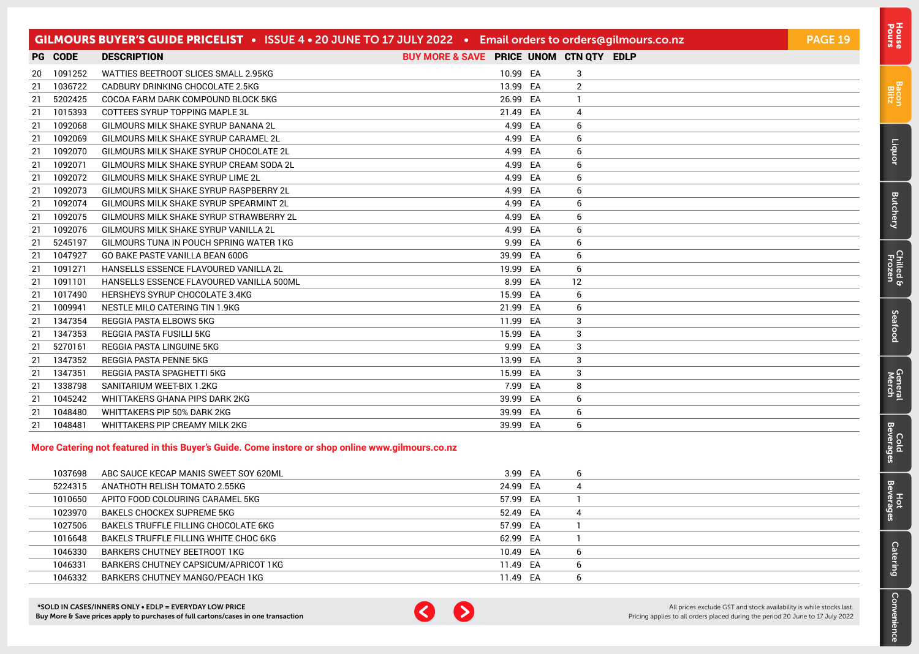|     |                | GILMOURS BUYER'S GUIDE PRICELIST . ISSUE 4 . 20 JUNE TO 17 JULY 2022 . Email orders to orders@gilmours.co.nz |                                         |    |    | <b>PAGE 19</b> |
|-----|----------------|--------------------------------------------------------------------------------------------------------------|-----------------------------------------|----|----|----------------|
|     | <b>PG CODE</b> | <b>DESCRIPTION</b>                                                                                           | BUY MORE & SAVE PRICE UNOM CTN QTY EDLP |    |    |                |
| 20  | 1091252        | WATTIES BEETROOT SLICES SMALL 2.95KG                                                                         | 10.99 EA                                |    | 3  |                |
| 21  | 1036722        | CADBURY DRINKING CHOCOLATE 2.5KG                                                                             | 13.99 EA                                |    | 2  |                |
| 21  | 5202425        | COCOA FARM DARK COMPOUND BLOCK 5KG                                                                           | 26.99 EA                                |    |    |                |
| -21 | 1015393        | COTTEES SYRUP TOPPING MAPLE 3L                                                                               | 21.49 EA                                |    | 4  |                |
| 21  | 1092068        | GILMOURS MILK SHAKE SYRUP BANANA 2L                                                                          | 4.99                                    | EA | 6  |                |
| 21  | 1092069        | GILMOURS MILK SHAKE SYRUP CARAMEL 2L                                                                         | 4.99 EA                                 |    | 6  |                |
| 21  | 1092070        | GILMOURS MILK SHAKE SYRUP CHOCOLATE 2L                                                                       | 4.99                                    | EA | 6  |                |
| -21 | 1092071        | GILMOURS MILK SHAKE SYRUP CREAM SODA 2L                                                                      | 4.99 EA                                 |    | 6  |                |
| 21  | 1092072        | GILMOURS MILK SHAKE SYRUP LIME 2L                                                                            | 4.99 EA                                 |    | 6  |                |
| 21  | 1092073        | GILMOURS MILK SHAKE SYRUP RASPBERRY 2L                                                                       | 4.99                                    | EA | 6  |                |
| 21  | 1092074        | GILMOURS MILK SHAKE SYRUP SPEARMINT 2L                                                                       | 4.99 EA                                 |    | 6  |                |
| 21  | 1092075        | GILMOURS MILK SHAKE SYRUP STRAWBERRY 2L                                                                      | 4.99                                    | EA | 6  |                |
| 21  | 1092076        | GILMOURS MILK SHAKE SYRUP VANILLA 2L                                                                         | 4.99 EA                                 |    | 6  |                |
| 21  | 5245197        | GILMOURS TUNA IN POUCH SPRING WATER 1KG                                                                      | 9.99                                    | EA | 6  |                |
| -21 | 1047927        | GO BAKE PASTE VANILLA BEAN 600G                                                                              | 39.99 EA                                |    | 6  |                |
| 21  | 1091271        | <b>HANSELLS ESSENCE FLAVOURED VANILLA 2L</b>                                                                 | 19.99 EA                                |    | 6  |                |
| 21  | 1091101        | HANSELLS ESSENCE FLAVOURED VANILLA 500ML                                                                     | 8.99                                    | EA | 12 |                |
| 21  | 1017490        | <b>HERSHEYS SYRUP CHOCOLATE 3.4KG</b>                                                                        | 15.99 EA                                |    | 6  |                |
| 21  | 1009941        | NESTLE MILO CATERING TIN 1.9KG                                                                               | 21.99                                   | EA | 6  |                |
| -21 | 1347354        | REGGIA PASTA ELBOWS 5KG                                                                                      | 11.99 EA                                |    | 3  |                |
| 21  | 1347353        | REGGIA PASTA FUSILLI 5KG                                                                                     | 15.99 EA                                |    | 3  |                |
| 21  | 5270161        | REGGIA PASTA LINGUINE 5KG                                                                                    | 9.99                                    | EA | 3  |                |
| 21  | 1347352        | <b>REGGIA PASTA PENNE 5KG</b>                                                                                | 13.99 EA                                |    | 3  |                |
| 21  | 1347351        | <b>REGGIA PASTA SPAGHETTI 5KG</b>                                                                            | 15.99                                   | EA | 3  |                |
| 21  | 1338798        | SANITARIUM WEET-BIX 1.2KG                                                                                    | 7.99 EA                                 |    | 8  |                |
| -21 | 1045242        | WHITTAKERS GHANA PIPS DARK 2KG                                                                               | 39.99 EA                                |    | 6  |                |
| 21  | 1048480        | WHITTAKERS PIP 50% DARK 2KG                                                                                  | 39.99                                   | EA | 6  |                |
| 21  | 1048481        | WHITTAKERS PIP CREAMY MILK 2KG                                                                               | 39.99 EA                                |    | 6  |                |

#### **More Catering not featured in this Buyer's Guide. Come instore or shop online www.gilmours.co.nz**

| 1037698 | ABC SAUCE KECAP MANIS SWEET SOY 620ML | 3.99 EA  | b |
|---------|---------------------------------------|----------|---|
| 5224315 | ANATHOTH RELISH TOMATO 2.55KG         | 24.99 EA | 4 |
| 1010650 | APITO FOOD COLOURING CARAMEL 5KG      | 57.99 EA |   |
| 1023970 | BAKELS CHOCKEX SUPREME 5KG            | 52.49 EA | 4 |
| 1027506 | BAKELS TRUFFLE FILLING CHOCOLATE 6KG  | 57.99 EA |   |
| 1016648 | BAKELS TRUFFLE FILLING WHITE CHOC 6KG | 62.99 EA |   |
| 1046330 | BARKERS CHUTNEY BEETROOT 1KG          | 10.49 EA | b |
| 1046331 | BARKERS CHUTNEY CAPSICUM/APRICOT 1KG  | 11.49 EA | b |
| 1046332 | BARKERS CHUTNEY MANGO/PEACH 1KG       | 11.49 EA | b |



All prices exclude GST and stock availability is while stocks last. Pricing applies to all orders placed during the period 20 June to 17 July 2022 [Bacon](#page-2-0) Blitz

[Liquor](#page-23-0)

[Butchery](#page-0-0)

[Chilled & Frozen](#page-3-0)

[Seafood](#page-6-0)

Seafood

[General](#page-7-0) Cold<br>Merch Beverages

Cold<br>Beverages

General<br>Merch

Hot<br>Beverages

**[Catering](#page-16-0)** 

[Convenience](#page-11-0)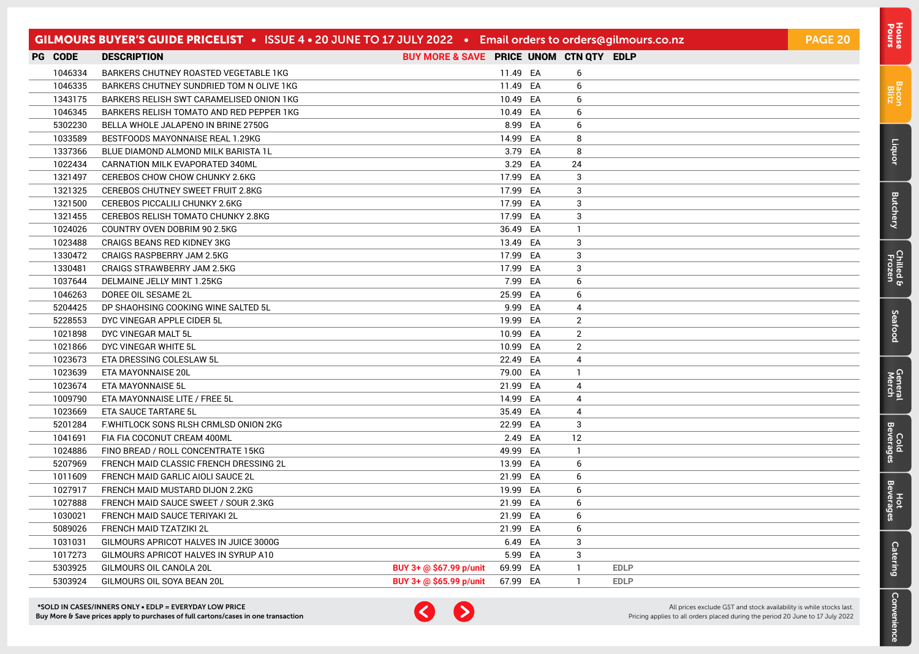|                | GILMOURS BUYER'S GUIDE PRICELIST • ISSUE 4 • 20 JUNE TO 17 JULY 2022 • Email orders to orders@gilmours.co.nz |                                         |          |                |             | <b>PAGE 20</b> |
|----------------|--------------------------------------------------------------------------------------------------------------|-----------------------------------------|----------|----------------|-------------|----------------|
| <b>PG CODE</b> | <b>DESCRIPTION</b>                                                                                           | BUY MORE & SAVE PRICE UNOM CTN QTY EDLP |          |                |             |                |
| 1046334        | BARKERS CHUTNEY ROASTED VEGETABLE 1KG                                                                        |                                         | 11.49 EA | 6              |             |                |
| 1046335        | BARKERS CHUTNEY SUNDRIED TOM N OLIVE 1KG                                                                     |                                         | 11.49 EA | 6              |             |                |
| 1343175        | BARKERS RELISH SWT CARAMELISED ONION 1KG                                                                     |                                         | 10.49 EA | 6              |             |                |
| 1046345        | BARKERS RELISH TOMATO AND RED PEPPER 1KG                                                                     |                                         | 10.49 EA | 6              |             |                |
| 5302230        | BELLA WHOLE JALAPENO IN BRINE 2750G                                                                          |                                         | 8.99 EA  | 6              |             |                |
| 1033589        | BESTFOODS MAYONNAISE REAL 1.29KG                                                                             |                                         | 14.99 EA | 8              |             |                |
| 1337366        | BLUE DIAMOND ALMOND MILK BARISTA 1L                                                                          |                                         | 3.79 EA  | 8              |             |                |
| 1022434        | CARNATION MILK EVAPORATED 340ML                                                                              |                                         | 3.29 EA  | 24             |             |                |
| 1321497        | CEREBOS CHOW CHOW CHUNKY 2.6KG                                                                               |                                         | 17.99 EA | 3              |             |                |
| 1321325        | CEREBOS CHUTNEY SWEET FRUIT 2.8KG                                                                            |                                         | 17.99 EA | 3              |             |                |
| 1321500        | <b>CEREBOS PICCALILI CHUNKY 2.6KG</b>                                                                        |                                         | 17.99 EA | 3              |             |                |
| 1321455        | CEREBOS RELISH TOMATO CHUNKY 2.8KG                                                                           |                                         | 17.99 EA | 3              |             |                |
| 1024026        | COUNTRY OVEN DOBRIM 90 2.5KG                                                                                 |                                         | 36.49 EA | $\mathbf{1}$   |             |                |
| 1023488        | CRAIGS BEANS RED KIDNEY 3KG                                                                                  |                                         | 13.49 EA | 3              |             |                |
| 1330472        | CRAIGS RASPBERRY JAM 2.5KG                                                                                   |                                         | 17.99 EA | 3              |             |                |
| 1330481        | CRAIGS STRAWBERRY JAM 2.5KG                                                                                  |                                         | 17.99 EA | 3              |             |                |
| 1037644        | DELMAINE JELLY MINT 1.25KG                                                                                   |                                         | 7.99 EA  | 6              |             |                |
| 1046263        | DOREE OIL SESAME 2L                                                                                          |                                         | 25.99 EA | 6              |             |                |
| 5204425        | DP SHAOHSING COOKING WINE SALTED 5L                                                                          |                                         | 9.99 EA  | 4              |             |                |
| 5228553        | DYC VINEGAR APPLE CIDER 5L                                                                                   |                                         | 19.99 EA | $\overline{2}$ |             |                |
| 1021898        | DYC VINEGAR MALT 5L                                                                                          |                                         | 10.99 EA | $\overline{2}$ |             |                |
| 1021866        | DYC VINEGAR WHITE 5L                                                                                         |                                         | 10.99 EA | $\overline{2}$ |             |                |
| 1023673        | ETA DRESSING COLESLAW 5L                                                                                     |                                         | 22.49 EA | 4              |             |                |
| 1023639        | ETA MAYONNAISE 20L                                                                                           |                                         | 79.00 EA | $\mathbf{1}$   |             |                |
| 1023674        | ETA MAYONNAISE 5L                                                                                            |                                         | 21.99 EA | 4              |             |                |
| 1009790        | ETA MAYONNAISE LITE / FREE 5L                                                                                |                                         | 14.99 EA | 4              |             |                |
| 1023669        | ETA SAUCE TARTARE 5L                                                                                         |                                         | 35.49 EA | 4              |             |                |
| 5201284        | F.WHITLOCK SONS RLSH CRMLSD ONION 2KG                                                                        |                                         | 22.99 EA | 3              |             |                |
| 1041691        | FIA FIA COCONUT CREAM 400ML                                                                                  |                                         | 2.49 EA  | 12             |             |                |
| 1024886        | FINO BREAD / ROLL CONCENTRATE 15KG                                                                           |                                         | 49.99 EA | $\mathbf{1}$   |             |                |
| 5207969        | FRENCH MAID CLASSIC FRENCH DRESSING 2L                                                                       |                                         | 13.99 EA | 6              |             |                |
| 1011609        | FRENCH MAID GARLIC AIOLI SAUCE 2L                                                                            |                                         | 21.99 EA | 6              |             |                |
| 1027917        | FRENCH MAID MUSTARD DIJON 2.2KG                                                                              |                                         | 19.99 EA | 6              |             |                |
| 1027888        | FRENCH MAID SAUCE SWEET / SOUR 2.3KG                                                                         |                                         | 21.99 EA | 6              |             |                |
| 1030021        | FRENCH MAID SAUCE TERIYAKI 2L                                                                                |                                         | 21.99 EA | 6              |             |                |
| 5089026        | FRENCH MAID TZATZIKI 2L                                                                                      |                                         | 21.99 EA | 6              |             |                |
| 1031031        | GILMOURS APRICOT HALVES IN JUICE 3000G                                                                       |                                         | 6.49 EA  | 3              |             |                |
| 1017273        | GILMOURS APRICOT HALVES IN SYRUP A10                                                                         |                                         | 5.99 EA  | 3              |             |                |
| 5303925        | GILMOURS OIL CANOLA 20L                                                                                      | BUY 3+ @ \$67.99 p/unit                 | 69.99 EA | $\mathbf{1}$   | <b>EDLP</b> |                |
| 5303924        | GILMOURS OIL SOYA BEAN 20L                                                                                   | BUY 3+ @ \$65.99 p/unit                 | 67.99 EA | $\mathbf{1}$   | <b>EDLP</b> |                |



All prices exclude GST and stock availability is while stocks last. Pricing applies to all orders placed during the period 20 June to 17 July 2022 [Bacon](#page-2-0) Blitz

[Liquor](#page-23-0)

**[Butchery](#page-0-0)** 

[Chilled & Frozen](#page-3-0)

[Seafood](#page-6-0)

Seafood

[General](#page-7-0) Cold<br>Merch Beverages

Cold<br>Beverages

General<br>Merch

Hot<br>Beverages

**[Catering](#page-16-0)** 

[Convenience](#page-11-0)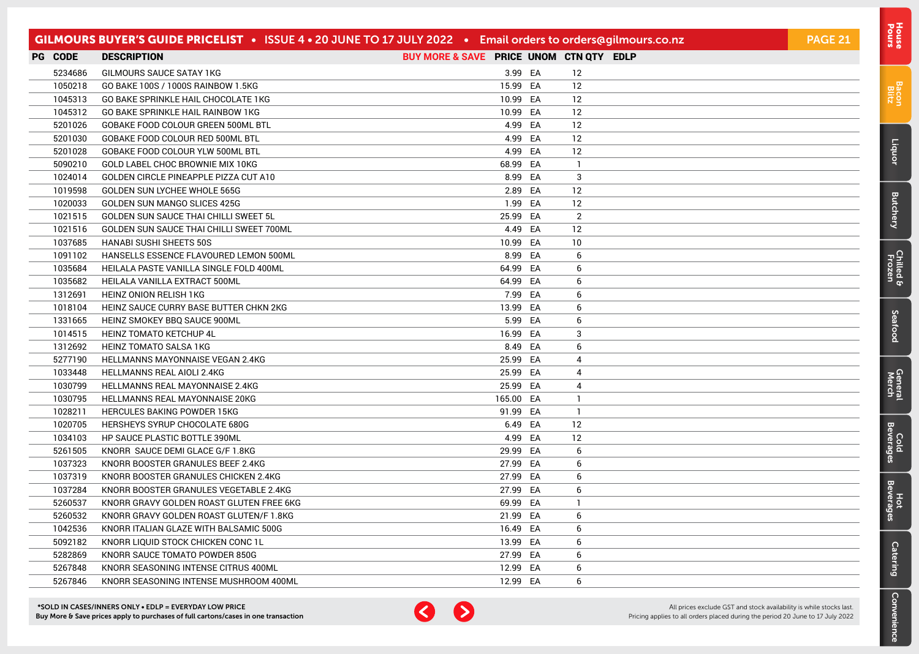|         | GILMOURS BUYER'S GUIDE PRICELIST . ISSUE 4 . 20 JUNE TO 17 JULY 2022 . Email orders to orders@gilmours.co.nz |                                         |           |                | <b>PAGE 21</b> |
|---------|--------------------------------------------------------------------------------------------------------------|-----------------------------------------|-----------|----------------|----------------|
| PG CODE | <b>DESCRIPTION</b>                                                                                           | BUY MORE & SAVE PRICE UNOM CTN QTY EDLP |           |                |                |
| 5234686 | GILMOURS SAUCE SATAY 1KG                                                                                     |                                         | 3.99 EA   | 12             |                |
| 1050218 | GO BAKE 100S / 1000S RAINBOW 1.5KG                                                                           |                                         | 15.99 EA  | 12             |                |
| 1045313 | GO BAKE SPRINKLE HAIL CHOCOLATE 1KG                                                                          |                                         | 10.99 EA  | 12             |                |
| 1045312 | GO BAKE SPRINKLE HAIL RAINBOW 1KG                                                                            |                                         | 10.99 EA  | 12             |                |
| 5201026 | GOBAKE FOOD COLOUR GREEN 500ML BTL                                                                           |                                         | 4.99 EA   | 12             |                |
| 5201030 | GOBAKE FOOD COLOUR RED 500ML BTL                                                                             |                                         | 4.99 EA   | 12             |                |
| 5201028 | GOBAKE FOOD COLOUR YLW 500ML BTL                                                                             |                                         | 4.99 EA   | 12             |                |
| 5090210 | GOLD LABEL CHOC BROWNIE MIX 10KG                                                                             |                                         | 68.99 EA  | $\mathbf{1}$   |                |
| 1024014 | GOLDEN CIRCLE PINEAPPLE PIZZA CUT A10                                                                        |                                         | 8.99 EA   | 3              |                |
| 1019598 | GOLDEN SUN LYCHEE WHOLE 565G                                                                                 |                                         | 2.89 EA   | 12             |                |
| 1020033 | GOLDEN SUN MANGO SLICES 425G                                                                                 |                                         | 1.99 EA   | -12            |                |
| 1021515 | GOLDEN SUN SAUCE THAI CHILLI SWEET 5L                                                                        |                                         | 25.99 EA  | 2              |                |
| 1021516 | GOLDEN SUN SAUCE THAI CHILLI SWEET 700ML                                                                     |                                         | 4.49 EA   | 12             |                |
| 1037685 | <b>HANABI SUSHI SHEETS 50S</b>                                                                               |                                         | 10.99 EA  | 10             |                |
| 1091102 | HANSELLS ESSENCE FLAVOURED LEMON 500ML                                                                       |                                         | 8.99 EA   | 6              |                |
| 1035684 | HEILALA PASTE VANILLA SINGLE FOLD 400ML                                                                      |                                         | 64.99 EA  | 6              |                |
| 1035682 | HEILALA VANILLA EXTRACT 500ML                                                                                |                                         | 64.99 EA  | 6              |                |
| 1312691 | HEINZ ONION RELISH 1KG                                                                                       |                                         | 7.99 EA   | 6              |                |
| 1018104 | HEINZ SAUCE CURRY BASE BUTTER CHKN 2KG                                                                       |                                         | 13.99 EA  | 6              |                |
| 1331665 | HEINZ SMOKEY BBQ SAUCE 900ML                                                                                 |                                         | 5.99 EA   | 6              |                |
| 1014515 | <b>HEINZ TOMATO KETCHUP 4L</b>                                                                               |                                         | 16.99 EA  | 3              |                |
| 1312692 | HEINZ TOMATO SALSA 1KG                                                                                       |                                         | 8.49 EA   | 6              |                |
| 5277190 | HELLMANNS MAYONNAISE VEGAN 2.4KG                                                                             |                                         | 25.99 EA  | 4              |                |
| 1033448 | HELLMANNS REAL AIOLI 2.4KG                                                                                   |                                         | 25.99 EA  | 4              |                |
| 1030799 | HELLMANNS REAL MAYONNAISE 2.4KG                                                                              |                                         | 25.99 EA  | $\overline{4}$ |                |
| 1030795 | HELLMANNS REAL MAYONNAISE 20KG                                                                               |                                         | 165.00 EA | $\mathbf{1}$   |                |
| 1028211 | <b>HERCULES BAKING POWDER 15KG</b>                                                                           |                                         | 91.99 EA  | $\mathbf{1}$   |                |
| 1020705 | HERSHEYS SYRUP CHOCOLATE 680G                                                                                |                                         | 6.49 EA   | 12             |                |
| 1034103 | HP SAUCE PLASTIC BOTTLE 390ML                                                                                |                                         | 4.99 EA   | 12             |                |
| 5261505 | KNORR SAUCE DEMI GLACE G/F 1.8KG                                                                             |                                         | 29.99 EA  | 6              |                |
| 1037323 | KNORR BOOSTER GRANULES BEEF 2.4KG                                                                            |                                         | 27.99 EA  | 6              |                |
| 1037319 | KNORR BOOSTER GRANULES CHICKEN 2.4KG                                                                         |                                         | 27.99 EA  | 6              |                |
| 1037284 | KNORR BOOSTER GRANULES VEGETABLE 2.4KG                                                                       |                                         | 27.99 EA  | 6              |                |
| 5260537 | KNORR GRAVY GOLDEN ROAST GLUTEN FREE 6KG                                                                     |                                         | 69.99 EA  | $\mathbf{1}$   |                |
| 5260532 | KNORR GRAVY GOLDEN ROAST GLUTEN/F 1.8KG                                                                      |                                         | 21.99 EA  | 6              |                |
| 1042536 | KNORR ITALIAN GLAZE WITH BALSAMIC 500G                                                                       |                                         | 16.49 EA  | 6              |                |
| 5092182 | KNORR LIQUID STOCK CHICKEN CONC 1L                                                                           |                                         | 13.99 EA  | 6              |                |
| 5282869 | KNORR SAUCE TOMATO POWDER 850G                                                                               |                                         | 27.99 EA  | 6              |                |
| 5267848 | KNORR SEASONING INTENSE CITRUS 400ML                                                                         |                                         | 12.99 EA  | 6              |                |
| 5267846 | KNORR SEASONING INTENSE MUSHROOM 400ML                                                                       |                                         | 12.99 EA  | 6              |                |



[Bacon](#page-2-0) Blitz

[Liquor](#page-23-0)

**[Butchery](#page-0-0)** 

[Chilled & Frozen](#page-3-0)

[Seafood](#page-6-0)

Seafood

[General](#page-7-0) Cold<br>Merch Beverages

Cold<br>Beverages

General<br>Merch

Hot<br>Beverages

**[Catering](#page-16-0)** 

[Convenience](#page-11-0)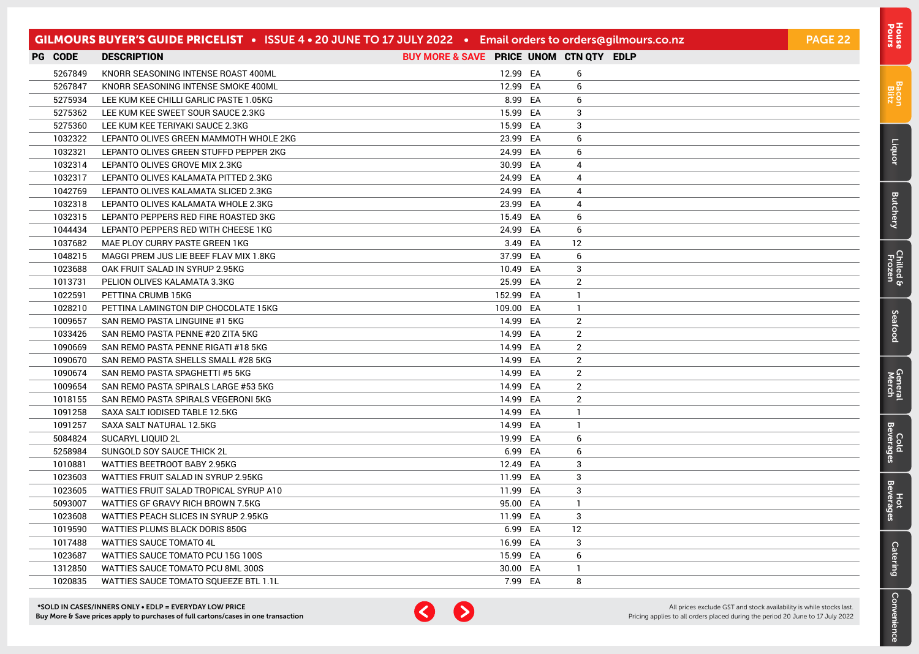|                | GILMOURS BUYER'S GUIDE PRICELIST . ISSUE 4 . 20 JUNE TO 17 JULY 2022 . Email orders to orders@gilmours.co.nz |                                         |           |                | PAGE 22 |
|----------------|--------------------------------------------------------------------------------------------------------------|-----------------------------------------|-----------|----------------|---------|
| <b>PG CODE</b> | <b>DESCRIPTION</b>                                                                                           | BUY MORE & SAVE PRICE UNOM CTN QTY EDLP |           |                |         |
| 5267849        | KNORR SEASONING INTENSE ROAST 400ML                                                                          |                                         | 12.99 EA  | 6              |         |
| 5267847        | KNORR SEASONING INTENSE SMOKE 400ML                                                                          |                                         | 12.99 EA  | 6              |         |
| 5275934        | LEE KUM KEE CHILLI GARLIC PASTE 1.05KG                                                                       |                                         | 8.99 EA   | 6              |         |
| 5275362        | LEE KUM KEE SWEET SOUR SAUCE 2.3KG                                                                           |                                         | 15.99 EA  | 3              |         |
| 5275360        | LEE KUM KEE TERIYAKI SAUCE 2.3KG                                                                             |                                         | 15.99 EA  | 3              |         |
| 1032322        | LEPANTO OLIVES GREEN MAMMOTH WHOLE 2KG                                                                       |                                         | 23.99 EA  | 6              |         |
| 1032321        | LEPANTO OLIVES GREEN STUFFD PEPPER 2KG                                                                       |                                         | 24.99 EA  | 6              |         |
| 1032314        | LEPANTO OLIVES GROVE MIX 2.3KG                                                                               |                                         | 30.99 EA  | 4              |         |
| 1032317        | LEPANTO OLIVES KALAMATA PITTED 2.3KG                                                                         |                                         | 24.99 EA  | 4              |         |
| 1042769        | LEPANTO OLIVES KALAMATA SLICED 2.3KG                                                                         |                                         | 24.99 EA  | 4              |         |
| 1032318        | LEPANTO OLIVES KALAMATA WHOLE 2.3KG                                                                          |                                         | 23.99 EA  | 4              |         |
| 1032315        | LEPANTO PEPPERS RED FIRE ROASTED 3KG                                                                         |                                         | 15.49 EA  | 6              |         |
| 1044434        | LEPANTO PEPPERS RED WITH CHEESE 1KG                                                                          |                                         | 24.99 EA  | 6              |         |
| 1037682        | MAE PLOY CURRY PASTE GREEN 1KG                                                                               |                                         | 3.49 EA   | 12             |         |
| 1048215        | MAGGI PREM JUS LIE BEEF FLAV MIX 1.8KG                                                                       |                                         | 37.99 EA  | 6              |         |
| 1023688        | OAK FRUIT SALAD IN SYRUP 2.95KG                                                                              |                                         | 10.49 EA  | 3              |         |
| 1013731        | PELION OLIVES KALAMATA 3.3KG                                                                                 |                                         | 25.99 EA  | $\overline{2}$ |         |
| 1022591        | PETTINA CRUMB 15KG                                                                                           |                                         | 152.99 EA | $\mathbf{1}$   |         |
| 1028210        | PETTINA LAMINGTON DIP CHOCOLATE 15KG                                                                         |                                         | 109.00 EA | 1.             |         |
| 1009657        | SAN REMO PASTA LINGUINE #1 5KG                                                                               |                                         | 14.99 EA  | 2              |         |
| 1033426        | SAN REMO PASTA PENNE #20 ZITA 5KG                                                                            |                                         | 14.99 EA  | $\overline{2}$ |         |
| 1090669        | SAN REMO PASTA PENNE RIGATI #18 5KG                                                                          |                                         | 14.99 EA  | $\overline{2}$ |         |
| 1090670        | SAN REMO PASTA SHELLS SMALL #28 5KG                                                                          |                                         | 14.99 EA  | $\overline{2}$ |         |
| 1090674        | SAN REMO PASTA SPAGHETTI #5 5KG                                                                              |                                         | 14.99 EA  | $\overline{2}$ |         |
| 1009654        | SAN REMO PASTA SPIRALS LARGE #53 5KG                                                                         |                                         | 14.99 EA  | $\overline{2}$ |         |
| 1018155        | SAN REMO PASTA SPIRALS VEGERONI 5KG                                                                          |                                         | 14.99 EA  | $\overline{2}$ |         |
| 1091258        | SAXA SALT IODISED TABLE 12.5KG                                                                               |                                         | 14.99 EA  | 1              |         |
| 1091257        | SAXA SALT NATURAL 12.5KG                                                                                     |                                         | 14.99 EA  | $\mathbf{1}$   |         |
| 5084824        | SUCARYL LIQUID 2L                                                                                            |                                         | 19.99 EA  | 6              |         |
| 5258984        | SUNGOLD SOY SAUCE THICK 2L                                                                                   |                                         | 6.99 EA   | 6              |         |
| 1010881        | WATTIES BEETROOT BABY 2.95KG                                                                                 |                                         | 12.49 EA  | 3              |         |
| 1023603        | WATTIES FRUIT SALAD IN SYRUP 2.95KG                                                                          |                                         | 11.99 EA  | 3              |         |
| 1023605        | WATTIES FRUIT SALAD TROPICAL SYRUP A10                                                                       |                                         | 11.99 EA  | 3              |         |
| 5093007        | WATTIES GF GRAVY RICH BROWN 7.5KG                                                                            |                                         | 95.00 EA  | 1              |         |
| 1023608        | WATTIES PEACH SLICES IN SYRUP 2.95KG                                                                         |                                         | 11.99 EA  | 3              |         |
| 1019590        | WATTIES PLUMS BLACK DORIS 850G                                                                               |                                         | 6.99 EA   | 12             |         |
| 1017488        | <b>WATTIES SAUCE TOMATO 4L</b>                                                                               |                                         | 16.99 EA  | 3              |         |
| 1023687        | WATTIES SAUCE TOMATO PCU 15G 100S                                                                            |                                         | 15.99 EA  | 6              |         |
| 1312850        | WATTIES SAUCE TOMATO PCU 8ML 300S                                                                            |                                         | 30.00 EA  | $\mathbf{1}$   |         |
| 1020835        | WATTIES SAUCE TOMATO SQUEEZE BTL 1.1L                                                                        |                                         | 7.99 EA   | 8              |         |



All prices exclude GST and stock availability is while stocks last. Pricing applies to all orders placed during the period 20 June to 17 July 2022 Pours [House](#page-0-0)

[Bacon](#page-2-0) Blitz

[Liquor](#page-23-0)

**[Butchery](#page-0-0)** 

[Chilled & Frozen](#page-3-0)

[Seafood](#page-6-0)

Seafood

[General](#page-7-0) Cold<br>Merch Beverages

Cold<br>Beverages

General<br>Merch

Hot<br>Beverages

**[Catering](#page-16-0)** 

[Convenience](#page-11-0)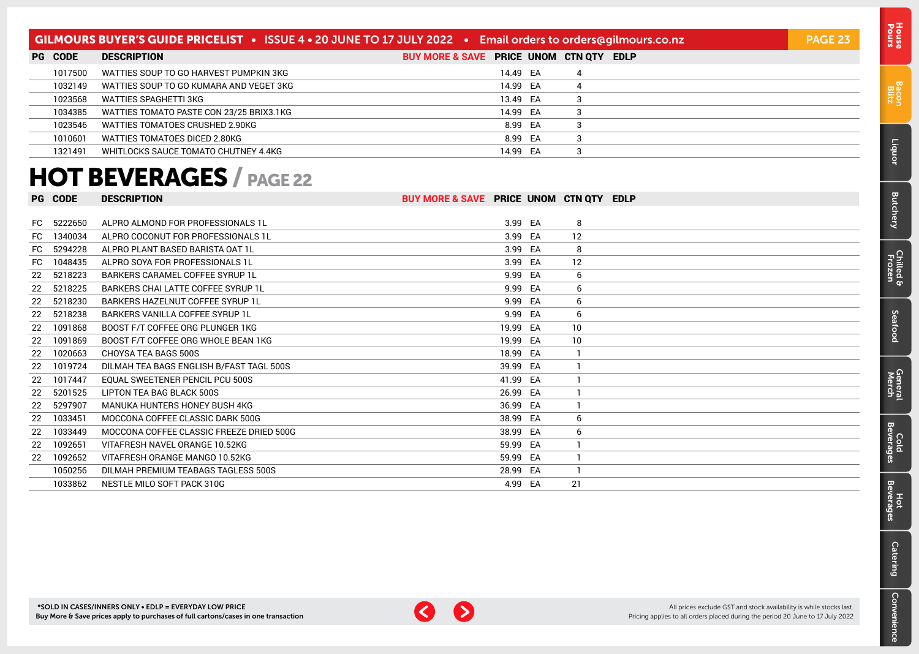### <span id="page-22-0"></span>GILMOURS BUYER'S GUIDE PRICELIST • ISSUE 4 • 20 JUNE TO 17 JULY 2022 • Email orders to [orders@gilmours.co.nz](mailto:orders%40gilmours.co.nz?subject=) PAGE 23

| <b>PG CODE</b> | <b>DESCRIPTION</b>                       | BUY MORE & SAVE PRICE UNOM CTN QTY EDLP |          |  |  |
|----------------|------------------------------------------|-----------------------------------------|----------|--|--|
| 1017500        | WATTIES SOUP TO GO HARVEST PUMPKIN 3KG   |                                         | 14.49 EA |  |  |
| 1032149        | WATTIES SOUP TO GO KUMARA AND VEGET 3KG  |                                         | 14.99 EA |  |  |
| 1023568        | WATTIES SPAGHETTI 3KG                    |                                         | 13.49 EA |  |  |
| 1034385        | WATTIES TOMATO PASTE CON 23/25 BRIX3.1KG |                                         | 14.99 EA |  |  |
| 1023546        | WATTIES TOMATOES CRUSHED 2.90KG          |                                         | 8.99 EA  |  |  |
| 1010601        | WATTIES TOMATOES DICED 2.80KG            |                                         | 8.99 EA  |  |  |
| 1321491        | WHITLOCKS SAUCE TOMATO CHUTNEY 4.4KG     |                                         | 14.99 EA |  |  |

### HOT BEVERAGES / PAGE 22

|     | <b>PG CODE</b> | <b>DESCRIPTION</b>                       | BUY MORE & SAVE PRICE UNOM CTN QTY |          |    | <b>EDLP</b> |
|-----|----------------|------------------------------------------|------------------------------------|----------|----|-------------|
|     |                |                                          |                                    |          |    |             |
|     | FC 5222650     | ALPRO ALMOND FOR PROFESSIONALS 1L        |                                    | 3.99 EA  | 8  |             |
| FC  | 1340034        | ALPRO COCONUT FOR PROFESSIONALS 1L       |                                    | 3.99 EA  | 12 |             |
| FC  | 5294228        | ALPRO PLANT BASED BARISTA OAT 1L         |                                    | 3.99 EA  | 8  |             |
| FC. | 1048435        | ALPRO SOYA FOR PROFESSIONALS 1L          |                                    | 3.99 EA  | 12 |             |
|     | 22 5218223     | BARKERS CARAMEL COFFEE SYRUP 1L          |                                    | 9.99 EA  | 6  |             |
| 22  | 5218225        | BARKERS CHAI LATTE COFFEE SYRUP 1L       |                                    | 9.99 EA  | 6  |             |
|     | 22 5218230     | BARKERS HAZELNUT COFFEE SYRUP 1L         |                                    | 9.99 EA  | 6  |             |
|     | 22 5218238     | BARKERS VANILLA COFFEE SYRUP 1L          |                                    | 9.99 EA  | 6  |             |
| 22  | 1091868        | BOOST F/T COFFEE ORG PLUNGER 1KG         |                                    | 19.99 EA | 10 |             |
| 22  | 1091869        | BOOST F/T COFFEE ORG WHOLE BEAN 1KG      |                                    | 19.99 EA | 10 |             |
| 22  | 1020663        | CHOYSA TEA BAGS 500S                     |                                    | 18.99 EA |    |             |
| 22  | 1019724        | DILMAH TEA BAGS ENGLISH B/FAST TAGL 500S |                                    | 39.99 EA |    |             |
| 22  | 1017447        | <b>EQUAL SWEETENER PENCIL PCU 500S</b>   |                                    | 41.99 EA |    |             |
| 22  | 5201525        | LIPTON TEA BAG BLACK 500S                |                                    | 26.99 EA |    |             |
| 22  | 5297907        | MANUKA HUNTERS HONEY BUSH 4KG            |                                    | 36.99 EA |    |             |
| 22  | 1033451        | MOCCONA COFFEE CLASSIC DARK 500G         |                                    | 38.99 EA | 6  |             |
| 22  | 1033449        | MOCCONA COFFEE CLASSIC FREEZE DRIED 500G |                                    | 38.99 EA | 6  |             |
| 22  | 1092651        | VITAFRESH NAVEL ORANGE 10.52KG           |                                    | 59.99 EA |    |             |
| 22  | 1092652        | VITAFRESH ORANGE MANGO 10.52KG           |                                    | 59.99 EA |    |             |
|     | 1050256        | DILMAH PREMIUM TEABAGS TAGLESS 500S      |                                    | 28.99 EA |    |             |
|     | 1033862        | NESTLE MILO SOFT PACK 310G               |                                    | 4.99 EA  | 21 |             |



[Bacon](#page-2-0) Blitz

[Liquor](#page-23-0)

[Butchery](#page-0-0)

[Chilled & Frozen](#page-3-0)

[Seafood](#page-6-0)

Seafood

[General](#page-7-0) Cold<br>Merch Beverages

Cold<br>Beverag

ၛၟ

General<br>Merch

Hot<br>Beverages

[Catering](#page-16-0)

[Convenience](#page-11-0)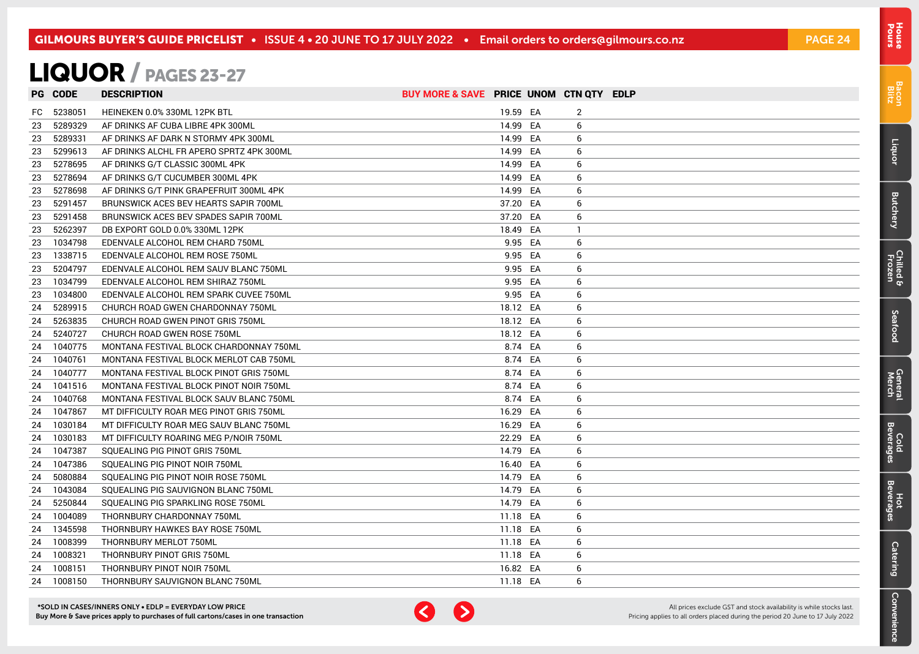### <span id="page-23-0"></span>LIQUOR / PAGES 23-27

|     | <b>PG CODE</b> | <b>DESCRIPTION</b>                       | BUY MORE & SAVE PRICE UNOM CTN QTY EDLP |          |    |  |
|-----|----------------|------------------------------------------|-----------------------------------------|----------|----|--|
| FC. | 5238051        | HEINEKEN 0.0% 330ML 12PK BTL             |                                         | 19.59 EA | 2  |  |
| 23  | 5289329        | AF DRINKS AF CUBA LIBRE 4PK 300ML        | 14.99 EA                                |          | 6  |  |
| 23  | 5289331        | AF DRINKS AF DARK N STORMY 4PK 300ML     | 14.99 EA                                |          | 6  |  |
| 23  | 5299613        | AF DRINKS ALCHL FR APERO SPRTZ 4PK 300ML | 14.99 EA                                |          | 6  |  |
| 23  | 5278695        | AF DRINKS G/T CLASSIC 300ML 4PK          | 14.99 EA                                |          | 6  |  |
| 23  | 5278694        | AF DRINKS G/T CUCUMBER 300ML 4PK         | 14.99 EA                                |          | 6  |  |
| 23  | 5278698        | AF DRINKS G/T PINK GRAPEFRUIT 300ML 4PK  | 14.99 EA                                |          | 6  |  |
| 23  | 5291457        | BRUNSWICK ACES BEV HEARTS SAPIR 700ML    | 37.20 EA                                |          | 6  |  |
| 23  | 5291458        | BRUNSWICK ACES BEV SPADES SAPIR 700ML    | 37.20 EA                                |          | 6  |  |
| 23  | 5262397        | DB EXPORT GOLD 0.0% 330ML 12PK           | 18.49 EA                                |          | -1 |  |
| 23  | 1034798        | EDENVALE ALCOHOL REM CHARD 750ML         |                                         | 9.95 EA  | 6  |  |
| 23  | 1338715        | EDENVALE ALCOHOL REM ROSE 750ML          |                                         | 9.95 EA  | 6  |  |
| 23  | 5204797        | EDENVALE ALCOHOL REM SAUV BLANC 750ML    |                                         | 9.95 EA  | 6  |  |
| 23  | 1034799        | EDENVALE ALCOHOL REM SHIRAZ 750ML        |                                         | 9.95 EA  | 6  |  |
| 23  | 1034800        | EDENVALE ALCOHOL REM SPARK CUVEE 750ML   |                                         | 9.95 EA  | 6  |  |
| 24  | 5289915        | CHURCH ROAD GWEN CHARDONNAY 750ML        | 18.12 EA                                |          | 6  |  |
| 24  | 5263835        | CHURCH ROAD GWEN PINOT GRIS 750ML        | 18.12 EA                                |          | 6  |  |
| 24  | 5240727        | CHURCH ROAD GWEN ROSE 750ML              | 18.12 EA                                |          | 6  |  |
| 24  | 1040775        | MONTANA FESTIVAL BLOCK CHARDONNAY 750ML  |                                         | 8.74 EA  | 6  |  |
| 24  | 1040761        | MONTANA FESTIVAL BLOCK MERLOT CAB 750ML  |                                         | 8.74 EA  | 6  |  |
| 24  | 1040777        | MONTANA FESTIVAL BLOCK PINOT GRIS 750ML  |                                         | 8.74 EA  | 6  |  |
| 24  | 1041516        | MONTANA FESTIVAL BLOCK PINOT NOIR 750ML  |                                         | 8.74 EA  | 6  |  |
| 24  | 1040768        | MONTANA FESTIVAL BLOCK SAUV BLANC 750ML  |                                         | 8.74 EA  | 6  |  |
| 24  | 1047867        | MT DIFFICULTY ROAR MEG PINOT GRIS 750ML  | 16.29 EA                                |          | 6  |  |
| 24  | 1030184        | MT DIFFICULTY ROAR MEG SAUV BLANC 750ML  | 16.29 EA                                |          | 6  |  |
| 24  | 1030183        | MT DIFFICULTY ROARING MEG P/NOIR 750ML   | 22.29 EA                                |          | 6  |  |
| 24  | 1047387        | SQUEALING PIG PINOT GRIS 750ML           | 14.79 EA                                |          | 6  |  |
| 24  | 1047386        | SQUEALING PIG PINOT NOIR 750ML           | 16.40 EA                                |          | 6  |  |
| 24  | 5080884        | SQUEALING PIG PINOT NOIR ROSE 750ML      | 14.79 EA                                |          | 6  |  |
| 24  | 1043084        | SQUEALING PIG SAUVIGNON BLANC 750ML      | 14.79 EA                                |          | 6  |  |
| 24  | 5250844        | SQUEALING PIG SPARKLING ROSE 750ML       | 14.79 EA                                |          | 6  |  |
| 24  | 1004089        | THORNBURY CHARDONNAY 750ML               | 11.18 EA                                |          | 6  |  |
| 24  | 1345598        | THORNBURY HAWKES BAY ROSE 750ML          | 11.18 EA                                |          | 6  |  |
| 24  | 1008399        | THORNBURY MERLOT 750ML                   | 11.18 EA                                |          | 6  |  |
| 24  | 1008321        | THORNBURY PINOT GRIS 750ML               | 11.18 EA                                |          | 6  |  |
| 24  | 1008151        | THORNBURY PINOT NOIR 750ML               | 16.82 EA                                |          | 6  |  |
|     | 24 1008150     | THORNBURY SAUVIGNON BLANC 750ML          | 11.18 EA                                |          | 6  |  |



Pours [House](#page-0-0)

[Bacon](#page-2-0) Blitz

Liquor

**[Butchery](#page-0-0)** 

[Chilled & Frozen](#page-3-0)

[Seafood](#page-6-0)

Seafood

[General](#page-7-0) Cold<br>Merch Beverages

Cold<br>Beverages

**General**<br>Merch

Hot<br>Beverages

[Catering](#page-16-0)

[Convenience](#page-11-0)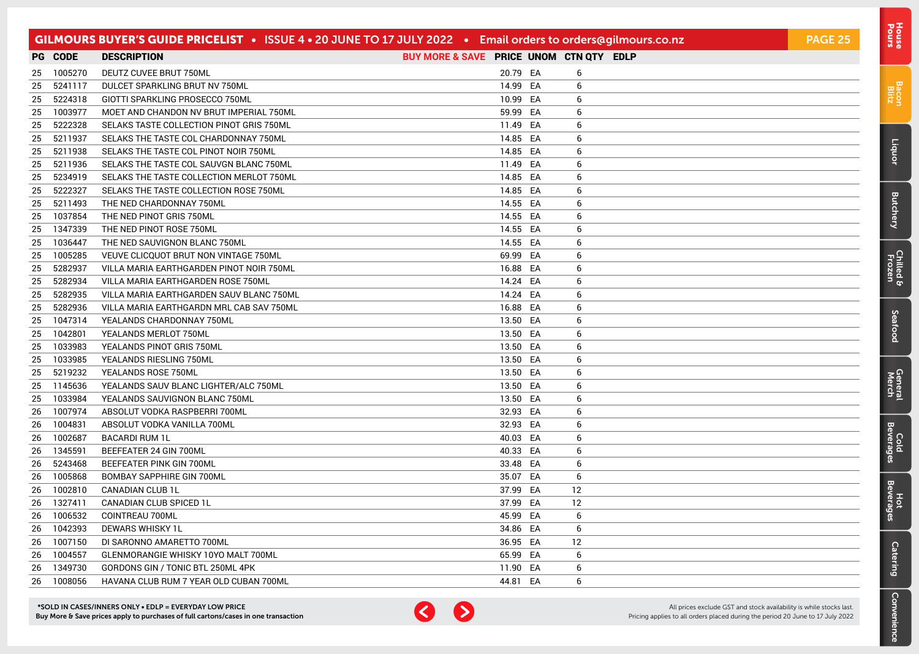|    |            | GILMOURS BUYER'S GUIDE PRICELIST • ISSUE 4 • 20 JUNE TO 17 JULY 2022 • Email orders to orders@gilmours.co.nz |                                         |          |    | <b>PAGE 25</b> |
|----|------------|--------------------------------------------------------------------------------------------------------------|-----------------------------------------|----------|----|----------------|
|    | PG CODE    | <b>DESCRIPTION</b>                                                                                           | BUY MORE & SAVE PRICE UNOM CTN QTY EDLP |          |    |                |
|    | 25 1005270 | DEUTZ CUVEE BRUT 750ML                                                                                       |                                         | 20.79 EA | 6  |                |
| 25 | 5241117    | DULCET SPARKLING BRUT NV 750ML                                                                               |                                         | 14.99 EA | 6  |                |
| 25 | 5224318    | GIOTTI SPARKLING PROSECCO 750ML                                                                              |                                         | 10.99 EA | 6  |                |
| 25 | 1003977    | MOET AND CHANDON NV BRUT IMPERIAL 750ML                                                                      |                                         | 59.99 EA | 6  |                |
| 25 | 5222328    | SELAKS TASTE COLLECTION PINOT GRIS 750ML                                                                     |                                         | 11.49 EA | 6  |                |
| 25 | 5211937    | SELAKS THE TASTE COL CHARDONNAY 750ML                                                                        |                                         | 14.85 EA | 6  |                |
| 25 | 5211938    | SELAKS THE TASTE COL PINOT NOIR 750ML                                                                        |                                         | 14.85 EA | 6  |                |
| 25 | 5211936    | SELAKS THE TASTE COL SAUVGN BLANC 750ML                                                                      |                                         | 11.49 EA | 6  |                |
| 25 | 5234919    | SELAKS THE TASTE COLLECTION MERLOT 750ML                                                                     |                                         | 14.85 EA | 6  |                |
| 25 | 5222327    | SELAKS THE TASTE COLLECTION ROSE 750ML                                                                       |                                         | 14.85 EA | 6  |                |
| 25 | 5211493    | THE NED CHARDONNAY 750ML                                                                                     |                                         | 14.55 EA | 6  |                |
| 25 | 1037854    | THE NED PINOT GRIS 750ML                                                                                     |                                         | 14.55 EA | 6  |                |
| 25 | 1347339    | THE NED PINOT ROSE 750ML                                                                                     |                                         | 14.55 EA | 6  |                |
| 25 | 1036447    | THE NED SAUVIGNON BLANC 750ML                                                                                |                                         | 14.55 EA | 6  |                |
| 25 | 1005285    | VEUVE CLICQUOT BRUT NON VINTAGE 750ML                                                                        |                                         | 69.99 EA | 6  |                |
| 25 | 5282937    | VILLA MARIA EARTHGARDEN PINOT NOIR 750ML                                                                     |                                         | 16.88 EA | 6  |                |
| 25 | 5282934    | VILLA MARIA EARTHGARDEN ROSE 750ML                                                                           |                                         | 14.24 EA | 6  |                |
| 25 | 5282935    | VILLA MARIA EARTHGARDEN SAUV BLANC 750ML                                                                     |                                         | 14.24 EA | 6  |                |
| 25 | 5282936    | VILLA MARIA EARTHGARDN MRL CAB SAV 750ML                                                                     |                                         | 16.88 EA | 6  |                |
| 25 | 1047314    | YEALANDS CHARDONNAY 750ML                                                                                    |                                         | 13.50 EA | 6  |                |
| 25 | 1042801    | YEALANDS MERLOT 750ML                                                                                        |                                         | 13.50 EA | 6  |                |
| 25 | 1033983    | YEALANDS PINOT GRIS 750ML                                                                                    |                                         | 13.50 EA | 6  |                |
| 25 | 1033985    | YEALANDS RIESLING 750ML                                                                                      |                                         | 13.50 EA | 6  |                |
| 25 | 5219232    | YEALANDS ROSE 750ML                                                                                          |                                         | 13.50 EA | 6  |                |
| 25 | 1145636    | YEALANDS SAUV BLANC LIGHTER/ALC 750ML                                                                        |                                         | 13.50 EA | 6  |                |
| 25 | 1033984    | YEALANDS SAUVIGNON BLANC 750ML                                                                               |                                         | 13.50 EA | 6  |                |
| 26 | 1007974    | ABSOLUT VODKA RASPBERRI 700ML                                                                                |                                         | 32.93 EA | 6  |                |
| 26 | 1004831    | ABSOLUT VODKA VANILLA 700ML                                                                                  |                                         | 32.93 EA | 6  |                |
| 26 | 1002687    | <b>BACARDI RUM 1L</b>                                                                                        |                                         | 40.03 EA | 6  |                |
| 26 | 1345591    | BEEFEATER 24 GIN 700ML                                                                                       |                                         | 40.33 EA | 6  |                |
| 26 | 5243468    | BEEFEATER PINK GIN 700ML                                                                                     |                                         | 33.48 EA | 6  |                |
| 26 | 1005868    | <b>BOMBAY SAPPHIRE GIN 700ML</b>                                                                             |                                         | 35.07 EA | 6  |                |
| 26 | 1002810    | <b>CANADIAN CLUB 1L</b>                                                                                      |                                         | 37.99 EA | 12 |                |
| 26 | 1327411    | CANADIAN CLUB SPICED 1L                                                                                      |                                         | 37.99 EA | 12 |                |
| 26 | 1006532    | COINTREAU 700ML                                                                                              |                                         | 45.99 EA | 6  |                |
| 26 | 1042393    | DEWARS WHISKY 1L                                                                                             |                                         | 34.86 EA | 6  |                |
| 26 | 1007150    | DI SARONNO AMARETTO 700ML                                                                                    |                                         | 36.95 EA | 12 |                |
| 26 | 1004557    | <b>GLENMORANGIE WHISKY 10YO MALT 700ML</b>                                                                   |                                         | 65.99 EA | 6  |                |
| 26 | 1349730    | GORDONS GIN / TONIC BTL 250ML 4PK                                                                            |                                         | 11.90 EA | 6  |                |
|    | 26 1008056 | HAVANA CLUB RUM 7 YEAR OLD CUBAN 700ML                                                                       |                                         | 44.81 EA | 6  |                |



All prices exclude GST and stock availability is while stocks last. Pricing applies to all orders placed during the period 20 June to 17 July 2022

[Bacon](#page-2-0) Blitz

[Liquor](#page-23-0)

**[Butchery](#page-0-0)** 

[Chilled & Frozen](#page-3-0)

[Seafood](#page-6-0)

Seafood

[General](#page-7-0) Cold<br>Merch Beverages

Cold<br>Beverages

General<br>Merch

Hot<br>Beverages

**[Catering](#page-16-0)** 

[Convenience](#page-11-0)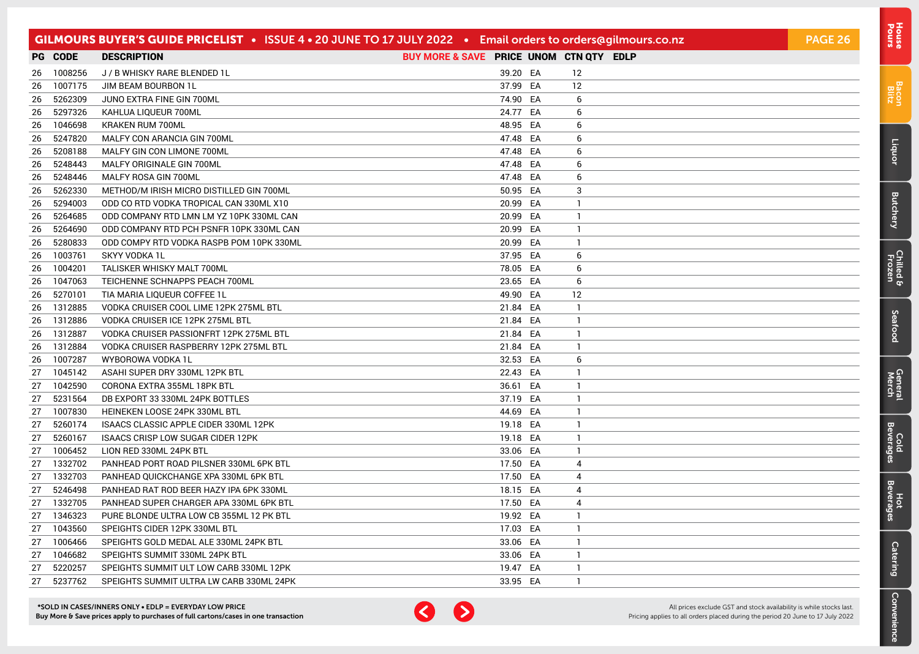|    |            | GILMOURS BUYER'S GUIDE PRICELIST • ISSUE 4 • 20 JUNE TO 17 JULY 2022 • Email orders to orders@gilmours.co.nz |                                         |          |              | <b>PAGE 26</b> |
|----|------------|--------------------------------------------------------------------------------------------------------------|-----------------------------------------|----------|--------------|----------------|
|    | PG CODE    | <b>DESCRIPTION</b>                                                                                           | BUY MORE & SAVE PRICE UNOM CTN QTY EDLP |          |              |                |
|    | 26 1008256 | J / B WHISKY RARE BLENDED 1L                                                                                 |                                         | 39.20 EA | 12           |                |
| 26 | 1007175    | JIM BEAM BOURBON 1L                                                                                          |                                         | 37.99 EA | 12           |                |
| 26 | 5262309    | JUNO EXTRA FINE GIN 700ML                                                                                    |                                         | 74.90 EA | 6            |                |
| 26 | 5297326    | KAHLUA LIQUEUR 700ML                                                                                         |                                         | 24.77 EA | 6            |                |
| 26 | 1046698    | KRAKEN RUM 700ML                                                                                             |                                         | 48.95 EA | 6            |                |
| 26 | 5247820    | MALFY CON ARANCIA GIN 700ML                                                                                  |                                         | 47.48 EA | 6            |                |
| 26 | 5208188    | MALFY GIN CON LIMONE 700ML                                                                                   |                                         | 47.48 EA | 6            |                |
| 26 | 5248443    | MALFY ORIGINALE GIN 700ML                                                                                    |                                         | 47.48 EA | 6            |                |
| 26 | 5248446    | MALFY ROSA GIN 700ML                                                                                         |                                         | 47.48 EA | 6            |                |
| 26 | 5262330    | METHOD/M IRISH MICRO DISTILLED GIN 700ML                                                                     |                                         | 50.95 EA | 3            |                |
| 26 | 5294003    | ODD CO RTD VODKA TROPICAL CAN 330ML X10                                                                      |                                         | 20.99 EA | $\mathbf{1}$ |                |
| 26 | 5264685    | ODD COMPANY RTD LMN LM YZ 10PK 330ML CAN                                                                     |                                         | 20.99 EA | $\mathbf{1}$ |                |
| 26 | 5264690    | ODD COMPANY RTD PCH PSNFR 10PK 330ML CAN                                                                     |                                         | 20.99 EA | $\mathbf{1}$ |                |
| 26 | 5280833    | ODD COMPY RTD VODKA RASPB POM 10PK 330ML                                                                     |                                         | 20.99 EA | $\mathbf{1}$ |                |
| 26 | 1003761    | SKYY VODKA 1L                                                                                                |                                         | 37.95 EA | 6            |                |
| 26 | 1004201    | <b>TALISKER WHISKY MALT 700ML</b>                                                                            |                                         | 78.05 EA | 6            |                |
| 26 | 1047063    | TEICHENNE SCHNAPPS PEACH 700ML                                                                               |                                         | 23.65 EA | 6            |                |
| 26 | 5270101    | TIA MARIA LIQUEUR COFFEE 1L                                                                                  |                                         | 49.90 EA | 12           |                |
|    | 26 1312885 | VODKA CRUISER COOL LIME 12PK 275ML BTL                                                                       | 21.84 EA                                |          | $\mathbf{1}$ |                |
| 26 | 1312886    | VODKA CRUISER ICE 12PK 275ML BTL                                                                             | 21.84 EA                                |          | $\mathbf{1}$ |                |
| 26 | 1312887    | VODKA CRUISER PASSIONFRT 12PK 275ML BTL                                                                      | 21.84 EA                                |          | $\mathbf{1}$ |                |
| 26 | 1312884    | VODKA CRUISER RASPBERRY 12PK 275ML BTL                                                                       | 21.84 EA                                |          | $\mathbf{1}$ |                |
| 26 | 1007287    | WYBOROWA VODKA 1L                                                                                            |                                         | 32.53 EA | 6            |                |
| 27 | 1045142    | ASAHI SUPER DRY 330ML 12PK BTL                                                                               |                                         | 22.43 EA | $\mathbf{1}$ |                |
| 27 | 1042590    | CORONA EXTRA 355ML 18PK BTL                                                                                  |                                         | 36.61 EA | $\mathbf{1}$ |                |
| 27 | 5231564    | DB EXPORT 33 330ML 24PK BOTTLES                                                                              |                                         | 37.19 EA | $\mathbf{1}$ |                |
| 27 | 1007830    | HEINEKEN LOOSE 24PK 330ML BTL                                                                                |                                         | 44.69 EA | 1            |                |
| 27 | 5260174    | ISAACS CLASSIC APPLE CIDER 330ML 12PK                                                                        | 19.18 EA                                |          | $\mathbf{1}$ |                |
| 27 | 5260167    | ISAACS CRISP LOW SUGAR CIDER 12PK                                                                            | 19.18 EA                                |          | $\mathbf{1}$ |                |
|    | 27 1006452 | LION RED 330ML 24PK BTL                                                                                      |                                         | 33.06 EA | $\mathbf{1}$ |                |
|    | 27 1332702 | PANHEAD PORT ROAD PILSNER 330ML 6PK BTL                                                                      | 17.50 EA                                |          | 4            |                |
| 27 | 1332703    | PANHEAD QUICKCHANGE XPA 330ML 6PK BTL                                                                        | 17.50 EA                                |          | 4            |                |
| 27 | 5246498    | PANHEAD RAT ROD BEER HAZY IPA 6PK 330ML                                                                      | 18.15 EA                                |          | 4            |                |
| 27 | 1332705    | PANHEAD SUPER CHARGER APA 330ML 6PK BTL                                                                      | 17.50 EA                                |          | 4            |                |
|    | 27 1346323 | PURE BLONDE ULTRA LOW CB 355ML 12 PK BTL                                                                     | 19.92 EA                                |          | 1            |                |
| 27 | 1043560    | SPEIGHTS CIDER 12PK 330ML BTL                                                                                | 17.03 EA                                |          | $\mathbf{1}$ |                |
| 27 | 1006466    | SPEIGHTS GOLD MEDAL ALE 330ML 24PK BTL                                                                       |                                         | 33.06 EA | $\mathbf{1}$ |                |
| 27 | 1046682    | SPEIGHTS SUMMIT 330ML 24PK BTL                                                                               |                                         | 33.06 EA | 1            |                |
| 27 | 5220257    | SPEIGHTS SUMMIT ULT LOW CARB 330ML 12PK                                                                      | 19.47 EA                                |          | 1            |                |
| 27 | 5237762    | SPEIGHTS SUMMIT ULTRA LW CARB 330ML 24PK                                                                     |                                         | 33.95 EA | $\mathbf{1}$ |                |



All prices exclude GST and stock availability is while stocks last. Pricing applies to all orders placed during the period 20 June to 17 July 2022

[Bacon](#page-2-0) Blitz

[Liquor](#page-23-0)

**[Butchery](#page-0-0)** 

[Chilled & Frozen](#page-3-0)

[Seafood](#page-6-0)

Seafood

[General](#page-7-0) Cold<br>Merch Beverages

Cold<br>Beverages

General<br>Merch

Hot<br>Beverages

**[Catering](#page-16-0)** 

[Convenience](#page-11-0)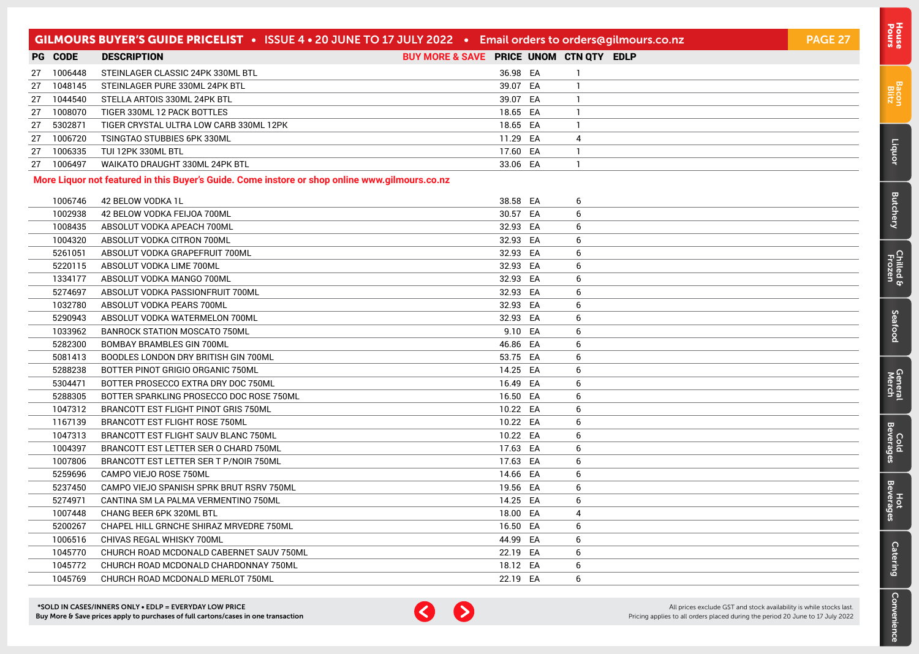|    |                | GILMOURS BUYER'S GUIDE PRICELIST . ISSUE 4 . 20 JUNE TO 17 JULY 2022 . Email orders to orders@gilmours.co.nz |                                         |          |              | PAGE 27 |
|----|----------------|--------------------------------------------------------------------------------------------------------------|-----------------------------------------|----------|--------------|---------|
|    | <b>PG CODE</b> | <b>DESCRIPTION</b>                                                                                           | BUY MORE & SAVE PRICE UNOM CTN QTY EDLP |          |              |         |
| 27 | 1006448        | STEINLAGER CLASSIC 24PK 330ML BTL                                                                            |                                         | 36.98 EA | -1           |         |
| 27 | 1048145        | STEINLAGER PURE 330ML 24PK BTL                                                                               |                                         | 39.07 EA | $\mathbf{1}$ |         |
| 27 | 1044540        | STELLA ARTOIS 330ML 24PK BTL                                                                                 |                                         | 39.07 EA | -1           |         |
| 27 | 1008070        | TIGER 330ML 12 PACK BOTTLES                                                                                  |                                         | 18.65 EA | $\mathbf{1}$ |         |
| 27 | 5302871        | TIGER CRYSTAL ULTRA LOW CARB 330ML 12PK                                                                      |                                         | 18.65 EA | $\mathbf{1}$ |         |
| 27 | 1006720        | TSINGTAO STUBBIES 6PK 330ML                                                                                  |                                         | 11.29 EA | 4            |         |
| 27 | 1006335        | TUI 12PK 330ML BTL                                                                                           |                                         | 17.60 EA | $\mathbf{1}$ |         |
| 27 | 1006497        | WAIKATO DRAUGHT 330ML 24PK BTL                                                                               |                                         | 33.06 EA | $\mathbf{1}$ |         |
|    |                | More Liquor not featured in this Buyer's Guide. Come instore or shop online www.gilmours.co.nz               |                                         |          |              |         |
|    | 1006746        | 42 BELOW VODKA 1L                                                                                            |                                         | 38.58 EA | 6            |         |
|    | 1002938        | 42 BELOW VODKA FEIJOA 700ML                                                                                  |                                         | 30.57 EA | 6            |         |
|    | 1008435        | ABSOLUT VODKA APEACH 700ML                                                                                   |                                         | 32.93 EA | 6            |         |
|    | 1004320        | ABSOLUT VODKA CITRON 700ML                                                                                   |                                         | 32.93 EA | 6            |         |
|    | 5261051        | ABSOLUT VODKA GRAPEFRUIT 700ML                                                                               |                                         | 32.93 EA | 6            |         |
|    | 5220115        | ABSOLUT VODKA LIME 700ML                                                                                     |                                         | 32.93 EA | 6            |         |
|    | 1334177        | ABSOLUT VODKA MANGO 700ML                                                                                    |                                         | 32.93 EA | 6            |         |
|    | 5274697        | ABSOLUT VODKA PASSIONFRUIT 700ML                                                                             |                                         | 32.93 EA | 6            |         |
|    | 1032780        | ABSOLUT VODKA PEARS 700ML                                                                                    |                                         | 32.93 EA | 6            |         |
|    | 5290943        | ABSOLUT VODKA WATERMELON 700ML                                                                               |                                         | 32.93 EA | 6            |         |
|    | 1033962        | <b>BANROCK STATION MOSCATO 750ML</b>                                                                         |                                         | 9.10 EA  | 6            |         |
|    | 5282300        | <b>BOMBAY BRAMBLES GIN 700ML</b>                                                                             |                                         | 46.86 EA | 6            |         |
|    | 5081413        | BOODLES LONDON DRY BRITISH GIN 700ML                                                                         |                                         | 53.75 EA | 6            |         |
|    | 5288238        | BOTTER PINOT GRIGIO ORGANIC 750ML                                                                            |                                         | 14.25 EA | 6            |         |
|    | 5304471        | BOTTER PROSECCO EXTRA DRY DOC 750ML                                                                          |                                         | 16.49 EA | 6            |         |
|    | 5288305        | BOTTER SPARKLING PROSECCO DOC ROSE 750ML                                                                     |                                         | 16.50 EA | 6            |         |
|    | 1047312        | <b>BRANCOTT EST FLIGHT PINOT GRIS 750ML</b>                                                                  |                                         | 10.22 EA | 6            |         |
|    | 1167139        | BRANCOTT EST FLIGHT ROSE 750ML                                                                               |                                         | 10.22 EA | 6            |         |
|    | 1047313        | BRANCOTT EST FLIGHT SAUV BLANC 750ML                                                                         |                                         | 10.22 EA | 6            |         |
|    | 1004397        | BRANCOTT EST LETTER SER O CHARD 750ML                                                                        |                                         | 17.63 EA | 6            |         |
|    | 1007806        | BRANCOTT EST LETTER SER T P/NOIR 750ML                                                                       |                                         | 17.63 EA | 6            |         |
|    | 5259696        | CAMPO VIEJO ROSE 750ML                                                                                       |                                         | 14.66 EA | 6            |         |
|    | 5237450        | CAMPO VIEJO SPANISH SPRK BRUT RSRV 750ML                                                                     |                                         | 19.56 EA | 6            |         |
|    | 5274971        | CANTINA SM LA PALMA VERMENTINO 750ML                                                                         |                                         | 14.25 EA | 6            |         |
|    | 1007448        | CHANG BEER 6PK 320ML BTL                                                                                     |                                         | 18.00 EA | 4            |         |
|    | 5200267        | CHAPEL HILL GRNCHE SHIRAZ MRVEDRE 750ML                                                                      |                                         | 16.50 EA | 6            |         |
|    | 1006516        | CHIVAS REGAL WHISKY 700ML                                                                                    |                                         | 44.99 EA | 6            |         |
|    | 1045770        | CHURCH ROAD MCDONALD CABERNET SAUV 750ML                                                                     |                                         | 22.19 EA | 6            |         |
|    | 1045772        | CHURCH ROAD MCDONALD CHARDONNAY 750ML                                                                        |                                         | 18.12 EA | 6            |         |
|    | 1045769        | CHURCH ROAD MCDONALD MERLOT 750ML                                                                            |                                         | 22.19 EA | 6            |         |



All prices exclude GST and stock availability is while stocks last. Pricing applies to all orders placed during the period 20 June to 17 July 2022 [Bacon](#page-2-0) Blitz

[Liquor](#page-23-0)

**[Butchery](#page-0-0)** 

[Chilled & Frozen](#page-3-0)

[Seafood](#page-6-0)

Seafood

[General](#page-7-0) Cold<br>Merch Beverages

Cold<br>Beverages

General<br>Merch

Hot<br>Beverages

**[Catering](#page-16-0)** 

[Convenience](#page-11-0)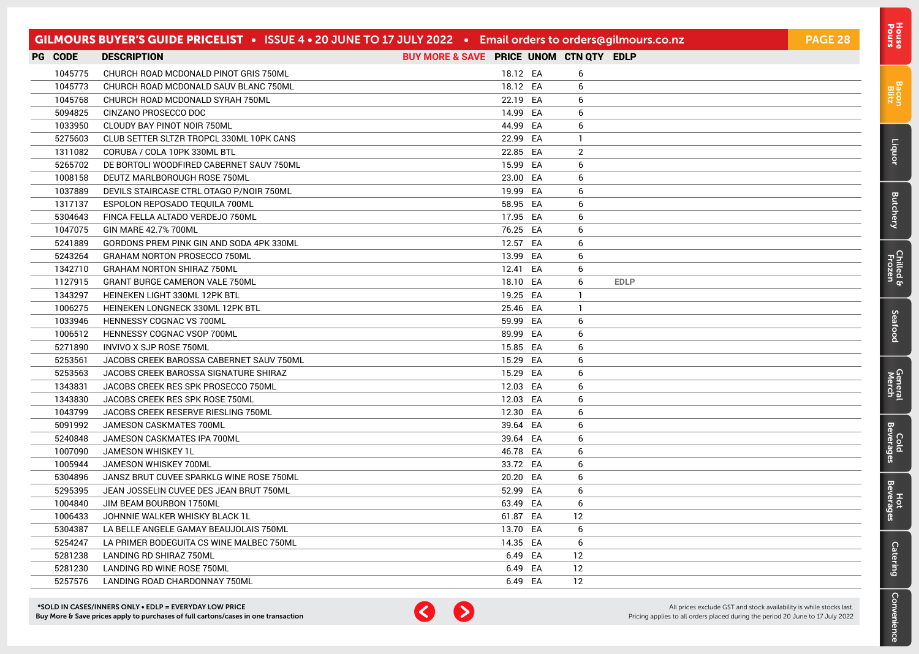| GILMOURS BUYER'S GUIDE PRICELIST • ISSUE 4 • 20 JUNE TO 17 JULY 2022 • Email orders to orders@gilmours.co.nz |                                          |                                         |          |  |                   |             | PAGE 28 |
|--------------------------------------------------------------------------------------------------------------|------------------------------------------|-----------------------------------------|----------|--|-------------------|-------------|---------|
| <b>PG CODE</b>                                                                                               | <b>DESCRIPTION</b>                       | BUY MORE & SAVE PRICE UNOM CTN QTY EDLP |          |  |                   |             |         |
| 1045775                                                                                                      | CHURCH ROAD MCDONALD PINOT GRIS 750ML    |                                         | 18.12 EA |  | 6                 |             |         |
| 1045773                                                                                                      | CHURCH ROAD MCDONALD SAUV BLANC 750ML    |                                         | 18.12 EA |  | 6                 |             |         |
| 1045768                                                                                                      | CHURCH ROAD MCDONALD SYRAH 750ML         |                                         | 22.19 EA |  | 6                 |             |         |
| 5094825                                                                                                      | CINZANO PROSECCO DOC                     |                                         | 14.99 EA |  | 6                 |             |         |
| 1033950                                                                                                      | CLOUDY BAY PINOT NOIR 750ML              |                                         | 44.99 EA |  | 6                 |             |         |
| 5275603                                                                                                      | CLUB SETTER SLTZR TROPCL 330ML 10PK CANS |                                         | 22.99 EA |  | $\mathbf{1}$      |             |         |
| 1311082                                                                                                      | CORUBA / COLA 10PK 330ML BTL             |                                         | 22.85 EA |  | 2                 |             |         |
| 5265702                                                                                                      | DE BORTOLI WOODFIRED CABERNET SAUV 750ML |                                         | 15.99 EA |  | 6                 |             |         |
| 1008158                                                                                                      | DEUTZ MARLBOROUGH ROSE 750ML             |                                         | 23.00 EA |  | 6                 |             |         |
| 1037889                                                                                                      | DEVILS STAIRCASE CTRL OTAGO P/NOIR 750ML |                                         | 19.99 EA |  | 6                 |             |         |
| 1317137                                                                                                      | ESPOLON REPOSADO TEQUILA 700ML           |                                         | 58.95 EA |  | 6                 |             |         |
| 5304643                                                                                                      | FINCA FELLA ALTADO VERDEJO 750ML         |                                         | 17.95 EA |  | 6                 |             |         |
| 1047075                                                                                                      | GIN MARE 42.7% 700ML                     |                                         | 76.25 EA |  | 6                 |             |         |
| 5241889                                                                                                      | GORDONS PREM PINK GIN AND SODA 4PK 330ML |                                         | 12.57 EA |  | 6                 |             |         |
| 5243264                                                                                                      | GRAHAM NORTON PROSECCO 750ML             |                                         | 13.99 EA |  | 6                 |             |         |
| 1342710                                                                                                      | <b>GRAHAM NORTON SHIRAZ 750ML</b>        |                                         | 12.41 EA |  | 6                 |             |         |
| 1127915                                                                                                      | <b>GRANT BURGE CAMERON VALE 750ML</b>    |                                         | 18.10 EA |  | 6                 | <b>EDLP</b> |         |
| 1343297                                                                                                      | HEINEKEN LIGHT 330ML 12PK BTL            |                                         | 19.25 EA |  | -1                |             |         |
| 1006275                                                                                                      | HEINEKEN LONGNECK 330ML 12PK BTL         |                                         | 25.46 EA |  | -1                |             |         |
| 1033946                                                                                                      | HENNESSY COGNAC VS 700ML                 |                                         | 59.99 EA |  | 6                 |             |         |
| 1006512                                                                                                      | HENNESSY COGNAC VSOP 700ML               |                                         | 89.99 EA |  | 6                 |             |         |
| 5271890                                                                                                      | INVIVO X SJP ROSE 750ML                  |                                         | 15.85 EA |  | 6                 |             |         |
| 5253561                                                                                                      | JACOBS CREEK BAROSSA CABERNET SAUV 750ML |                                         | 15.29 EA |  | 6                 |             |         |
| 5253563                                                                                                      | JACOBS CREEK BAROSSA SIGNATURE SHIRAZ    |                                         | 15.29 EA |  | 6                 |             |         |
| 1343831                                                                                                      | JACOBS CREEK RES SPK PROSECCO 750ML      |                                         | 12.03 EA |  | 6                 |             |         |
| 1343830                                                                                                      | JACOBS CREEK RES SPK ROSE 750ML          |                                         | 12.03 EA |  | 6                 |             |         |
| 1043799                                                                                                      | JACOBS CREEK RESERVE RIESLING 750ML      |                                         | 12.30 EA |  | 6                 |             |         |
| 5091992                                                                                                      | JAMESON CASKMATES 700ML                  |                                         | 39.64 EA |  | 6                 |             |         |
| 5240848                                                                                                      | JAMESON CASKMATES IPA 700ML              |                                         | 39.64 EA |  | 6                 |             |         |
| 1007090                                                                                                      | <b>JAMESON WHISKEY 1L</b>                |                                         | 46.78 EA |  | 6                 |             |         |
| 1005944                                                                                                      | JAMESON WHISKEY 700ML                    |                                         | 33.72 EA |  | 6                 |             |         |
| 5304896                                                                                                      | JANSZ BRUT CUVEE SPARKLG WINE ROSE 750ML |                                         | 20.20 EA |  | 6                 |             |         |
| 5295395                                                                                                      | JEAN JOSSELIN CUVEE DES JEAN BRUT 750ML  |                                         | 52.99 EA |  | 6                 |             |         |
| 1004840                                                                                                      | JIM BEAM BOURBON 1750ML                  |                                         | 63.49 EA |  | 6                 |             |         |
| 1006433                                                                                                      | JOHNNIE WALKER WHISKY BLACK 1L           |                                         | 61.87 EA |  | $12 \overline{ }$ |             |         |
| 5304387                                                                                                      | LA BELLE ANGELE GAMAY BEAUJOLAIS 750ML   |                                         | 13.70 EA |  | 6                 |             |         |
| 5254247                                                                                                      | LA PRIMER BODEGUITA CS WINE MALBEC 750ML |                                         | 14.35 EA |  | 6                 |             |         |
| 5281238                                                                                                      | LANDING RD SHIRAZ 750ML                  |                                         | 6.49 EA  |  | 12                |             |         |
| 5281230                                                                                                      | LANDING RD WINE ROSE 750ML               |                                         | 6.49 EA  |  | $12 \overline{ }$ |             |         |
| 5257576                                                                                                      | LANDING ROAD CHARDONNAY 750ML            |                                         | 6.49 EA  |  | 12                |             |         |



All prices exclude GST and stock availability is while stocks last. Pricing applies to all orders placed during the period 20 June to 17 July 2022 [Bacon](#page-2-0) Blitz

[Liquor](#page-23-0)

**[Butchery](#page-0-0)** 

[Chilled & Frozen](#page-3-0)

[Seafood](#page-6-0)

Seafood

[General](#page-7-0) Cold<br>Merch Beverages

Cold<br>Beverages

General<br>Merch

Hot<br>Beverages

**[Catering](#page-16-0)** 

[Convenience](#page-11-0)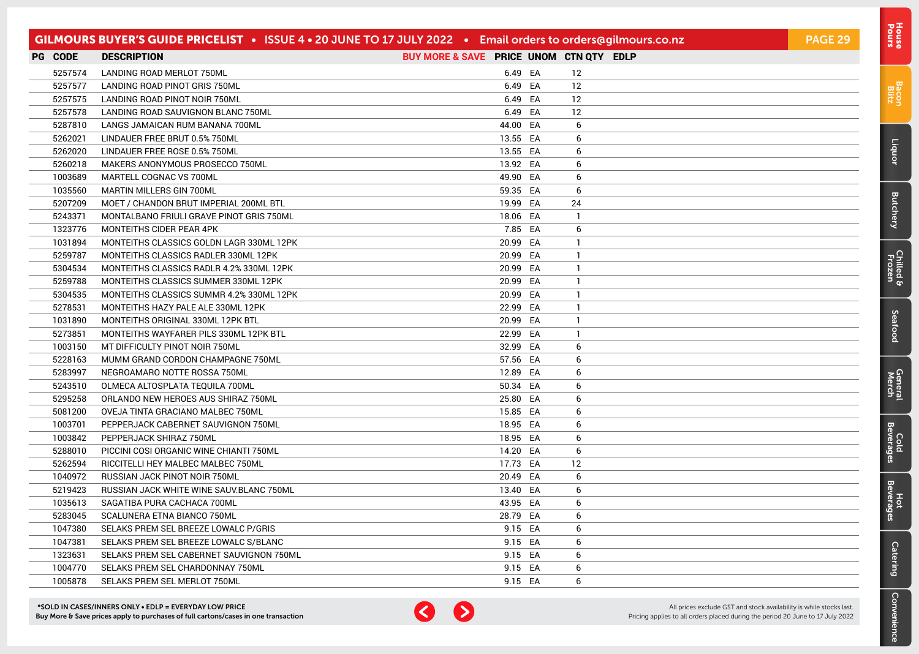|                | GILMOURS BUYER'S GUIDE PRICELIST • ISSUE 4 • 20 JUNE TO 17 JULY 2022 • Email orders to orders@gilmours.co.nz |                                         |          |              | PAGE 29 |
|----------------|--------------------------------------------------------------------------------------------------------------|-----------------------------------------|----------|--------------|---------|
| <b>PG CODE</b> | <b>DESCRIPTION</b>                                                                                           | BUY MORE & SAVE PRICE UNOM CTN QTY EDLP |          |              |         |
| 5257574        | LANDING ROAD MERLOT 750ML                                                                                    |                                         | 6.49 EA  | 12           |         |
| 5257577        | LANDING ROAD PINOT GRIS 750ML                                                                                |                                         | 6.49 EA  | 12           |         |
| 5257575        | LANDING ROAD PINOT NOIR 750ML                                                                                |                                         | 6.49 EA  | 12           |         |
| 5257578        | LANDING ROAD SAUVIGNON BLANC 750ML                                                                           |                                         | 6.49 EA  | 12           |         |
| 5287810        | LANGS JAMAICAN RUM BANANA 700ML                                                                              |                                         | 44.00 EA | 6            |         |
| 5262021        | LINDAUER FREE BRUT 0.5% 750ML                                                                                |                                         | 13.55 EA | 6            |         |
| 5262020        | LINDAUER FREE ROSE 0.5% 750ML                                                                                |                                         | 13.55 EA | 6            |         |
| 5260218        | MAKERS ANONYMOUS PROSECCO 750ML                                                                              |                                         | 13.92 EA | 6            |         |
| 1003689        | MARTELL COGNAC VS 700ML                                                                                      |                                         | 49.90 EA | 6            |         |
| 1035560        | <b>MARTIN MILLERS GIN 700ML</b>                                                                              |                                         | 59.35 EA | 6            |         |
| 5207209        | MOET / CHANDON BRUT IMPERIAL 200ML BTL                                                                       |                                         | 19.99 EA | 24           |         |
| 5243371        | MONTALBANO FRIULI GRAVE PINOT GRIS 750ML                                                                     |                                         | 18.06 EA | $\mathbf{1}$ |         |
| 1323776        | MONTEITHS CIDER PEAR 4PK                                                                                     |                                         | 7.85 EA  | 6            |         |
| 1031894        | MONTEITHS CLASSICS GOLDN LAGR 330ML 12PK                                                                     |                                         | 20.99 EA | $\mathbf{1}$ |         |
| 5259787        | MONTEITHS CLASSICS RADLER 330ML 12PK                                                                         |                                         | 20.99 EA | $\mathbf{1}$ |         |
| 5304534        | MONTEITHS CLASSICS RADLR 4.2% 330ML 12PK                                                                     |                                         | 20.99 EA | $\mathbf{1}$ |         |
| 5259788        | MONTEITHS CLASSICS SUMMER 330ML 12PK                                                                         |                                         | 20.99 EA | $\mathbf{1}$ |         |
| 5304535        | MONTEITHS CLASSICS SUMMR 4.2% 330ML 12PK                                                                     |                                         | 20.99 EA | $\mathbf{1}$ |         |
| 5278531        | MONTEITHS HAZY PALE ALE 330ML 12PK                                                                           |                                         | 22.99 EA | $\mathbf{1}$ |         |
| 1031890        | MONTEITHS ORIGINAL 330ML 12PK BTL                                                                            |                                         | 20.99 EA | $\mathbf{1}$ |         |
| 5273851        | MONTEITHS WAYFARER PILS 330ML 12PK BTL                                                                       |                                         | 22.99 EA | $\mathbf{1}$ |         |
| 1003150        | MT DIFFICULTY PINOT NOIR 750ML                                                                               |                                         | 32.99 EA | 6            |         |
| 5228163        | MUMM GRAND CORDON CHAMPAGNE 750ML                                                                            |                                         | 57.56 EA | 6            |         |
| 5283997        | NEGROAMARO NOTTE ROSSA 750ML                                                                                 |                                         | 12.89 EA | 6            |         |
| 5243510        | OLMECA ALTOSPLATA TEQUILA 700ML                                                                              |                                         | 50.34 EA | 6            |         |
| 5295258        | ORLANDO NEW HEROES AUS SHIRAZ 750ML                                                                          |                                         | 25.80 EA | 6            |         |
| 5081200        | OVEJA TINTA GRACIANO MALBEC 750ML                                                                            |                                         | 15.85 EA | 6            |         |
| 1003701        | PEPPERJACK CABERNET SAUVIGNON 750ML                                                                          |                                         | 18.95 EA | 6            |         |
| 1003842        | PEPPERJACK SHIRAZ 750ML                                                                                      |                                         | 18.95 EA | 6            |         |
| 5288010        | PICCINI COSI ORGANIC WINE CHIANTI 750ML                                                                      |                                         | 14.20 EA | 6            |         |
| 5262594        | RICCITELLI HEY MALBEC MALBEC 750ML                                                                           |                                         | 17.73 EA | 12           |         |
| 1040972        | RUSSIAN JACK PINOT NOIR 750ML                                                                                |                                         | 20.49 EA | 6            |         |
| 5219423        | RUSSIAN JACK WHITE WINE SAUV.BLANC 750ML                                                                     |                                         | 13.40 EA | 6            |         |
| 1035613        | SAGATIBA PURA CACHACA 700ML                                                                                  |                                         | 43.95 EA | 6            |         |
| 5283045        | SCALUNERA ETNA BIANCO 750ML                                                                                  |                                         | 28.79 EA | 6            |         |
| 1047380        | SELAKS PREM SEL BREEZE LOWALC P/GRIS                                                                         |                                         | 9.15 EA  | 6            |         |
| 1047381        | SELAKS PREM SEL BREEZE LOWALC S/BLANC                                                                        |                                         | 9.15 EA  | 6            |         |
| 1323631        | SELAKS PREM SEL CABERNET SAUVIGNON 750ML                                                                     |                                         | 9.15 EA  | 6            |         |
| 1004770        | SELAKS PREM SEL CHARDONNAY 750ML                                                                             |                                         | 9.15 EA  | 6            |         |
| 1005878        | SELAKS PREM SEL MERLOT 750ML                                                                                 |                                         | 9.15 EA  | 6            |         |



[Bacon](#page-2-0) Blitz

[Liquor](#page-23-0)

**[Butchery](#page-0-0)** 

[Chilled & Frozen](#page-3-0)

[Seafood](#page-6-0)

Seafood

[General](#page-7-0) Cold<br>Merch Beverages

Cold<br>Beverages

General<br>Merch

Hot<br>Beverages

**[Catering](#page-16-0)** 

[Convenience](#page-11-0)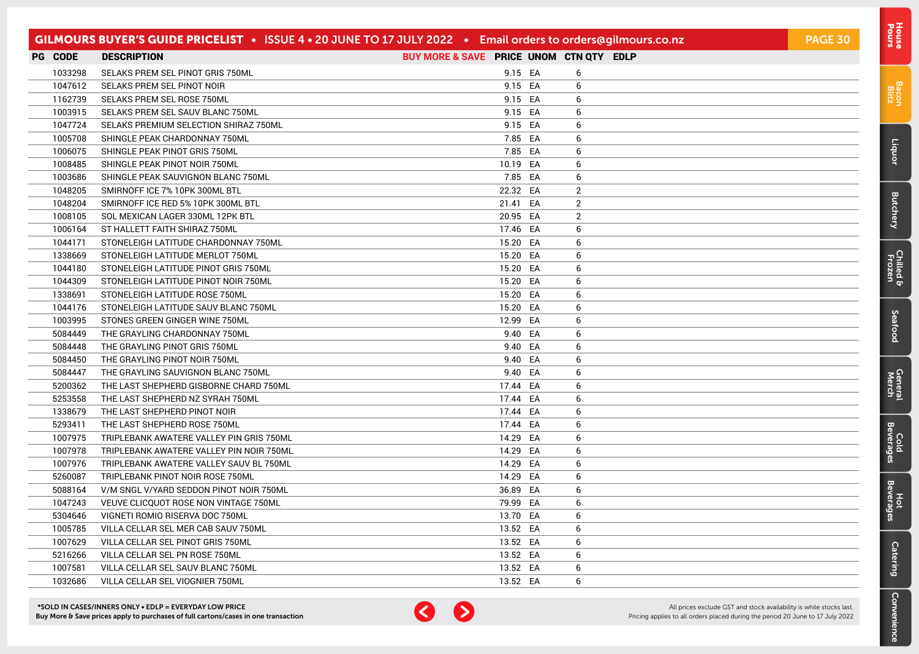|                | GILMOURS BUYER'S GUIDE PRICELIST • ISSUE 4 • 20 JUNE TO 17 JULY 2022 • Email orders to orders@gilmours.co.nz |                                         |          |    |                | <b>PAGE 30</b> |
|----------------|--------------------------------------------------------------------------------------------------------------|-----------------------------------------|----------|----|----------------|----------------|
| <b>PG CODE</b> | <b>DESCRIPTION</b>                                                                                           | BUY MORE & SAVE PRICE UNOM CTN QTY EDLP |          |    |                |                |
| 1033298        | SELAKS PREM SEL PINOT GRIS 750ML                                                                             |                                         | 9.15 EA  |    | 6              |                |
| 1047612        | SELAKS PREM SEL PINOT NOIR                                                                                   |                                         | 9.15 EA  |    | 6              |                |
| 1162739        | SELAKS PREM SEL ROSE 750ML                                                                                   |                                         | 9.15 EA  |    | 6              |                |
| 1003915        | SELAKS PREM SEL SAUV BLANC 750ML                                                                             |                                         | 9.15 EA  |    | 6              |                |
| 1047724        | SELAKS PREMIUM SELECTION SHIRAZ 750ML                                                                        |                                         | 9.15 EA  |    | 6              |                |
| 1005708        | SHINGLE PEAK CHARDONNAY 750ML                                                                                |                                         | 7.85 EA  |    | 6              |                |
| 1006075        | SHINGLE PEAK PINOT GRIS 750ML                                                                                |                                         | 7.85 EA  |    | 6              |                |
| 1008485        | SHINGLE PEAK PINOT NOIR 750ML                                                                                |                                         | 10.19 EA |    | 6              |                |
| 1003686        | SHINGLE PEAK SAUVIGNON BLANC 750ML                                                                           |                                         | 7.85 EA  |    | 6              |                |
| 1048205        | SMIRNOFF ICE 7% 10PK 300ML BTL                                                                               |                                         | 22.32 EA |    | $\overline{2}$ |                |
| 1048204        | SMIRNOFF ICE RED 5% 10PK 300ML BTL                                                                           |                                         | 21.41 EA |    | $\overline{2}$ |                |
| 1008105        | SOL MEXICAN LAGER 330ML 12PK BTL                                                                             |                                         | 20.95 EA |    | $\overline{2}$ |                |
| 1006164        | ST HALLETT FAITH SHIRAZ 750ML                                                                                |                                         | 17.46 EA |    | 6              |                |
| 1044171        | STONELEIGH LATITUDE CHARDONNAY 750ML                                                                         |                                         | 15.20 EA |    | 6              |                |
| 1338669        | STONELEIGH LATITUDE MERLOT 750ML                                                                             |                                         | 15.20 EA |    | 6              |                |
| 1044180        | STONELEIGH LATITUDE PINOT GRIS 750ML                                                                         |                                         | 15.20 EA |    | 6              |                |
| 1044309        | STONELEIGH LATITUDE PINOT NOIR 750ML                                                                         |                                         | 15.20 EA |    | 6              |                |
| 1338691        | STONELEIGH LATITUDE ROSE 750ML                                                                               |                                         | 15.20 EA |    | 6              |                |
| 1044176        | STONELEIGH LATITUDE SAUV BLANC 750ML                                                                         |                                         | 15.20 EA |    | 6              |                |
| 1003995        | STONES GREEN GINGER WINE 750ML                                                                               |                                         | 12.99 EA |    | 6              |                |
| 5084449        | THE GRAYLING CHARDONNAY 750ML                                                                                |                                         | 9.40 EA  |    | 6              |                |
| 5084448        | THE GRAYLING PINOT GRIS 750ML                                                                                |                                         | 9.40     | EA | 6              |                |
| 5084450        | THE GRAYLING PINOT NOIR 750ML                                                                                |                                         | 9.40 EA  |    | 6              |                |
| 5084447        | THE GRAYLING SAUVIGNON BLANC 750ML                                                                           |                                         | 9.40 EA  |    | 6              |                |
| 5200362        | THE LAST SHEPHERD GISBORNE CHARD 750ML                                                                       |                                         | 17.44 EA |    | 6              |                |
| 5253558        | THE LAST SHEPHERD NZ SYRAH 750ML                                                                             |                                         | 17.44 EA |    | 6              |                |
| 1338679        | THE LAST SHEPHERD PINOT NOIR                                                                                 |                                         | 17.44 EA |    | 6              |                |
| 5293411        | THE LAST SHEPHERD ROSE 750ML                                                                                 |                                         | 17.44 EA |    | 6              |                |
| 1007975        | TRIPLEBANK AWATERE VALLEY PIN GRIS 750ML                                                                     |                                         | 14.29 EA |    | 6              |                |
| 1007978        | TRIPLEBANK AWATERE VALLEY PIN NOIR 750ML                                                                     |                                         | 14.29 EA |    | 6              |                |
| 1007976        | TRIPLEBANK AWATERE VALLEY SAUV BL 750ML                                                                      |                                         | 14.29 EA |    | 6              |                |
| 5260087        | TRIPLEBANK PINOT NOIR ROSE 750ML                                                                             |                                         | 14.29 EA |    | 6              |                |
| 5088164        | V/M SNGL V/YARD SEDDON PINOT NOIR 750ML                                                                      |                                         | 36.89 EA |    | 6              |                |
| 1047243        | VEUVE CLICQUOT ROSE NON VINTAGE 750ML                                                                        |                                         | 79.99 EA |    | 6              |                |
| 5304646        | VIGNETI ROMIO RISERVA DOC 750ML                                                                              |                                         | 13.70 EA |    | 6              |                |
| 1005785        | VILLA CELLAR SEL MER CAB SAUV 750ML                                                                          |                                         | 13.52 EA |    | 6              |                |
| 1007629        | VILLA CELLAR SEL PINOT GRIS 750ML                                                                            |                                         | 13.52 EA |    | 6              |                |
| 5216266        | VILLA CELLAR SEL PN ROSE 750ML                                                                               |                                         | 13.52 EA |    | 6              |                |
| 1007581        | VILLA CELLAR SEL SAUV BLANC 750ML                                                                            |                                         | 13.52 EA |    | 6              |                |
| 1032686        | VILLA CELLAR SEL VIOGNIER 750ML                                                                              |                                         | 13.52 EA |    | 6              |                |



[Bacon](#page-2-0) Blitz

[Liquor](#page-23-0)

**[Butchery](#page-0-0)** 

[Chilled & Frozen](#page-3-0)

[Seafood](#page-6-0)

Seafood

[General](#page-7-0) Cold<br>Merch Beverages

Cold<br>Beverages

General<br>Merch

Hot<br>Beverages

**[Catering](#page-16-0)** 

[Convenience](#page-11-0)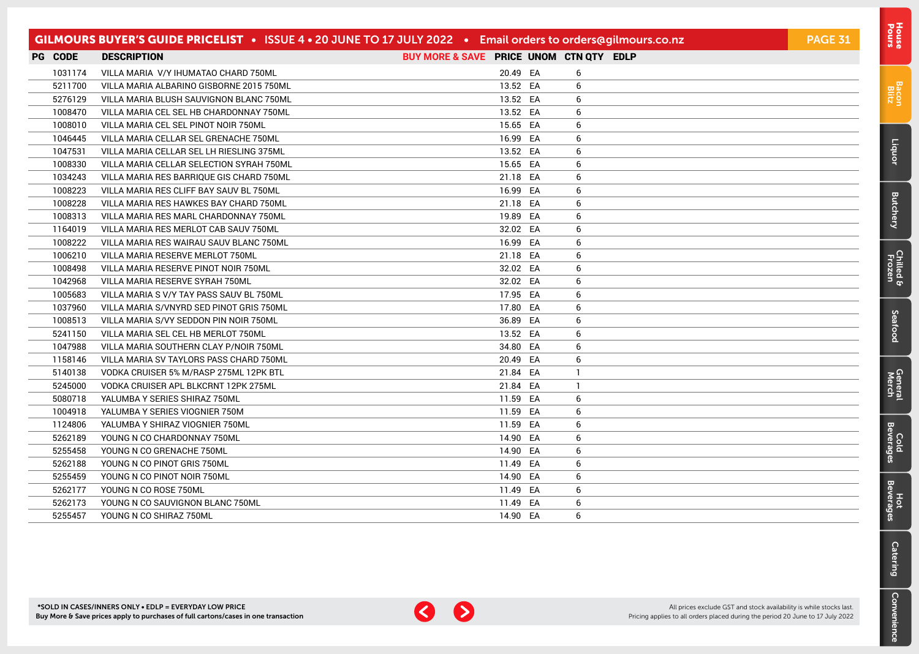|         | GILMOURS BUYER'S GUIDE PRICELIST . ISSUE 4 . 20 JUNE TO 17 JULY 2022 . Email orders to orders@gilmours.co.nz |                                         |                | <b>PAGE 31</b> |
|---------|--------------------------------------------------------------------------------------------------------------|-----------------------------------------|----------------|----------------|
| PG CODE | <b>DESCRIPTION</b>                                                                                           | BUY MORE & SAVE PRICE UNOM CTN QTY EDLP |                |                |
| 1031174 | VILLA MARIA V/Y IHUMATAO CHARD 750ML                                                                         | 20.49 EA                                | 6              |                |
| 5211700 | VILLA MARIA ALBARINO GISBORNE 2015 750ML                                                                     | 13.52 EA                                | 6              |                |
| 5276129 | VILLA MARIA BLUSH SAUVIGNON BLANC 750ML                                                                      | 13.52 EA                                | 6              |                |
| 1008470 | VILLA MARIA CEL SEL HB CHARDONNAY 750ML                                                                      | 13.52 EA                                | 6              |                |
| 1008010 | VILLA MARIA CEL SEL PINOT NOIR 750ML                                                                         | 15.65 EA                                | 6              |                |
| 1046445 | VILLA MARIA CELLAR SEL GRENACHE 750ML                                                                        | 16.99 EA                                | 6              |                |
| 1047531 | VILLA MARIA CELLAR SEL LH RIESLING 375ML                                                                     | 13.52 EA                                | 6              |                |
| 1008330 | VILLA MARIA CELLAR SELECTION SYRAH 750ML                                                                     | 15.65 EA                                | 6              |                |
| 1034243 | VILLA MARIA RES BARRIQUE GIS CHARD 750ML                                                                     | 21.18 EA                                | 6              |                |
| 1008223 | VILLA MARIA RES CLIFF BAY SAUV BL 750ML                                                                      | 16.99 EA                                | 6              |                |
| 1008228 | VILLA MARIA RES HAWKES BAY CHARD 750ML                                                                       | 21.18 EA                                | 6              |                |
| 1008313 | VILLA MARIA RES MARL CHARDONNAY 750ML                                                                        | 19.89 EA                                | 6              |                |
| 1164019 | VILLA MARIA RES MERLOT CAB SAUV 750ML                                                                        | 32.02 EA                                | 6              |                |
| 1008222 | VILLA MARIA RES WAIRAU SAUV BLANC 750ML                                                                      | 16.99 EA                                | 6              |                |
| 1006210 | VILLA MARIA RESERVE MERLOT 750ML                                                                             | 21.18 EA                                | 6              |                |
| 1008498 | VILLA MARIA RESERVE PINOT NOIR 750ML                                                                         | 32.02 EA                                | 6              |                |
| 1042968 | VILLA MARIA RESERVE SYRAH 750ML                                                                              | 32.02 EA                                | 6              |                |
| 1005683 | VILLA MARIA S V/Y TAY PASS SAUV BL 750ML                                                                     | 17.95 EA                                | 6              |                |
| 1037960 | VILLA MARIA S/VNYRD SED PINOT GRIS 750ML                                                                     | 17.80 EA                                | 6              |                |
| 1008513 | VILLA MARIA S/VY SEDDON PIN NOIR 750ML                                                                       | 36.89 EA                                | 6              |                |
| 5241150 | VILLA MARIA SEL CEL HB MERLOT 750ML                                                                          | 13.52 EA                                | 6              |                |
| 1047988 | VILLA MARIA SOUTHERN CLAY P/NOIR 750ML                                                                       | 34.80 EA                                | 6              |                |
| 1158146 | VILLA MARIA SV TAYLORS PASS CHARD 750ML                                                                      | 20.49 EA                                | 6              |                |
| 5140138 | VODKA CRUISER 5% M/RASP 275ML 12PK BTL                                                                       | 21.84 EA                                | $\overline{1}$ |                |
| 5245000 | VODKA CRUISER APL BLKCRNT 12PK 275ML                                                                         | 21.84 EA                                | $\mathbf{1}$   |                |
| 5080718 | YALUMBA Y SERIES SHIRAZ 750ML                                                                                | 11.59 EA                                | 6              |                |
| 1004918 | YALUMBA Y SERIES VIOGNIER 750M                                                                               | 11.59 EA                                | 6              |                |
| 1124806 | YALUMBA Y SHIRAZ VIOGNIER 750ML                                                                              | 11.59 EA                                | 6              |                |
| 5262189 | YOUNG N CO CHARDONNAY 750ML                                                                                  | 14.90 EA                                | 6              |                |
| 5255458 | YOUNG N CO GRENACHE 750ML                                                                                    | 14.90 EA                                | 6              |                |
| 5262188 | YOUNG N CO PINOT GRIS 750ML                                                                                  | 11.49 EA                                | 6              |                |
| 5255459 | YOUNG N CO PINOT NOIR 750ML                                                                                  | 14.90 EA                                | 6              |                |
| 5262177 | YOUNG N CO ROSE 750ML                                                                                        | 11.49 EA                                | 6              |                |
| 5262173 | YOUNG N CO SAUVIGNON BLANC 750ML                                                                             | 11.49 EA                                | 6              |                |
| 5255457 | YOUNG N CO SHIRAZ 750ML                                                                                      | 14.90 EA                                | 6              |                |



[Bacon](#page-2-0) Blitz

[Liquor](#page-23-0)

[Butchery](#page-0-0)

[Chilled & Frozen](#page-3-0)

[Seafood](#page-6-0)

**Seafood** 

[General](#page-7-0) Cold<br>Merch Beverages

Cold<br>Beverages

General<br>Merch

Hot<br>Beverages

**[Catering](#page-16-0)** 

[Convenience](#page-11-0)